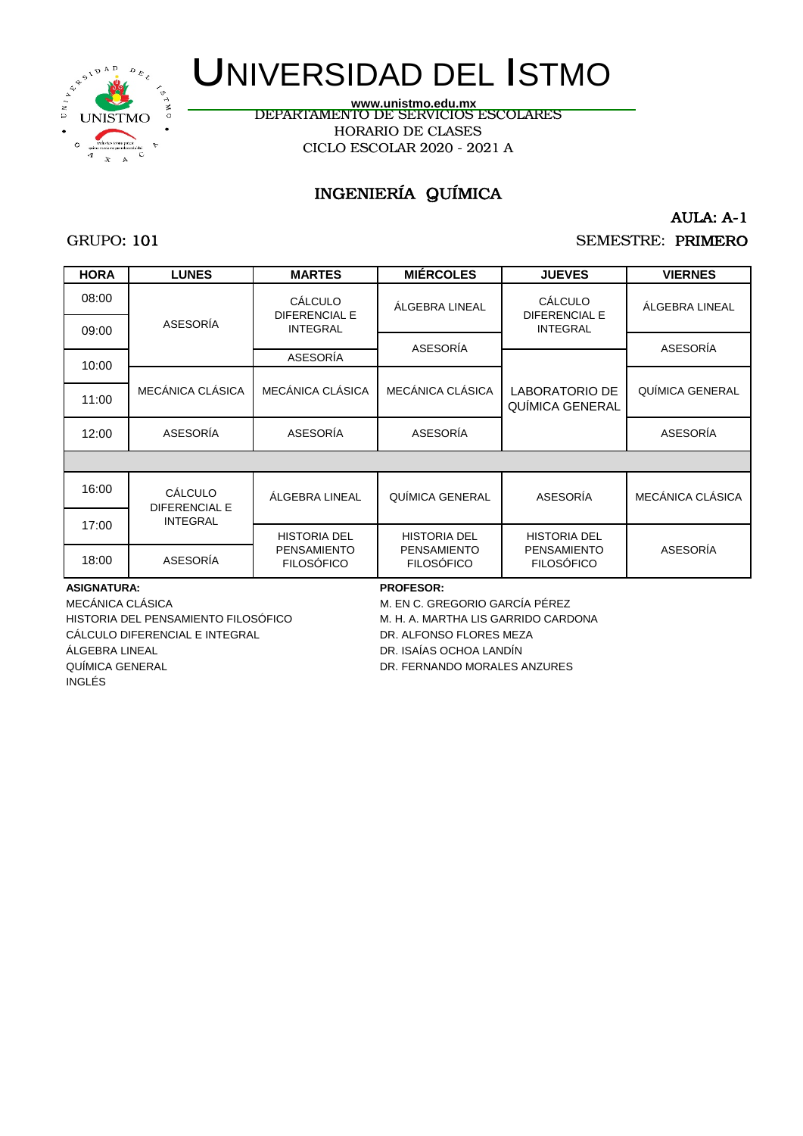

DEPARTAMENTO DE SERVICIOS ESCOLARES HORARIO DE CLASES CICLO ESCOLAR 2020 - 2021 A **www.unistmo.edu.mx**

## INGENIERÍA QUÍMICA

AULA: A-1

### GRUPO: 101

## SEMESTRE: PRIMERO

| <b>HORA</b> | <b>LUNES</b>                           | <b>MARTES</b>                           | <b>MIÉRCOLES</b>                        | <b>JUEVES</b>                           | <b>VIERNES</b>   |
|-------------|----------------------------------------|-----------------------------------------|-----------------------------------------|-----------------------------------------|------------------|
| 08:00       | ASESORÍA                               | <b>CÁLCULO</b><br><b>DIFERENCIAL E</b>  | ÁLGEBRA LINEAL                          | <b>CÁLCULO</b><br><b>DIFERENCIAL E</b>  | ÁLGEBRA LINEAL   |
| 09:00       |                                        | <b>INTEGRAL</b>                         |                                         | <b>INTEGRAL</b>                         |                  |
| 10:00       |                                        | ASESORÍA                                | ASESORÍA                                |                                         | ASESORÍA         |
|             |                                        |                                         |                                         |                                         |                  |
| 11:00       | MECÁNICA CLÁSICA                       | MECÁNICA CLÁSICA                        | MECÁNICA CLÁSICA                        | LABORATORIO DE<br>QUIMICA GENERAL       | QUÍMICA GENERAL  |
| 12:00       | ASESORÍA                               | ASESORÍA                                | ASESORÍA                                |                                         | ASESORÍA         |
|             |                                        |                                         |                                         |                                         |                  |
| 16:00       | <b>CÁLCULO</b><br><b>DIFERENCIAL E</b> | ÁLGEBRA LINEAL                          | QUÍMICA GENERAL                         | ASESORÍA                                | MECÁNICA CLÁSICA |
| 17:00       | <b>INTEGRAL</b>                        |                                         |                                         |                                         |                  |
|             |                                        | <b>HISTORIA DEL</b>                     | <b>HISTORIA DEL</b>                     | <b>HISTORIA DEL</b>                     |                  |
| 18:00       | ASESORÍA                               | <b>PENSAMIENTO</b><br><b>FILOSÓFICO</b> | <b>PENSAMIENTO</b><br><b>FILOSÓFICO</b> | <b>PENSAMIENTO</b><br><b>FILOSÓFICO</b> | ASESORÍA         |

#### **ASIGNATURA: PROFESOR:**

HISTORIA DEL PENSAMIENTO FILOSÓFICO M. H. A. MARTHA LIS GARRIDO CARDONA CÁLCULO DIFERENCIAL E INTEGRAL DR. ALFONSO FLORES MEZA ÁLGEBRA LINEAL **DR. ISAÍAS OCHOA LANDÍN** QUÍMICA GENERAL DR. FERNANDO MORALES ANZURES INGLÉS

MECÁNICA CLÁSICA MECÁNICA CLÁSICA MECÁNICA A MECÁNICA CLÁSICA MECÁNICA A MECÁNICA PÉREZ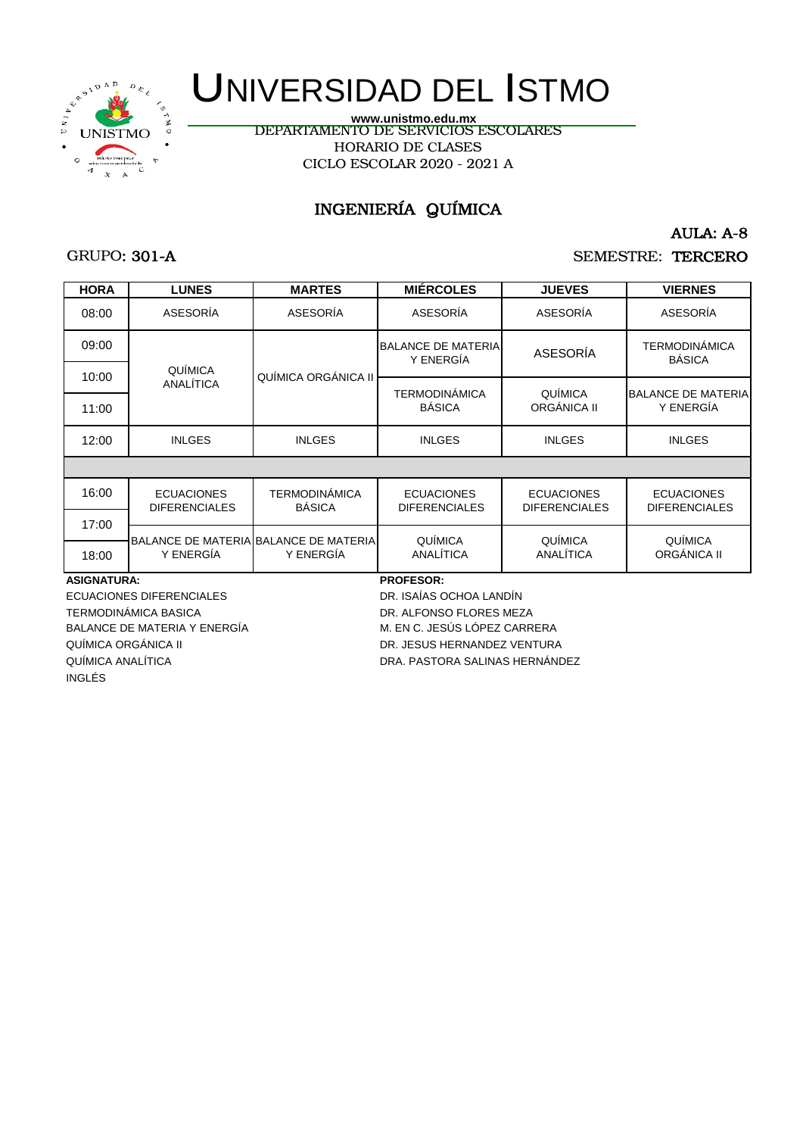

DEPARTAMENTO DE SERVICIOS ESCOLARES HORARIO DE CLASES CICLO ESCOLAR 2020 - 2021 A **www.unistmo.edu.mx**

## INGENIERÍA QUÍMICA

### GRUPO: 301-A

AULA: A-8

SEMESTRE: TERCERO

| <b>HORA</b>                            | <b>LUNES</b>                              | <b>MARTES</b>                         | <b>MIÉRCOLES</b>                          | <b>JUEVES</b>                             | <b>VIERNES</b>                            |  |
|----------------------------------------|-------------------------------------------|---------------------------------------|-------------------------------------------|-------------------------------------------|-------------------------------------------|--|
| 08:00                                  | ASESORÍA                                  | ASESORÍA                              | ASESORÍA                                  | ASESORÍA                                  | ASESORÍA                                  |  |
| 09:00                                  |                                           |                                       | <b>BALANCE DE MATERIA</b><br>Y ENERGÍA    | <b>ASESORÍA</b>                           | <b>TERMODINÁMICA</b><br><b>BÁSICA</b>     |  |
| 10:00                                  | QUÍMICA<br>ANALÍTICA                      | QUÍMICA ORGÁNICA II                   |                                           |                                           |                                           |  |
|                                        |                                           |                                       | <b>TERMODINÁMICA</b>                      | QUÍMICA                                   | <b>BALANCE DE MATERIA</b>                 |  |
| 11:00                                  |                                           |                                       | <b>BÁSICA</b>                             | ORGÁNICA II                               | Y ENERGÍA                                 |  |
| 12:00                                  | <b>INLGES</b>                             | <b>INLGES</b>                         | <b>INLGES</b>                             | <b>INLGES</b>                             | <b>INLGES</b>                             |  |
|                                        |                                           |                                       |                                           |                                           |                                           |  |
| 16:00                                  | <b>ECUACIONES</b><br><b>DIFERENCIALES</b> | <b>TERMODINÁMICA</b><br><b>BÁSICA</b> | <b>ECUACIONES</b><br><b>DIFERENCIALES</b> | <b>ECUACIONES</b><br><b>DIFERENCIALES</b> | <b>ECUACIONES</b><br><b>DIFERENCIALES</b> |  |
| 17:00                                  |                                           |                                       |                                           |                                           |                                           |  |
|                                        |                                           | BALANCE DE MATERIA BALANCE DE MATERIA | QUÍMICA                                   | QUÍMICA                                   | QUÍMICA                                   |  |
| 18:00                                  | Y ENERGÍA                                 | Y ENERGÍA                             | ANALÍTICA                                 | ANALÍTICA                                 | ORGÁNICA II                               |  |
| <b>PROFESOR:</b><br><b>ASIGNATURA:</b> |                                           |                                       |                                           |                                           |                                           |  |
|                                        | FOUACIONIEC DIFEDENCIALEC                 |                                       | DD IOAIAO OOUOA LANDINI                   |                                           |                                           |  |

ECUACIONES DIFERENCIALES DR. ISAÍAS OCHOA LANDÍN TERMODINÁMICA BASICA DR. ALFONSO FLORES MEZA BALANCE DE MATERIA Y ENERGÍA MERO DE MATERIA Y ENERGÍA MERO DE MATERIA MERO DE MATERIA EN CONTRA DE MATERIA E QUÍMICA ORGÁNICA II DR. JESUS HERNANDEZ VENTURA INGLÉS

QUÍMICA ANALÍTICA DRA. PASTORA SALINAS HERNÁNDEZ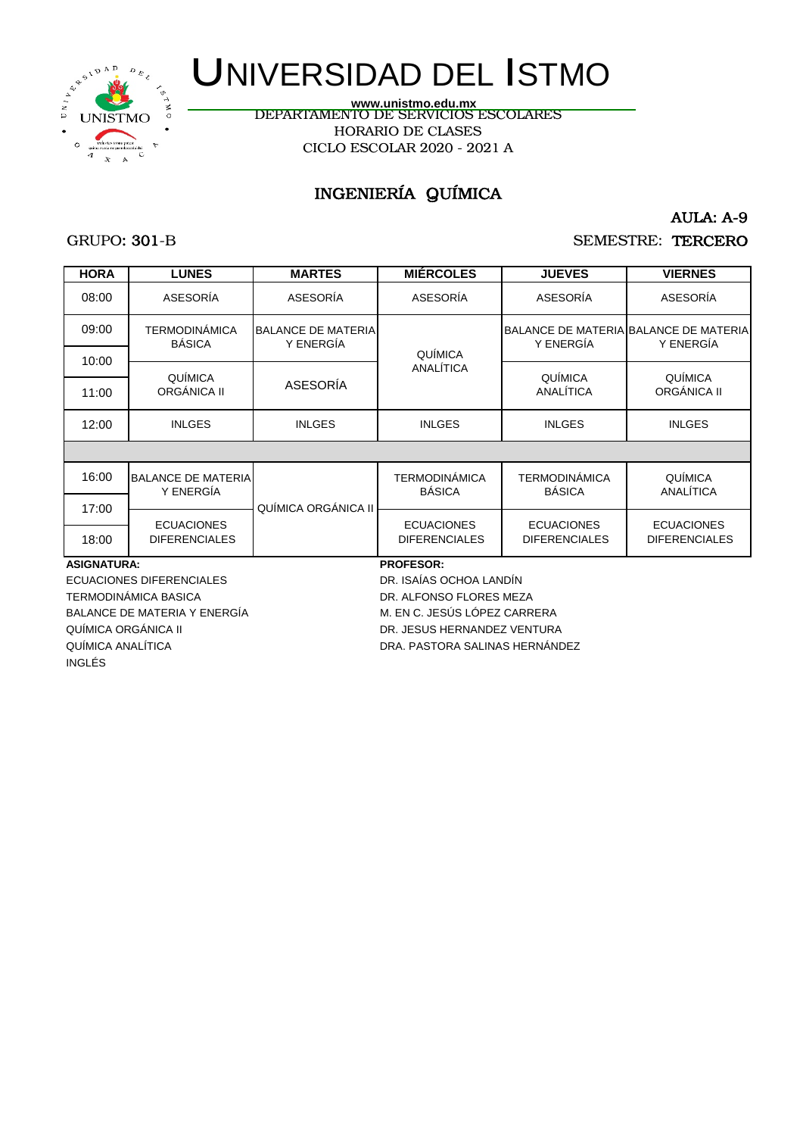

DEPARTAMENTO DE SERVICIOS ESCOLARES HORARIO DE CLASES CICLO ESCOLAR 2020 - 2021 A **www.unistmo.edu.mx**

## INGENIERÍA QUÍMICA

AULA: A-9

### GRUPO: 301-B

### SEMESTRE: TERCERO

| <b>HORA</b>              | <b>LUNES</b>                              | <b>MARTES</b>                          | <b>MIÉRCOLES</b>                          | <b>JUEVES</b>                             | <b>VIERNES</b>                                     |  |
|--------------------------|-------------------------------------------|----------------------------------------|-------------------------------------------|-------------------------------------------|----------------------------------------------------|--|
| 08:00                    | ASESORÍA                                  | ASESORÍA                               | ASESORÍA                                  | ASESORÍA                                  | ASESORÍA                                           |  |
| 09:00                    | TERMODINÁMICA<br><b>BÁSICA</b>            | <b>BALANCE DE MATERIA</b><br>Y ENERGÍA | QUÍMICA                                   | Y ENERGÍA                                 | BALANCE DE MATERIA BALANCE DE MATERIA<br>Y ENERGÍA |  |
| 10:00<br>11:00           | <b>QUÍMICA</b><br>ORGÁNICA II             | ASESORÍA                               | ANALÍTICA                                 | QUÍMICA<br>ANALÍTICA                      | <b>QUÍMICA</b><br>ORGÁNICA II                      |  |
| 12:00                    | <b>INLGES</b>                             | <b>INLGES</b>                          | <b>INLGES</b>                             | <b>INLGES</b>                             | <b>INLGES</b>                                      |  |
|                          |                                           |                                        |                                           |                                           |                                                    |  |
| 16:00                    | <b>BALANCE DE MATERIA</b><br>Y ENERGÍA    |                                        | <b>TERMODINÁMICA</b><br><b>BÁSICA</b>     | <b>TERMODINÁMICA</b><br><b>BÁSICA</b>     | QUÍMICA<br>ANALÍTICA                               |  |
| 17:00                    |                                           | QUÍMICA ORGÁNICA II                    |                                           |                                           |                                                    |  |
| 18:00                    | <b>ECUACIONES</b><br><b>DIFERENCIALES</b> |                                        | <b>ECUACIONES</b><br><b>DIFERENCIALES</b> | <b>ECUACIONES</b><br><b>DIFERENCIALES</b> | <b>ECUACIONES</b><br><b>DIFERENCIALES</b>          |  |
| <b>ASIGNATURA:</b>       |                                           |                                        | <b>PROFESOR:</b>                          |                                           |                                                    |  |
| ECUACIONES DIFERENCIALES |                                           |                                        | DR. ISAÍAS OCHOA LANDÍN                   |                                           |                                                    |  |
|                          | TERMODINÁMICA BASICA                      |                                        | DR. ALFONSO FLORES MEZA                   |                                           |                                                    |  |
|                          | <b>BALANCE DE MATERIA Y ENERGÍA</b>       |                                        | M. EN C. JESÚS LÓPEZ CARRERA              |                                           |                                                    |  |

QUÍMICA ORGÁNICA II DR. JESUS HERNANDEZ VENTURA

INGLÉS

QUÍMICA ANALÍTICA DE EN ENTREGADO DRA. PASTORA SALINAS HERNÁNDEZ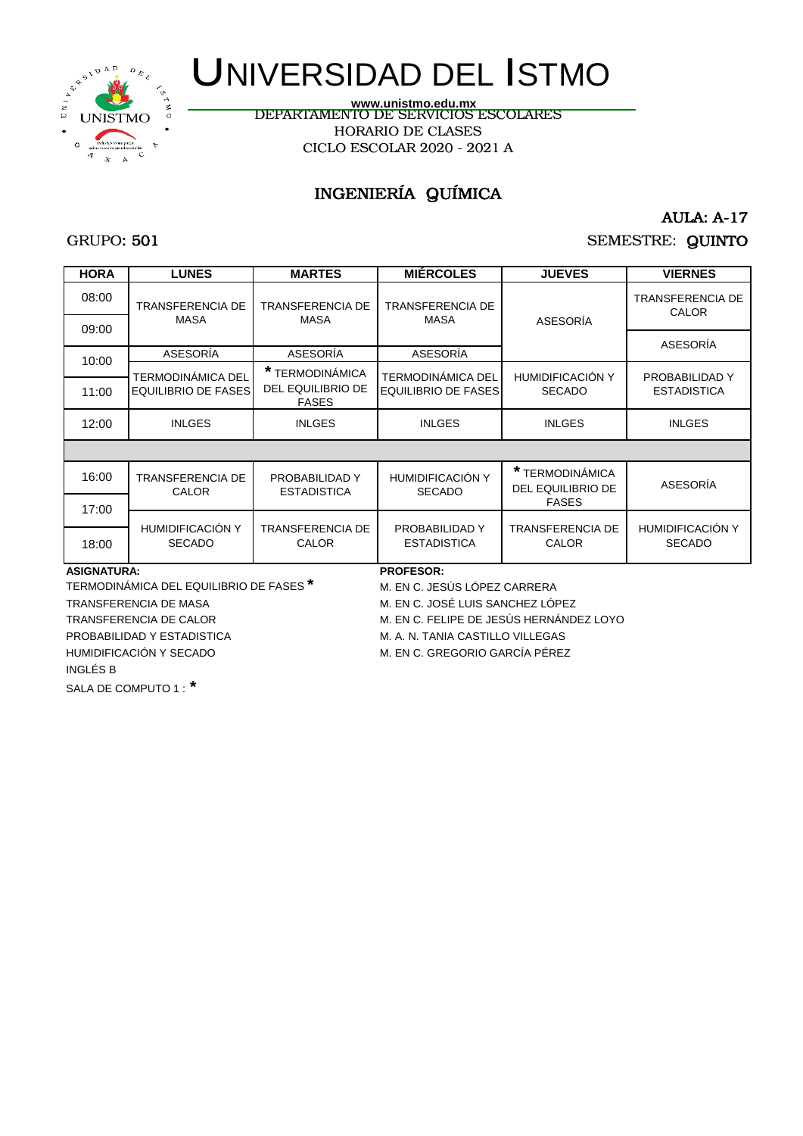

DEPARTAMENTO DE SERVICIOS ESCOLARES HORARIO DE CLASES CICLO ESCOLAR 2020 - 2021 A **www.unistmo.edu.mx**

## INGENIERÍA QUÍMICA

### GRUPO: 501

AULA: A-17

## SEMESTRE: QUINTO

| <b>HORA</b>        | <b>LUNES</b>                                       | <b>MARTES</b>                                        | <b>MIÉRCOLES</b>                                | <b>JUEVES</b>                               | <b>VIERNES</b>                           |  |
|--------------------|----------------------------------------------------|------------------------------------------------------|-------------------------------------------------|---------------------------------------------|------------------------------------------|--|
| 08:00              | <b>TRANSFERENCIA DE</b>                            | TRANSFERENCIA DE                                     | <b>TRANSFERENCIA DE</b>                         |                                             | <b>TRANSFERENCIA DE</b><br><b>CALOR</b>  |  |
| 09:00              | <b>MASA</b>                                        | <b>MASA</b>                                          | <b>MASA</b>                                     | ASESORÍA                                    |                                          |  |
| 10:00              | ASESORÍA                                           | ASESORÍA                                             | ASESORÍA                                        |                                             | ASESORÍA                                 |  |
| 11:00              | TERMODINÁMICA DEL<br><b>EQUILIBRIO DE FASES</b>    | * TERMODINÁMICA<br>DEL EQUILIBRIO DE<br><b>FASES</b> | TERMODINÁMICA DEL<br><b>EQUILIBRIO DE FASES</b> | <b>HUMIDIFICACIÓN Y</b><br><b>SECADO</b>    | PROBABILIDAD Y<br><b>ESTADISTICA</b>     |  |
| 12:00              | <b>INLGES</b>                                      | <b>INLGES</b>                                        | <b>INLGES</b>                                   | <b>INLGES</b>                               | <b>INLGES</b>                            |  |
|                    |                                                    |                                                      |                                                 |                                             |                                          |  |
| 16:00              | <b>TRANSFERENCIA DE</b><br><b>CALOR</b>            | PROBABILIDAD Y<br><b>ESTADISTICA</b>                 | HUMIDIFICACIÓN Y<br><b>SECADO</b>               | * TERMODINÁMICA<br><b>DEL EQUILIBRIO DE</b> | ASESORÍA                                 |  |
| 17:00              |                                                    |                                                      |                                                 | <b>FASES</b>                                |                                          |  |
| 18:00              | HUMIDIFICACIÓN Y<br><b>SECADO</b>                  | <b>TRANSFERENCIA DE</b><br>CALOR                     | PROBABILIDAD Y<br><b>ESTADISTICA</b>            | <b>TRANSFERENCIA DE</b><br><b>CALOR</b>     | <b>HUMIDIFICACIÓN Y</b><br><b>SECADO</b> |  |
| <b>ASIGNATURA:</b> |                                                    |                                                      | <b>PROFESOR:</b>                                |                                             |                                          |  |
|                    | TERMODINÁMICA DEL EQUILIBRIO DE FASES <sup>*</sup> |                                                      | M. EN C. JESÚS LÓPEZ CARRERA                    |                                             |                                          |  |
|                    | TRANSFERENCIA DE MASA                              |                                                      | M. EN C. JOSÉ LUIS SANCHEZ LÓPEZ                |                                             |                                          |  |

INGLÉS B

SALA DE COMPUTO 1 : **\***

TRANSFERENCIA DE CALOR M. EN C. FELIPE DE JESÚS HERNÁNDEZ LOYO

PROBABILIDAD Y ESTADISTICA M. A. N. TANIA CASTILLO VILLEGAS

HUMIDIFICACIÓN Y SECADO **M. EN C. GREGORIO GARCÍA PÉREZ**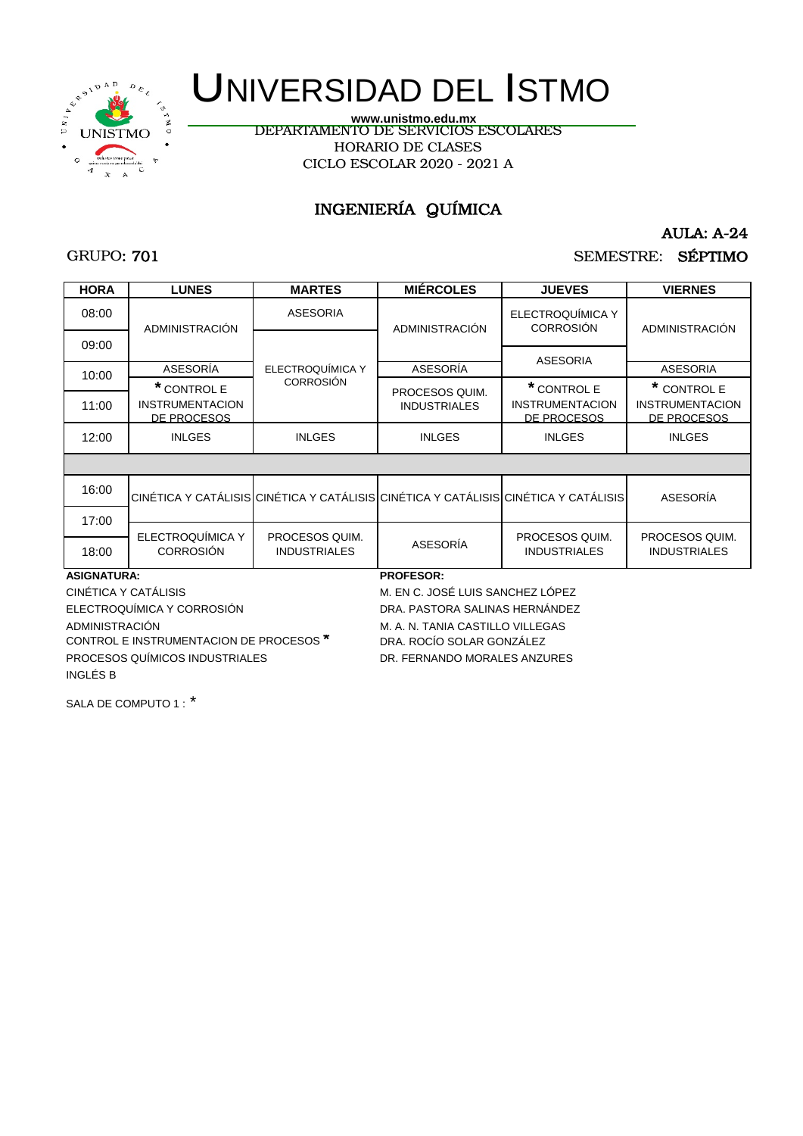

CICLO ESCOLAR 2020 - 2021 A DEPARTAMENTO DE SERVICIOS ESCOLARES HORARIO DE CLASES **www.unistmo.edu.mx**

## INGENIERÍA QUÍMICA

### GRUPO: 701

## AULA: A-24

## SEMESTRE: SÉPTIMO

| <b>HORA</b>                | <b>LUNES</b>                                         | <b>MARTES</b>       | <b>MIÉRCOLES</b>                                                                    | <b>JUEVES</b>                                        | <b>VIERNES</b>                                       |
|----------------------------|------------------------------------------------------|---------------------|-------------------------------------------------------------------------------------|------------------------------------------------------|------------------------------------------------------|
| 08:00                      | ADMINISTRACIÓN                                       | <b>ASESORIA</b>     | ADMINISTRACIÓN                                                                      | ELECTROQUÍMICA Y<br><b>CORROSIÓN</b>                 | <b>ADMINISTRACIÓN</b>                                |
| 09:00                      |                                                      |                     |                                                                                     | <b>ASESORIA</b>                                      |                                                      |
| 10:00                      | ASESORÍA                                             | ELECTROQUÍMICA Y    | ASESORÍA                                                                            |                                                      | <b>ASESORIA</b>                                      |
| 11:00                      | * CONTROL E<br><b>INSTRUMENTACION</b><br>DE PROCESOS | <b>CORROSIÓN</b>    | PROCESOS QUIM.<br><b>INDUSTRIALES</b>                                               | * CONTROL E<br><b>INSTRUMENTACION</b><br>DE PROCESOS | * CONTROL E<br><b>INSTRUMENTACION</b><br>DE PROCESOS |
| 12:00                      | <b>INLGES</b>                                        | <b>INLGES</b>       | <b>INLGES</b>                                                                       | <b>INLGES</b>                                        | <b>INLGES</b>                                        |
|                            |                                                      |                     |                                                                                     |                                                      |                                                      |
| 16:00                      |                                                      |                     | CINÉTICA Y CATÁLISIS CINÉTICA Y CATÁLISIS CINÉTICA Y CATÁLISIS CINÉTICA Y CATÁLISIS |                                                      | ASESORÍA                                             |
| 17:00                      |                                                      |                     |                                                                                     |                                                      |                                                      |
|                            | ELECTROQUÍMICA Y                                     | PROCESOS QUIM.      |                                                                                     | PROCESOS QUIM.                                       | PROCESOS QUIM.                                       |
| 18:00                      | <b>CORROSIÓN</b>                                     | <b>INDUSTRIALES</b> | <b>ASESORÍA</b>                                                                     | <b>INDUSTRIALES</b>                                  | <b>INDUSTRIALES</b>                                  |
| <b>ASIGNATURA:</b>         |                                                      |                     | <b>PROFESOR:</b>                                                                    |                                                      |                                                      |
| CINÉTICA Y CATÁLISIS       |                                                      |                     | M. EN C. JOSÉ LUIS SANCHEZ LÓPEZ                                                    |                                                      |                                                      |
| ELECTROQUÍMICA Y CORROSIÓN |                                                      |                     | DRA, PASTORA SALINAS HERNÁNDEZ                                                      |                                                      |                                                      |
| ADMINISTRACIÓN             | CONTROL E INCTRUMENTACION DE RROCECOS <sup>*</sup>   |                     | M. A. N. TANIA CASTILLO VILLEGAS<br>DDA DOOIO COLAD CONZÁLEZ                        |                                                      |                                                      |

CONTROL E INSTRUMENTACION DE PROCESOS **\*** DRA. ROCÍO SOLAR GONZÁLEZ PROCESOS QUÍMICOS INDUSTRIALES DR. FERNANDO MORALES ANZURES INGLÉS B

SALA DE COMPUTO 1 : \*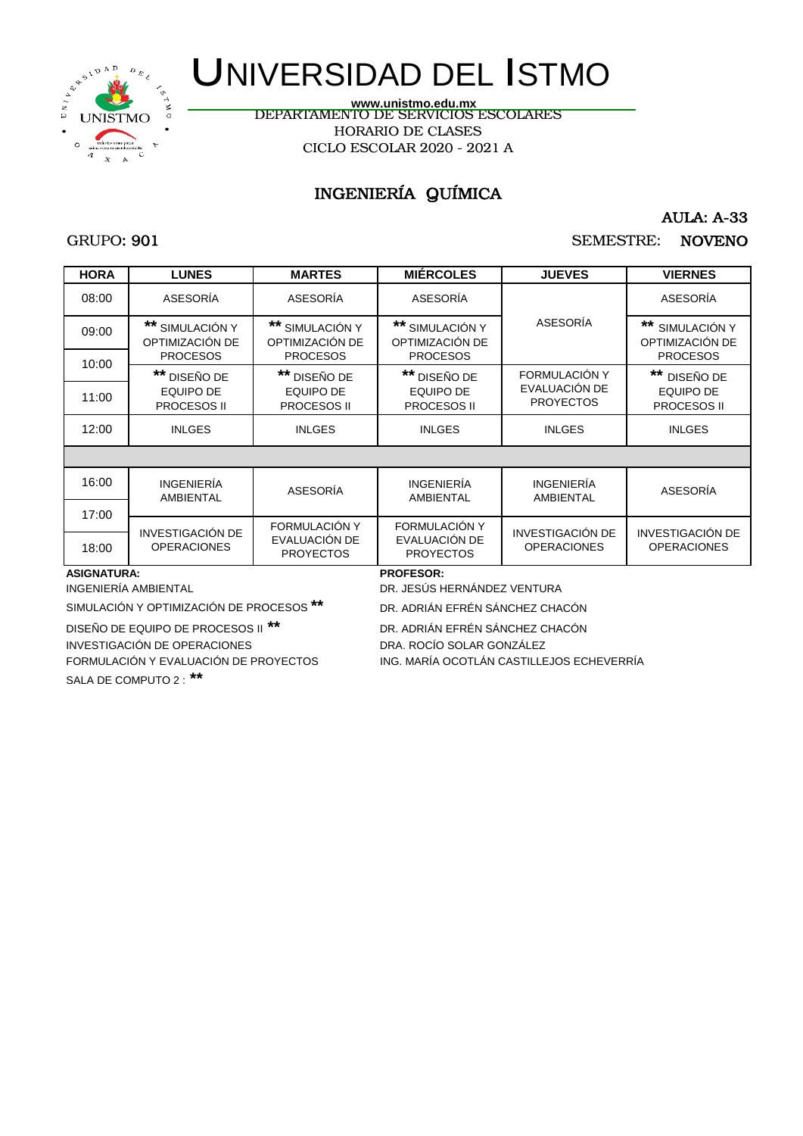

DEPARTAMENTO DE SERVICIOS ESCOLARES HORARIO DE CLASES CICLO ESCOLAR 2020 - 2021 A **www.unistmo.edu.mx**

## INGENIERÍA QUÍMICA

AULA: A-33

### GRUPO: 901

SEMESTRE: NOVENO

| <b>HORA</b>                                | <b>LUNES</b>                                    | <b>MARTES</b>                                             | <b>MIERCOLES</b>                                   | <b>JUEVES</b>                                 | <b>VIERNES</b>                                  |
|--------------------------------------------|-------------------------------------------------|-----------------------------------------------------------|----------------------------------------------------|-----------------------------------------------|-------------------------------------------------|
| 08:00                                      | ASESORÍA                                        | ASESORÍA                                                  | ASESORÍA                                           |                                               | ASESORÍA                                        |
| 09:00                                      | ** SIMULACIÓN Y<br>OPTIMIZACIÓN DE              | ** SIMULACIÓN Y<br>OPTIMIZACIÓN DE                        | ** SIMULACIÓN Y<br>OPTIMIZACIÓN DE                 | ASESORÍA                                      | ** SIMULACIÓN Y<br>OPTIMIZACIÓN DE              |
| 10:00                                      | <b>PROCESOS</b>                                 | <b>PROCESOS</b>                                           | <b>PROCESOS</b>                                    | FORMULACIÓN Y                                 | <b>PROCESOS</b>                                 |
| 11:00                                      | ** DISEÑO DE<br><b>EQUIPO DE</b><br>PROCESOS II | ** DISEÑO DE<br><b>EQUIPO DE</b><br>PROCESOS II           | ** DISEÑO DE<br><b>EQUIPO DE</b><br>PROCESOS II    | EVALUACIÓN DE<br><b>PROYECTOS</b>             | ** DISEÑO DE<br><b>EQUIPO DE</b><br>PROCESOS II |
| 12:00                                      | <b>INLGES</b>                                   | <b>INLGES</b>                                             | <b>INLGES</b>                                      | <b>INLGES</b>                                 | <b>INLGES</b>                                   |
|                                            |                                                 |                                                           |                                                    |                                               |                                                 |
| 16:00                                      | <b>INGENIERÍA</b><br>AMBIENTAL                  | ASESORÍA                                                  | <b>INGENIERÍA</b><br>AMBIENTAL                     | <b>INGENIERÍA</b><br>AMBIENTAL                | ASESORÍA                                        |
| 17:00                                      |                                                 |                                                           |                                                    |                                               |                                                 |
| 18:00                                      | INVESTIGACIÓN DE<br><b>OPERACIONES</b>          | <b>FORMULACIÓN Y</b><br>EVALUACIÓN DE<br><b>PROYECTOS</b> | FORMULACIÓN Y<br>EVALUACIÓN DE<br><b>PROYECTOS</b> | <b>INVESTIGACIÓN DE</b><br><b>OPERACIONES</b> | <b>INVESTIGACIÓN DE</b><br><b>OPERACIONES</b>   |
| <b>ASIGNATURA:</b><br>INGENIERÍA AMBIENTAL |                                                 |                                                           | <b>PROFESOR:</b><br>DR. JESÚS HERNÁNDEZ VENTURA    |                                               |                                                 |

SIMULACIÓN Y OPTIMIZACIÓN DE PROCESOS **\*\*** DR. ADRIÁN EFRÉN SÁNCHEZ CHACÓN

DISEÑO DE EQUIPO DE PROCESOS II **\*\*** DR. ADRIÁN EFRÉN SÁNCHEZ CHACÓN

INVESTIGACIÓN DE OPERACIONES DRA. ROCÍO SOLAR GONZÁLEZ

FORMULACIÓN Y EVALUACIÓN DE PROYECTOS ING. MARÍA OCOTLÁN CASTILLEJOS ECHEVERRÍA

SALA DE COMPUTO 2 : **\*\***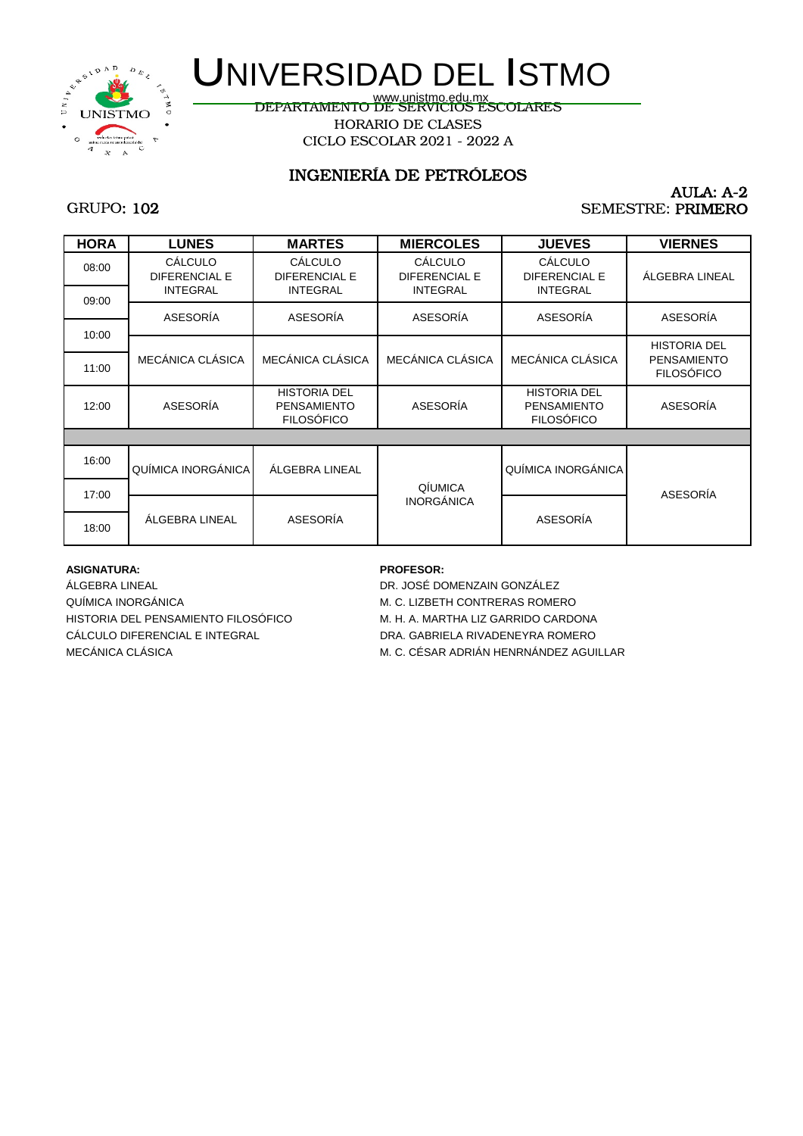

www.unistmo.edu.mx<br>DEPARTAMENTO DE SERVICIOS ESCOLARES HORARIO DE CLASES CICLO ESCOLAR 2021 - 2022 A

## INGENIERÍA DE PETRÓLEOS

#### AULA: A-2 SEMESTRE: PRIMERO

## GRUPO: 102

| <b>HORA</b>    | <b>LUNES</b>                                       | <b>MARTES</b>                                                  | <b>MIERCOLES</b>                                   | <b>JUEVES</b>                                                  | <b>VIERNES</b>                                                 |
|----------------|----------------------------------------------------|----------------------------------------------------------------|----------------------------------------------------|----------------------------------------------------------------|----------------------------------------------------------------|
| 08:00          | CALCULO<br><b>DIFERENCIAL E</b><br><b>INTEGRAL</b> | CÁLCULO<br><b>DIFERENCIAL E</b><br><b>INTEGRAL</b>             | CÁLCULO<br><b>DIFERENCIAL E</b><br><b>INTEGRAL</b> | CÁLCULO<br><b>DIFERENCIAL E</b><br><b>INTEGRAL</b>             | ÁLGEBRA LINEAL                                                 |
| 09:00<br>10:00 | ASESORÍA                                           | ASESORÍA                                                       | ASESORÍA                                           | ASESORÍA                                                       | ASESORÍA                                                       |
| 11:00          | MECÁNICA CLÁSICA                                   | MECÁNICA CLÁSICA                                               | MECÁNICA CLÁSICA                                   | MECÁNICA CLÁSICA                                               | <b>HISTORIA DEL</b><br><b>PENSAMIENTO</b><br><b>FILOSÓFICO</b> |
| 12:00          | ASESORÍA                                           | <b>HISTORIA DEL</b><br><b>PENSAMIENTO</b><br><b>FILOSÓFICO</b> | ASESORÍA                                           | <b>HISTORIA DEL</b><br><b>PENSAMIENTO</b><br><b>FILOSÓFICO</b> | ASESORÍA                                                       |
|                |                                                    |                                                                |                                                    |                                                                |                                                                |
| 16:00          | QUÍMICA INORGÁNICA                                 | ÁLGEBRA LINEAL                                                 |                                                    | QUÍMICA INORGÁNICA                                             |                                                                |
| 17:00          |                                                    |                                                                | QÍUMICA                                            |                                                                | ASESORÍA                                                       |
| 18:00          | ÁLGEBRA LINEAL                                     | ASESORÍA                                                       | <b>INORGÁNICA</b>                                  | ASESORÍA                                                       |                                                                |

#### **ASIGNATURA: PROFESOR:**

ÁLGEBRA LINEAL DR. JOSÉ DOMENZAIN GONZÁLEZ QUÍMICA INORGÁNICA MESSACIONAL DE MESSACIONAL DE MESSACIONAL DE MESSACIONAL DE MESSACIONAL DE MESSACIONAL DE ME HISTORIA DEL PENSAMIENTO FILOSÓFICO M. H. A. MARTHA LIZ GARRIDO CARDONA CÁLCULO DIFERENCIAL E INTEGRAL DRA. GABRIELA RIVADENEYRA ROMERO

MECÁNICA CLÁSICA MECÁNICA M. C. CÉSAR ADRIÁN HENRNÁNDEZ AGUILLAR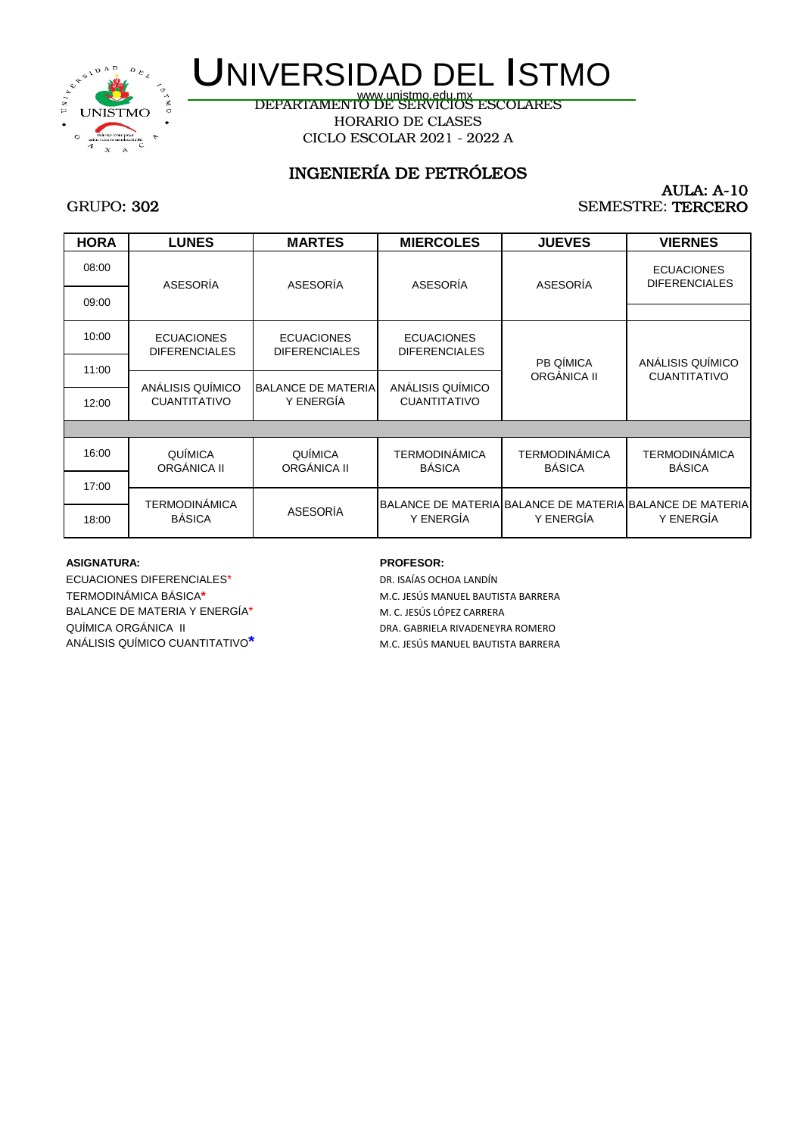

DEPARTAMENTO DE SERVICIOS ESCOLARES www.unistmo.edu.mx HORARIO DE CLASES CICLO ESCOLAR 2021 - 2022 A

## INGENIERÍA DE PETRÓLEOS

#### AULA: A-10 SEMESTRE: TERCERO

## GRUPO: 302

| <b>HORA</b> | <b>LUNES</b>                              | <b>MARTES</b>                             | <b>MIERCOLES</b>                          | <b>JUEVES</b>                         | <b>VIERNES</b>                                                        |
|-------------|-------------------------------------------|-------------------------------------------|-------------------------------------------|---------------------------------------|-----------------------------------------------------------------------|
| 08:00       | ASESORÍA                                  | ASESORÍA                                  | ASESORÍA                                  | ASESORÍA                              | <b>ECUACIONES</b><br><b>DIFERENCIALES</b>                             |
| 09:00       |                                           |                                           |                                           |                                       |                                                                       |
| 10:00       | <b>ECUACIONES</b><br><b>DIFERENCIALES</b> | <b>ECUACIONES</b><br><b>DIFERENCIALES</b> | <b>ECUACIONES</b><br><b>DIFERENCIALES</b> |                                       |                                                                       |
| 11:00       |                                           |                                           |                                           | PB QÍMICA                             | ANÁLISIS QUÍMICO<br><b>CUANTITATIVO</b>                               |
| 12:00       | ANÁLISIS QUÍMICO<br><b>CUANTITATIVO</b>   | <b>BALANCE DE MATERIA</b><br>Y ENERGÍA    | ANÁLISIS QUÍMICO<br><b>CUANTITATIVO</b>   | ORGÁNICA II                           |                                                                       |
|             |                                           |                                           |                                           |                                       |                                                                       |
| 16:00       | QUÍMICA<br>ORGÁNICA II                    | QUÍMICA<br>ORGÁNICA II                    | <b>TERMODINÁMICA</b><br><b>BÁSICA</b>     | <b>TERMODINÁMICA</b><br><b>BÁSICA</b> | <b>TERMODINÁMICA</b><br><b>BÁSICA</b>                                 |
| 17:00       |                                           |                                           |                                           |                                       |                                                                       |
| 18:00       | <b>TERMODINÁMICA</b><br><b>BÁSICA</b>     | <b>ASESORÍA</b>                           | Y ENERGÍA                                 | Y ENERGÍA                             | BALANCE DE MATERIA BALANCE DE MATERIA BALANCE DE MATERIA<br>Y ENERGÍA |

#### **ASIGNATURA: PROFESOR:**

ECUACIONES DIFERENCIALES<sup>\*</sup> DR. ISAÍAS OCHOA LANDÍN TERMODINÁMICA BÁSICA**\*** M.C. JESÚS MANUEL BAUTISTA BARRERA BALANCE DE MATERIA Y ENERGÍA\* M. C. JESÚS LÓPEZ CARRERA QUÍMICA ORGÁNICA II DRA. GABRIELA RIVADENEYRA ROMERO ANÁLISIS QUÍMICO CUANTITATIVO**\*** M.C. JESÚS MANUEL BAUTISTA BARRERA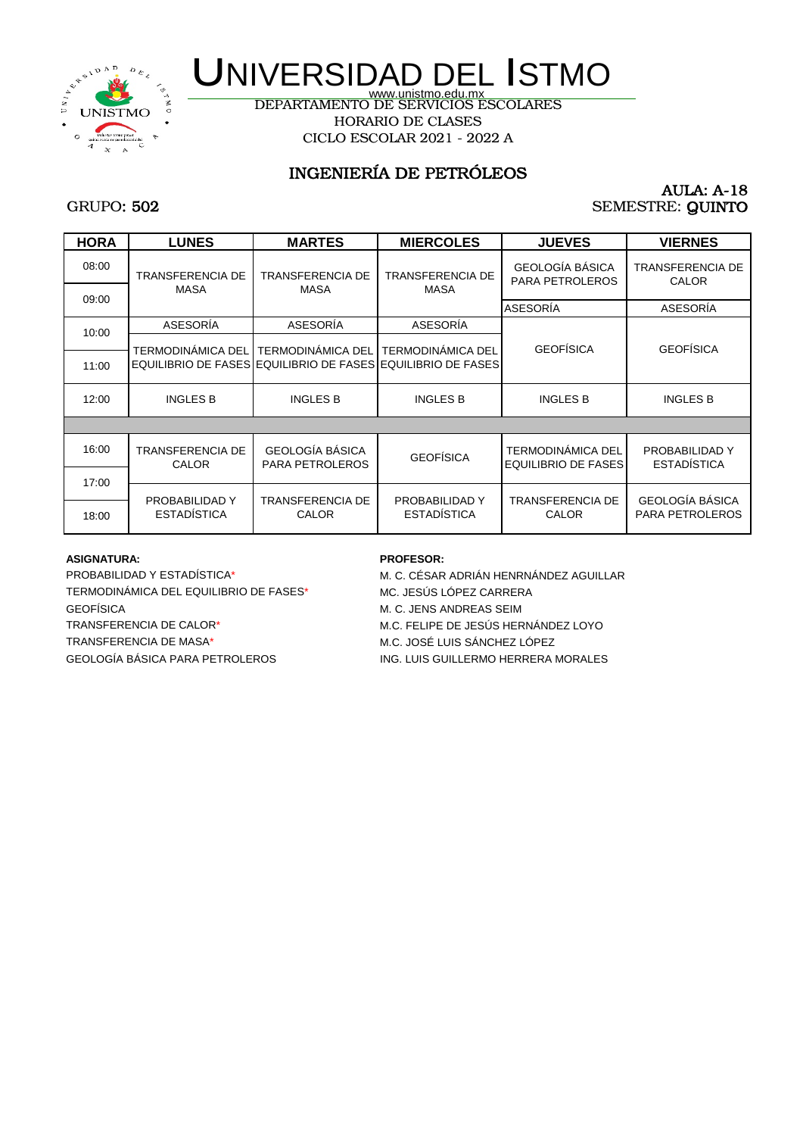

DEPARTAMENTO DE SERVICIOS ESCOLARES HORARIO DE CLASES CICLO ESCOLAR 2021 - 2022 A

## INGENIERÍA DE PETRÓLEOS

#### AULA: A-18 SEMESTRE: QUINTO

## GRUPO: 502

| <b>HORA</b> | <b>LUNES</b>                         | <b>MARTES</b>                             | <b>MIERCOLES</b>                                                                        | <b>JUEVES</b>                                          | <b>VIERNES</b>                            |
|-------------|--------------------------------------|-------------------------------------------|-----------------------------------------------------------------------------------------|--------------------------------------------------------|-------------------------------------------|
| 08:00       | <b>TRANSFERENCIA DE</b>              | TRANSFERENCIA DE                          | <b>TRANSFERENCIA DE</b>                                                                 | GEOLOGÍA BÁSICA<br><b>PARA PETROLEROS</b>              | <b>TRANSFERENCIA DE</b><br><b>CALOR</b>   |
| 09:00       | <b>MASA</b>                          | <b>MASA</b>                               | <b>MASA</b>                                                                             | ASESORÍA                                               | ASESORÍA                                  |
| 10:00       | ASESORÍA                             | ASESORÍA                                  | ASESORÍA                                                                                |                                                        |                                           |
| 11:00       | <b>TERMODINÁMICA DEL</b>             | TERMODINÁMICA DEL                         | <b>TERMODINÁMICA DEL</b><br>EQUILIBRIO DE FASES EQUILIBRIO DE FASES EQUILIBRIO DE FASES | <b>GEOFÍSICA</b>                                       | <b>GEOFÍSICA</b>                          |
| 12:00       | <b>INGLES B</b>                      | <b>INGLES B</b>                           | <b>INGLES B</b>                                                                         | <b>INGLES B</b>                                        | <b>INGLES B</b>                           |
|             |                                      |                                           |                                                                                         |                                                        |                                           |
| 16:00       | <b>TRANSFERENCIA DE</b><br>CALOR     | GEOLOGÍA BÁSICA<br><b>PARA PETROLEROS</b> | <b>GEOFÍSICA</b>                                                                        | <b>TERMODINÁMICA DEL</b><br><b>EQUILIBRIO DE FASES</b> | PROBABILIDAD Y<br><b>ESTADÍSTICA</b>      |
| 17:00       |                                      |                                           |                                                                                         |                                                        |                                           |
| 18:00       | PROBABILIDAD Y<br><b>ESTADÍSTICA</b> | TRANSFERENCIA DE<br><b>CALOR</b>          | PROBABILIDAD Y<br><b>ESTADÍSTICA</b>                                                    | <b>TRANSFERENCIA DE</b><br><b>CALOR</b>                | GEOLOGÍA BÁSICA<br><b>PARA PETROLEROS</b> |

#### **ASIGNATURA: PROFESOR:**

TERMODINÁMICA DEL EQUILIBRIO DE FASES\* MC. JESÚS LÓPEZ CARRERA GEOFÍSICA M. C. JENS ANDREAS SEIM TRANSFERENCIA DE CALOR\* M.C. FELIPE DE JESÚS HERNÁNDEZ LOYO TRANSFERENCIA DE MASA\*  $M.C.$  JOSÉ LUIS SÁNCHEZ LÓPEZ GEOLOGÍA BÁSICA PARA PETROLEROS ING. LUIS GUILLERMO HERRERA MORALES

PROBABILIDAD Y ESTADÍSTICA\* M. C. CÉSAR ADRIÁN HENRNÁNDEZ AGUILLAR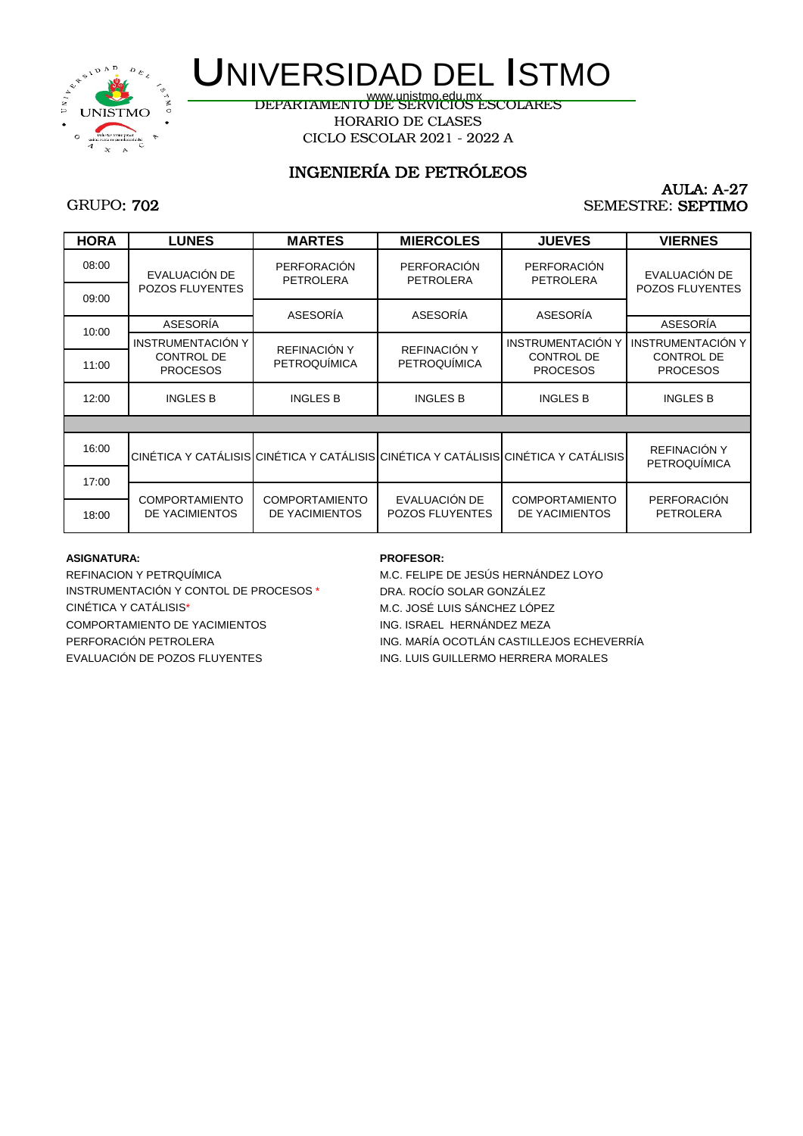

www.unistmo.edu.mx<br>DEPARTAMENTO DE SERVICIOS ESCOLARES HORARIO DE CLASES CICLO ESCOLAR 2021 - 2022 A

## INGENIERÍA DE PETRÓLEOS

#### AULA: A-27 SEMESTRE: SEPTIMO

## GRUPO: 702

| <b>LUNES</b>                                                     | <b>MARTES</b>                           | <b>MIERCOLES</b>                        | <b>JUEVES</b>                                                    | <b>VIERNES</b>                                                                                                      |
|------------------------------------------------------------------|-----------------------------------------|-----------------------------------------|------------------------------------------------------------------|---------------------------------------------------------------------------------------------------------------------|
| EVALUACIÓN DE                                                    | <b>PERFORACIÓN</b>                      | PERFORACIÓN                             | <b>PERFORACIÓN</b>                                               | EVALUACIÓN DE                                                                                                       |
|                                                                  |                                         |                                         |                                                                  | <b>POZOS FLUYENTES</b>                                                                                              |
|                                                                  |                                         |                                         |                                                                  | ASESORÍA                                                                                                            |
| <b>INSTRUMENTACIÓN Y</b><br><b>CONTROL DE</b><br><b>PROCESOS</b> | REFINACIÓN Y<br><b>PETROQUÍMICA</b>     | REFINACIÓN Y<br><b>PETROQUÍMICA</b>     | <b>INSTRUMENTACIÓN Y</b><br><b>CONTROL DE</b><br><b>PROCESOS</b> | <b>INSTRUMENTACIÓN Y</b><br><b>CONTROL DE</b><br><b>PROCESOS</b>                                                    |
| <b>INGLES B</b>                                                  | <b>INGLES B</b>                         | <b>INGLES B</b>                         | <b>INGLES B</b>                                                  | <b>INGLES B</b>                                                                                                     |
|                                                                  |                                         |                                         |                                                                  |                                                                                                                     |
|                                                                  |                                         |                                         |                                                                  | REFINACIÓN Y<br><b>PETROQUÍMICA</b>                                                                                 |
|                                                                  |                                         |                                         |                                                                  |                                                                                                                     |
| <b>COMPORTAMIENTO</b><br>DE YACIMIENTOS                          | <b>COMPORTAMIENTO</b><br>DE YACIMIENTOS | EVALUACIÓN DE<br><b>POZOS FLUYENTES</b> | <b>COMPORTAMIENTO</b><br>DE YACIMIENTOS                          | <b>PERFORACIÓN</b><br><b>PETROLERA</b>                                                                              |
|                                                                  | <b>POZOS FLUYENTES</b><br>ASESORÍA      | <b>PETROLERA</b><br>ASESORÍA            | <b>PETROLERA</b><br>ASESORÍA                                     | <b>PETROLERA</b><br>ASESORÍA<br>CINÉTICA Y CATÁLISIS CINÉTICA Y CATÁLISIS CINÉTICA Y CATÁLISIS CINÉTICA Y CATÁLISIS |

#### **ASIGNATURA: PROFESOR:**

REFINACION Y PETRQUÍMICA M.C. FELIPE DE JESÚS HERNÁNDEZ LOYO INSTRUMENTACIÓN Y CONTOL DE PROCESOS \* DRA. ROCÍO SOLAR GONZÁLEZ CINÉTICA Y CATÁLISIS\* M.C. JOSÉ LUIS SÁNCHEZ LÓPEZ COMPORTAMIENTO DE YACIMIENTOS **ING. ISRAEL HERNÁNDEZ MEZA** EVALUACIÓN DE POZOS FLUYENTES **ING. LUIS GUILLERMO HERRERA MORALES** 

PERFORACIÓN PETROLERA ING. MARÍA OCOTLÁN CASTILLEJOS ECHEVERRÍA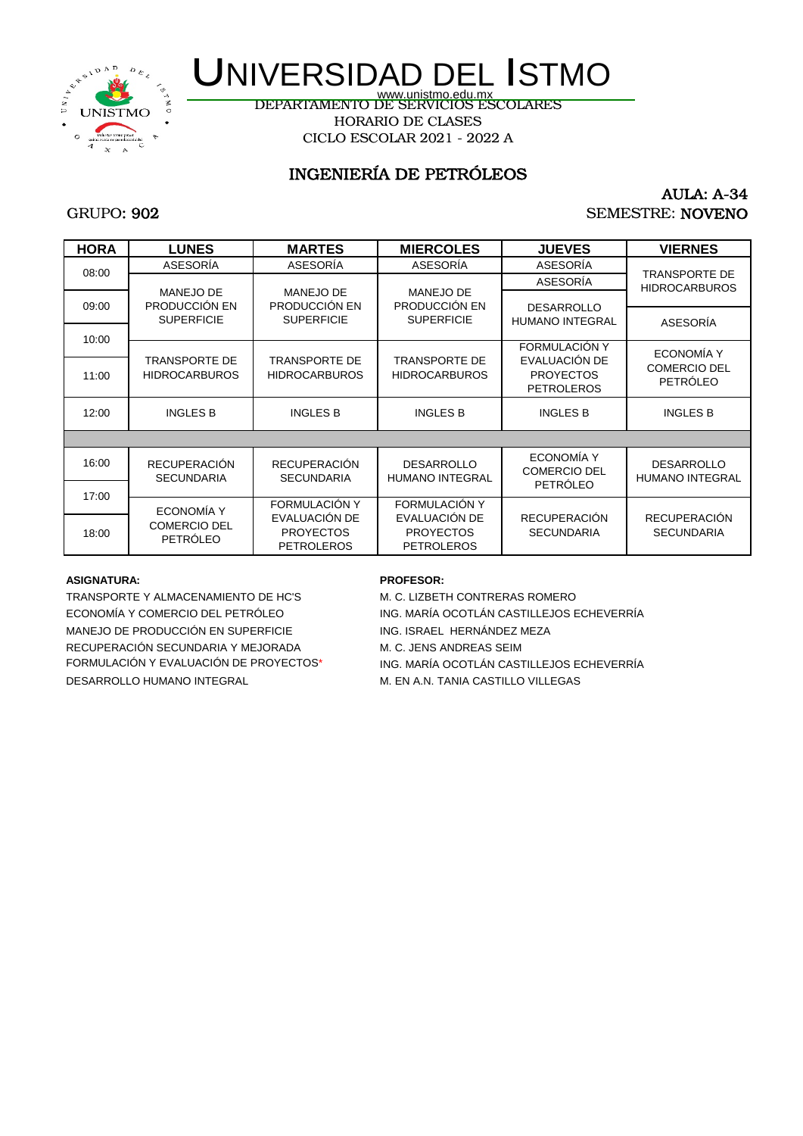

www.unistmo.edu.mx<br>DEPARTAMENTO DE SERVICIOS ESCOLARES HORARIO DE CLASES CICLO ESCOLAR 2021 - 2022 A

## INGENIERÍA DE PETRÓLEOS

## SEMESTRE: NOVENO AULA: A-34

#### GRUPO: 902

| <b>HORA</b> | <b>LUNES</b>                      | <b>MARTES</b>                     | <b>MIERCOLES</b>                  | <b>JUEVES</b>                         | <b>VIERNES</b>                               |
|-------------|-----------------------------------|-----------------------------------|-----------------------------------|---------------------------------------|----------------------------------------------|
|             | ASESORÍA                          | ASESORÍA                          | ASESORÍA                          | ASESORÍA                              |                                              |
| 08:00       |                                   |                                   |                                   | ASESORÍA                              | <b>TRANSPORTE DE</b><br><b>HIDROCARBUROS</b> |
| 09:00       | <b>MANEJO DE</b><br>PRODUCCIÓN EN | <b>MANEJO DE</b><br>PRODUCCIÓN EN | <b>MANEJO DE</b><br>PRODUCCIÓN EN | <b>DESARROLLO</b>                     |                                              |
|             | <b>SUPERFICIE</b>                 | <b>SUPERFICIE</b>                 | <b>SUPERFICIE</b>                 | <b>HUMANO INTEGRAL</b>                | ASESORÍA                                     |
| 10:00       |                                   |                                   |                                   |                                       |                                              |
|             | <b>TRANSPORTE DE</b>              | <b>TRANSPORTE DE</b>              | <b>TRANSPORTE DE</b>              | <b>FORMULACIÓN Y</b><br>EVALUACIÓN DE | <b>ECONOMÍA Y</b>                            |
| 11:00       | <b>HIDROCARBUROS</b>              | <b>HIDROCARBUROS</b>              | <b>HIDROCARBUROS</b>              | <b>PROYECTOS</b>                      | <b>COMERCIO DEL</b>                          |
|             |                                   |                                   |                                   | <b>PETROLEROS</b>                     | <b>PETRÓLEO</b>                              |
| 12:00       | <b>INGLES B</b>                   | <b>INGLES B</b>                   | <b>INGLES B</b>                   | <b>INGLES B</b>                       | <b>INGLES B</b>                              |
|             |                                   |                                   |                                   |                                       |                                              |
|             |                                   |                                   |                                   |                                       |                                              |
| 16:00       | <b>RECUPERACIÓN</b>               | <b>RECUPERACIÓN</b>               | <b>DESARROLLO</b>                 | <b>ECONOMÍA Y</b>                     | <b>DESARROLLO</b>                            |
|             | <b>SECUNDARIA</b>                 | <b>SECUNDARIA</b>                 | <b>HUMANO INTEGRAL</b>            | <b>COMERCIO DEL</b><br>PETRÓLEO       | <b>HUMANO INTEGRAL</b>                       |
| 17:00       |                                   |                                   |                                   |                                       |                                              |
|             | ECONOMÍA Y                        | FORMULACIÓN Y                     | <b>FORMULACIÓN Y</b>              | <b>RECUPERACIÓN</b>                   |                                              |
| 18:00       | <b>COMERCIO DEL</b>               | EVALUACIÓN DE<br><b>PROYECTOS</b> | EVALUACIÓN DE<br><b>PROYECTOS</b> | <b>SECUNDARIA</b>                     | <b>RECUPERACIÓN</b><br><b>SECUNDARIA</b>     |
|             | <b>PETRÓLEO</b>                   | <b>PETROLEROS</b>                 | <b>PETROLEROS</b>                 |                                       |                                              |

#### **ASIGNATURA: PROFESOR:**

TRANSPORTE Y ALMACENAMIENTO DE HC'S M. C. LIZBETH CONTRERAS ROMERO MANEJO DE PRODUCCIÓN EN SUPERFICIE ING. ISRAEL HERNÁNDEZ MEZA RECUPERACIÓN SECUNDARIA Y MEJORADA M. C. JENS ANDREAS SEIM DESARROLLO HUMANO INTEGRAL M. EN A.N. TANIA CASTILLO VILLEGAS

ECONOMÍA Y COMERCIO DEL PETRÓLEO ING. MARÍA OCOTLÁN CASTILLEJOS ECHEVERRÍA FORMULACIÓN Y EVALUACIÓN DE PROYECTOS\* ING. MARÍA OCOTLÁN CASTILLEJOS ECHEVERRÍA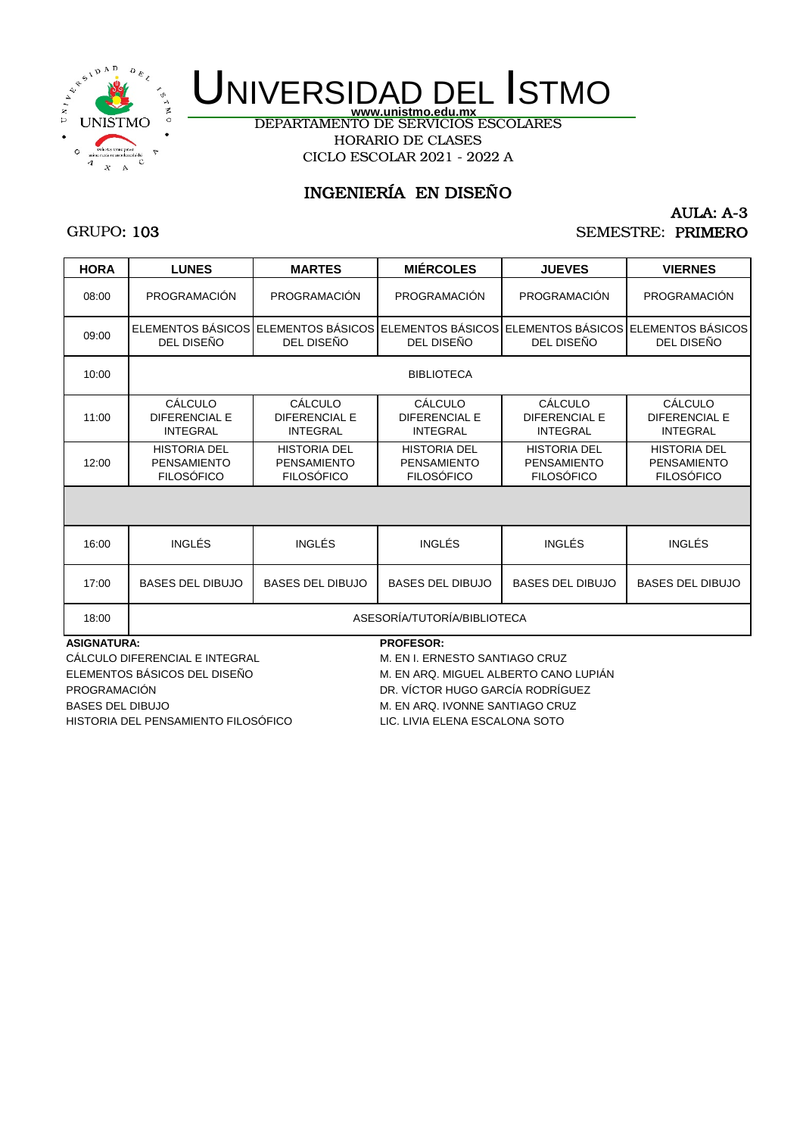

DEPARTAMENTO DE SERVICIOS ESCOLARES HORARIO DE CLASES CICLO ESCOLAR 2021 - 2022 A

## INGENIERÍA EN DISEÑO

## GRUPO: 103

### AULA: A-3 SEMESTRE: PRIMERO

| <b>HORA</b>        | <b>LUNES</b>                                                   | <b>MARTES</b>                                                                                               | <b>MIÉRCOLES</b>                                               | <b>JUEVES</b>                                                  | <b>VIERNES</b>                                                 |  |  |  |
|--------------------|----------------------------------------------------------------|-------------------------------------------------------------------------------------------------------------|----------------------------------------------------------------|----------------------------------------------------------------|----------------------------------------------------------------|--|--|--|
| 08:00              | <b>PROGRAMACIÓN</b>                                            | <b>PROGRAMACIÓN</b>                                                                                         | PROGRAMACIÓN                                                   | <b>PROGRAMACIÓN</b>                                            | PROGRAMACIÓN                                                   |  |  |  |
| 09:00              | DEL DISEÑO                                                     | ELEMENTOS BÁSICOS LELEMENTOS BÁSICOS LELEMENTOS BÁSICOS LELEMENTOS BÁSICOS LELEMENTOS BÁSICOS<br>DEL DISEÑO | DEL DISEÑO                                                     | DEL DISEÑO                                                     | DEL DISEÑO                                                     |  |  |  |
| 10:00              |                                                                |                                                                                                             | <b>BIBLIOTECA</b>                                              |                                                                |                                                                |  |  |  |
| 11:00              | CÁLCULO<br><b>DIFERENCIAL E</b><br><b>INTEGRAL</b>             | CÁLCULO<br><b>DIFERENCIAL E</b><br><b>INTEGRAL</b>                                                          | CÁLCULO<br><b>DIFERENCIAL E</b><br><b>INTEGRAL</b>             | CÁLCULO<br><b>DIFERENCIAL E</b><br><b>INTEGRAL</b>             | CÁLCULO<br><b>DIFERENCIAL E</b><br><b>INTEGRAL</b>             |  |  |  |
| 12:00              | <b>HISTORIA DEL</b><br><b>PENSAMIENTO</b><br><b>FILOSÓFICO</b> | <b>HISTORIA DEL</b><br><b>PENSAMIENTO</b><br><b>FILOSÓFICO</b>                                              | <b>HISTORIA DEL</b><br><b>PENSAMIENTO</b><br><b>FILOSÓFICO</b> | <b>HISTORIA DEL</b><br><b>PENSAMIENTO</b><br><b>FILOSÓFICO</b> | <b>HISTORIA DEL</b><br><b>PENSAMIENTO</b><br><b>FILOSÓFICO</b> |  |  |  |
|                    |                                                                |                                                                                                             |                                                                |                                                                |                                                                |  |  |  |
| 16:00              | <b>INGLÉS</b>                                                  | <b>INGLÉS</b>                                                                                               | INGLÉS                                                         | INGLÉS                                                         | <b>INGLÉS</b>                                                  |  |  |  |
| 17:00              | <b>BASES DEL DIBUJO</b>                                        | <b>BASES DEL DIBUJO</b>                                                                                     | <b>BASES DEL DIBUJO</b>                                        | <b>BASES DEL DIBUJO</b>                                        | <b>BASES DEL DIBUJO</b>                                        |  |  |  |
| 18:00              | ASESORÍA/TUTORÍA/BIBLIOTECA                                    |                                                                                                             |                                                                |                                                                |                                                                |  |  |  |
| <b>ASIGNATURA:</b> |                                                                |                                                                                                             | <b>PROFESOR:</b>                                               |                                                                |                                                                |  |  |  |

CÁLCULO DIFERENCIAL E INTEGRAL M. EN I. ERNESTO SANTIAGO CRUZ PROGRAMACIÓN DR. VÍCTOR HUGO GARCÍA RODRÍGUEZ BASES DEL DIBUJO **M. EN ARQ. IVONNE SANTIAGO CRUZ** HISTORIA DEL PENSAMIENTO FILOSÓFICO LIC. LIVIA ELENA ESCALONA SOTO

ELEMENTOS BÁSICOS DEL DISEÑO M. EN ARQ. MIGUEL ALBERTO CANO LUPIÁN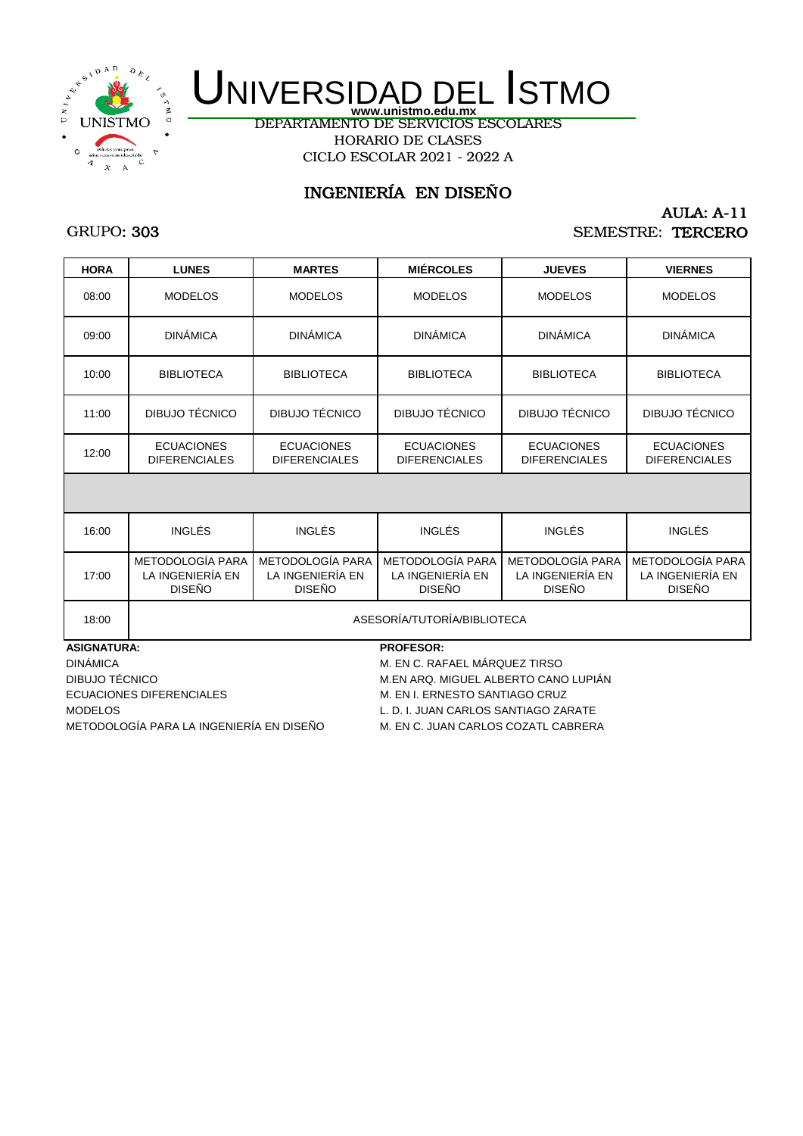

DEPARTAMENTO DE SERVICIOS ESCOLARES HORARIO DE CLASES CICLO ESCOLAR 2021 - 2022 A

## INGENIERÍA EN DISEÑO

## GRUPO: 303

### AULA: A-11 SEMESTRE: TERCERO

| <b>HORA</b> | <b>LUNES</b>                                          | <b>MARTES</b>                                                | <b>MIÉRCOLES</b>                                      | <b>JUEVES</b>                                         | <b>VIERNES</b>                                        |
|-------------|-------------------------------------------------------|--------------------------------------------------------------|-------------------------------------------------------|-------------------------------------------------------|-------------------------------------------------------|
| 08:00       | <b>MODELOS</b>                                        | <b>MODELOS</b>                                               | <b>MODELOS</b>                                        | <b>MODELOS</b>                                        | <b>MODELOS</b>                                        |
| 09:00       | <b>DINÁMICA</b>                                       | <b>DINÁMICA</b>                                              | <b>DINÁMICA</b>                                       | <b>DINÁMICA</b>                                       | <b>DINÁMICA</b>                                       |
| 10:00       | <b>BIBLIOTECA</b>                                     | <b>BIBLIOTECA</b>                                            | <b>BIBLIOTECA</b>                                     | <b>BIBLIOTECA</b>                                     | <b>BIBLIOTECA</b>                                     |
| 11:00       | DIBUJO TÉCNICO                                        | DIBUJO TÉCNICO                                               | DIBUJO TÉCNICO                                        | DIBUJO TÉCNICO                                        | DIBUJO TÉCNICO                                        |
| 12:00       | <b>ECUACIONES</b><br><b>DIFERENCIALES</b>             | <b>ECUACIONES</b><br><b>DIFERENCIALES</b>                    | <b>ECUACIONES</b><br><b>DIFERENCIALES</b>             | <b>ECUACIONES</b><br><b>DIFERENCIALES</b>             | <b>ECUACIONES</b><br><b>DIFERENCIALES</b>             |
|             |                                                       |                                                              |                                                       |                                                       |                                                       |
| 16:00       | <b>INGLÉS</b>                                         | <b>INGLÉS</b>                                                | <b>INGLÉS</b>                                         | <b>INGLÉS</b>                                         | INGLÉS                                                |
| 17:00       | METODOLOGÍA PARA<br>LA INGENIERÍA EN<br><b>DISEÑO</b> | <b>METODOLOGÍA PARA</b><br>LA INGENIERÍA EN<br><b>DISEÑO</b> | METODOLOGÍA PARA<br>LA INGENIERÍA EN<br><b>DISEÑO</b> | METODOLOGÍA PARA<br>LA INGENIERÍA EN<br><b>DISEÑO</b> | METODOLOGÍA PARA<br>LA INGENIERÍA EN<br><b>DISEÑO</b> |
|             |                                                       |                                                              |                                                       |                                                       |                                                       |

**ASIGNATURA: PROFESOR:**

DINÁMICA DINÁMICA MESICAL EN C. RAFAEL MÁRQUEZ TIRSO DIBUJO TÉCNICO M.EN ARQ. MIGUEL ALBERTO CANO LUPIÁN ECUACIONES DIFERENCIALES M. EN I. ERNESTO SANTIAGO CRUZ MODELOS L. D. I. JUAN CARLOS SANTIAGO ZARATE

18:00 | ASESORÍA/TUTORÍA/BIBLIOTECA

METODOLOGÍA PARA LA INGENIERÍA EN DISEÑO M. EN C. JUAN CARLOS COZATL CABRERA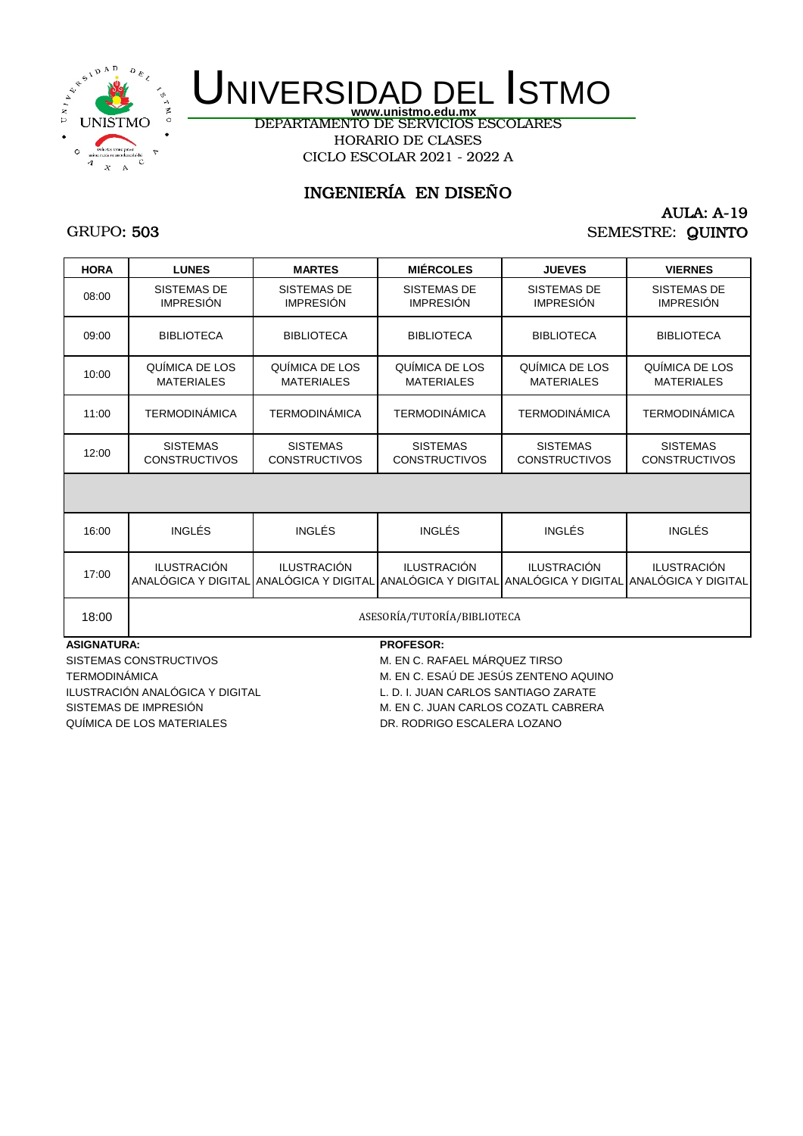

DEPARTAMENTO DE SERVICIOS ESCOLARES HORARIO DE CLASES CICLO ESCOLAR 2021 - 2022 A

## INGENIERÍA EN DISEÑO

## GRUPO: 503

### AULA: A-19 SEMESTRE: QUINTO

| <b>HORA</b> | <b>LUNES</b>                            | <b>MARTES</b>                                                                                                                 | <b>MIÉRCOLES</b>                        | <b>JUEVES</b>                           | <b>VIERNES</b>                          |
|-------------|-----------------------------------------|-------------------------------------------------------------------------------------------------------------------------------|-----------------------------------------|-----------------------------------------|-----------------------------------------|
| 08:00       | <b>SISTEMAS DE</b><br><b>IMPRESIÓN</b>  | SISTEMAS DE<br><b>IMPRESIÓN</b>                                                                                               | <b>SISTEMAS DE</b><br><b>IMPRESIÓN</b>  | <b>SISTEMAS DE</b><br><b>IMPRESIÓN</b>  | SISTEMAS DE<br><b>IMPRESIÓN</b>         |
| 09:00       | <b>BIBLIOTECA</b>                       | <b>BIBLIOTECA</b>                                                                                                             | <b>BIBLIOTECA</b>                       | <b>BIBLIOTECA</b>                       | <b>BIBLIOTECA</b>                       |
| 10:00       | QUÍMICA DE LOS<br><b>MATERIALES</b>     | QUÍMICA DE LOS<br><b>MATERIALES</b>                                                                                           | QUÍMICA DE LOS<br><b>MATERIALES</b>     | QUÍMICA DE LOS<br><b>MATERIALES</b>     | QUÍMICA DE LOS<br><b>MATERIALES</b>     |
| 11:00       | <b>TERMODINÁMICA</b>                    | <b>TERMODINÁMICA</b>                                                                                                          | <b>TERMODINÁMICA</b>                    | <b>TERMODINÁMICA</b>                    | <b>TERMODINÁMICA</b>                    |
| 12:00       | <b>SISTEMAS</b><br><b>CONSTRUCTIVOS</b> | <b>SISTEMAS</b><br><b>CONSTRUCTIVOS</b>                                                                                       | <b>SISTEMAS</b><br><b>CONSTRUCTIVOS</b> | <b>SISTEMAS</b><br><b>CONSTRUCTIVOS</b> | <b>SISTEMAS</b><br><b>CONSTRUCTIVOS</b> |
|             |                                         |                                                                                                                               |                                         |                                         |                                         |
| 16:00       | <b>INGLÉS</b>                           | <b>INGLÉS</b>                                                                                                                 | <b>INGLÉS</b>                           | <b>INGLÉS</b>                           | <b>INGLÉS</b>                           |
| 17:00       | <b>ILUSTRACIÓN</b>                      | <b>ILUSTRACIÓN</b><br>ANALÓGICA Y DIGITAL LANALÓGICA Y DIGITAL LANALÓGICA Y DIGITAL LANALÓGICA Y DIGITAL LANALÓGICA Y DIGITAL | <b>ILUSTRACIÓN</b>                      | <b>ILUSTRACIÓN</b>                      | <b>ILUSTRACIÓN</b>                      |
| 18:00       |                                         |                                                                                                                               | ASESORÍA/TUTORÍA/BIBLIOTECA             |                                         |                                         |

#### **ASIGNATURA: PROFESOR:**

SISTEMAS CONSTRUCTIVOS M. EN C. RAFAEL MÁRQUEZ TIRSO QUÍMICA DE LOS MATERIALES DE LOS DE LOS DR. RODRIGO ESCALERA LOZANO

TERMODINÁMICA **M. EN C. ESAÚ DE JESÚS ZENTENO AQUINO** ILUSTRACIÓN ANALÓGICA Y DIGITAL L. D. I. JUAN CARLOS SANTIAGO ZARATE SISTEMAS DE IMPRESIÓN M. EN C. JUAN CARLOS COZATL CABRERA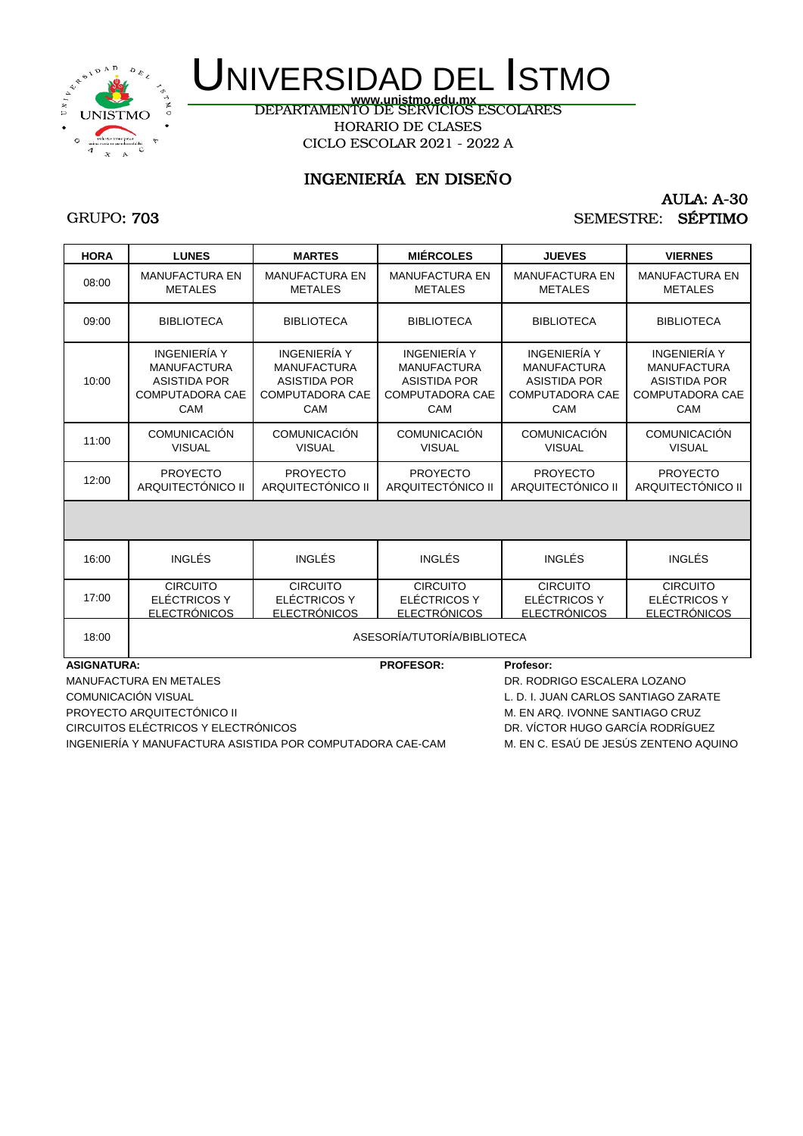

DEPARTAMENTO DE SERVICIOS ESCOLARES **www.unistmo.edu.mx** HORARIO DE CLASES CICLO ESCOLAR 2021 - 2022 A

## INGENIERÍA EN DISEÑO

#### AULA: A-30 SEMESTRE: SÉPTIMO

### GRUPO: 703

| <b>HORA</b>        | <b>LUNES</b>                                                                                      | <b>MARTES</b>                                                                                     | <b>MIÉRCOLES</b>                                                                                  | <b>JUEVES</b>                                                                              | <b>VIERNES</b>                                                                                    |
|--------------------|---------------------------------------------------------------------------------------------------|---------------------------------------------------------------------------------------------------|---------------------------------------------------------------------------------------------------|--------------------------------------------------------------------------------------------|---------------------------------------------------------------------------------------------------|
| 08:00              | <b>MANUFACTURA EN</b><br><b>METALES</b>                                                           | <b>MANUFACTURA EN</b><br><b>METALES</b>                                                           | <b>MANUFACTURA EN</b><br><b>METALES</b>                                                           | <b>MANUFACTURA EN</b><br><b>METALES</b>                                                    | <b>MANUFACTURA EN</b><br><b>METALES</b>                                                           |
| 09:00              | <b>BIBLIOTECA</b>                                                                                 | <b>BIBLIOTECA</b>                                                                                 | <b>BIBLIOTECA</b>                                                                                 | <b>BIBLIOTECA</b>                                                                          | <b>BIBLIOTECA</b>                                                                                 |
| 10:00              | INGENIERÍA Y<br><b>MANUFACTURA</b><br><b>ASISTIDA POR</b><br><b>COMPUTADORA CAE</b><br><b>CAM</b> | INGENIERÍA Y<br><b>MANUFACTURA</b><br><b>ASISTIDA POR</b><br><b>COMPUTADORA CAE</b><br><b>CAM</b> | INGENIERÍA Y<br><b>MANUFACTURA</b><br><b>ASISTIDA POR</b><br><b>COMPUTADORA CAE</b><br><b>CAM</b> | INGENIERÍA Y<br><b>MANUFACTURA</b><br><b>ASISTIDA POR</b><br><b>COMPUTADORA CAE</b><br>CAM | <b>INGENIERÍA Y</b><br><b>MANUFACTURA</b><br><b>ASISTIDA POR</b><br><b>COMPUTADORA CAE</b><br>CAM |
| 11:00              | <b>COMUNICACIÓN</b><br><b>VISUAL</b>                                                              | <b>COMUNICACIÓN</b><br><b>VISUAL</b>                                                              | <b>COMUNICACIÓN</b><br><b>VISUAL</b>                                                              | <b>COMUNICACIÓN</b><br><b>VISUAL</b>                                                       | <b>COMUNICACIÓN</b><br><b>VISUAL</b>                                                              |
| 12:00              | <b>PROYECTO</b><br>ARQUITECTÓNICO II                                                              | <b>PROYECTO</b><br>ARQUITECTÓNICO II                                                              | <b>PROYECTO</b><br>ARQUITECTÓNICO II                                                              | <b>PROYECTO</b><br>ARQUITECTÓNICO II                                                       | <b>PROYECTO</b><br>ARQUITECTÓNICO II                                                              |
|                    |                                                                                                   |                                                                                                   |                                                                                                   |                                                                                            |                                                                                                   |
| 16:00              | <b>INGLÉS</b>                                                                                     | INGLÉS                                                                                            | INGLÉS                                                                                            | <b>INGLÉS</b>                                                                              | <b>INGLÉS</b>                                                                                     |
| 17:00              | <b>CIRCUITO</b><br>ELÉCTRICOS Y<br><b>ELECTRÓNICOS</b>                                            | <b>CIRCUITO</b><br>ELÉCTRICOS Y<br><b>ELECTRÓNICOS</b>                                            | <b>CIRCUITO</b><br>ELÉCTRICOS Y<br><b>ELECTRÓNICOS</b>                                            | <b>CIRCUITO</b><br>ELÉCTRICOS Y<br><b>ELECTRÓNICOS</b>                                     | <b>CIRCUITO</b><br>ELÉCTRICOS Y<br><b>ELECTRÓNICOS</b>                                            |
| 18:00              | ASESORÍA/TUTORÍA/BIBLIOTECA                                                                       |                                                                                                   |                                                                                                   |                                                                                            |                                                                                                   |
| <b>ASIGNATURA:</b> |                                                                                                   |                                                                                                   | <b>PROFESOR:</b>                                                                                  | Profesor:                                                                                  |                                                                                                   |
|                    | <b>MANUFACTURA EN METALES</b>                                                                     |                                                                                                   |                                                                                                   | DR. RODRIGO ESCALERA LOZANO                                                                |                                                                                                   |
|                    | <b>COMUNICACIÓN VISUAL</b>                                                                        |                                                                                                   |                                                                                                   | L. D. I. JUAN CARLOS SANTIAGO ZARATE                                                       |                                                                                                   |

PROYECTO ARQUITECTÓNICO II CHE EN ARQUITECTÓNICO II CHE EN ARQ. IVONNE SANTIAGO CRUZ CIRCUITOS ELÉCTRICOS Y ELECTRÓNICOS DR. VÍCTOR HUGO GARCÍA RODRÍGUEZ INGENIERÍA Y MANUFACTURA ASISTIDA POR COMPUTADORA CAE-CAM M. EN C. ESAÚ DE JESÚS ZENTENO AQUINO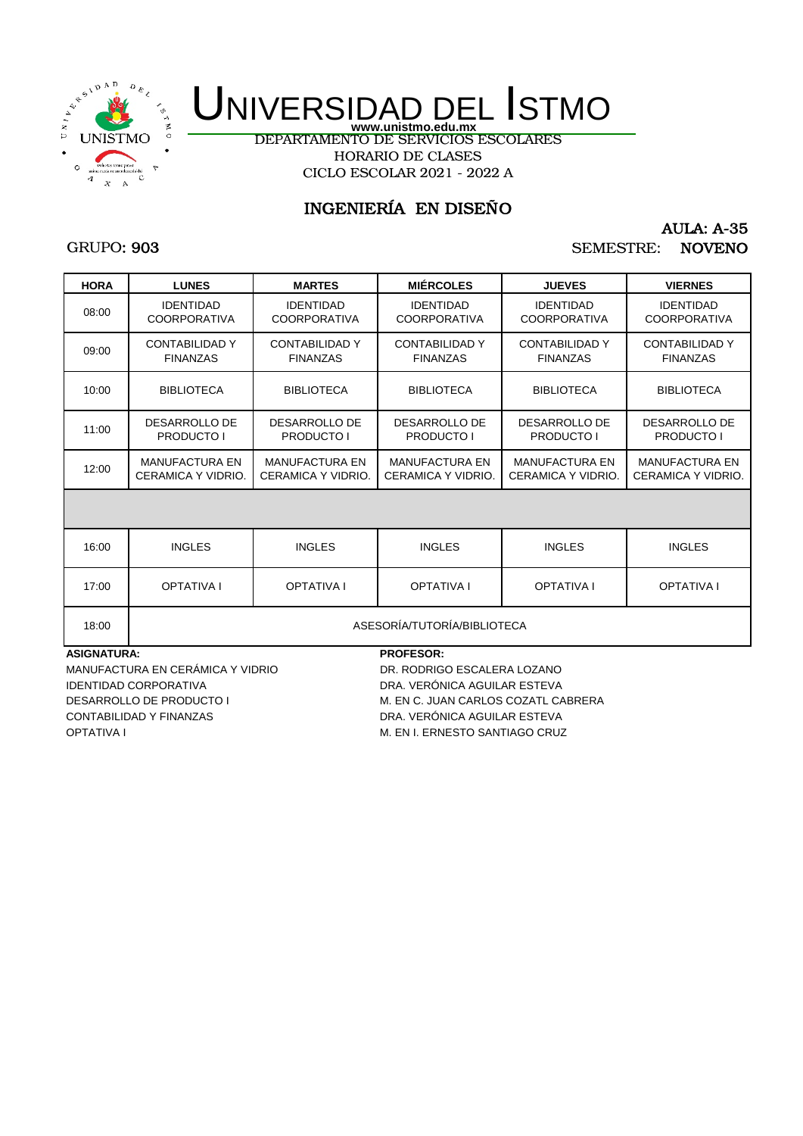

DEPARTAMENTO DE SERVICIOS ESCOLARES HORARIO DE CLASES CICLO ESCOLAR 2021 - 2022 A

## INGENIERÍA EN DISEÑO

### GRUPO: 903

## AULA: A-35 SEMESTRE: NOVENO

| <b>HORA</b> | <b>LUNES</b>                                | <b>MARTES</b>                               | <b>MIÉRCOLES</b>                            | <b>JUEVES</b>                               | <b>VIERNES</b>                              |  |
|-------------|---------------------------------------------|---------------------------------------------|---------------------------------------------|---------------------------------------------|---------------------------------------------|--|
| 08:00       | <b>IDENTIDAD</b><br><b>COORPORATIVA</b>     | <b>IDENTIDAD</b><br><b>COORPORATIVA</b>     | <b>IDENTIDAD</b><br><b>COORPORATIVA</b>     | <b>IDENTIDAD</b><br><b>COORPORATIVA</b>     | <b>IDENTIDAD</b><br><b>COORPORATIVA</b>     |  |
| 09:00       | <b>CONTABILIDAD Y</b><br><b>FINANZAS</b>    | <b>CONTABILIDAD Y</b><br><b>FINANZAS</b>    | <b>CONTABILIDAD Y</b><br><b>FINANZAS</b>    | <b>CONTABILIDAD Y</b><br><b>FINANZAS</b>    | <b>CONTABILIDAD Y</b><br><b>FINANZAS</b>    |  |
| 10:00       | <b>BIBLIOTECA</b>                           | <b>BIBLIOTECA</b>                           | <b>BIBLIOTECA</b>                           | <b>BIBLIOTECA</b>                           | <b>BIBLIOTECA</b>                           |  |
| 11:00       | DESARROLLO DE<br>PRODUCTO I                 | DESARROLLO DE<br><b>PRODUCTO I</b>          | DESARROLLO DE<br><b>PRODUCTO I</b>          | DESARROLLO DE<br><b>PRODUCTO I</b>          | DESARROLLO DE<br><b>PRODUCTO I</b>          |  |
| 12:00       | <b>MANUFACTURA EN</b><br>CERAMICA Y VIDRIO. | <b>MANUFACTURA EN</b><br>CERAMICA Y VIDRIO. | <b>MANUFACTURA EN</b><br>CERAMICA Y VIDRIO. | <b>MANUFACTURA EN</b><br>CERAMICA Y VIDRIO. | <b>MANUFACTURA EN</b><br>CERAMICA Y VIDRIO. |  |
|             |                                             |                                             |                                             |                                             |                                             |  |
| 16:00       | <b>INGLES</b>                               | <b>INGLES</b>                               | <b>INGLES</b>                               | <b>INGLES</b>                               | <b>INGLES</b>                               |  |
| 17:00       | <b>OPTATIVA I</b>                           | <b>OPTATIVA I</b>                           | <b>OPTATIVA I</b>                           | <b>OPTATIVA I</b>                           | <b>OPTATIVA I</b>                           |  |
| 18:00       | ASESORÍA/TUTORÍA/BIBLIOTECA                 |                                             |                                             |                                             |                                             |  |

**ASIGNATURA: PROFESOR:**

MANUFACTURA EN CERÁMICA Y VIDRIO DR. RODRIGO ESCALERA LOZANO IDENTIDAD CORPORATIVA DRA. VERÓNICA AGUILAR ESTEVA CONTABILIDAD Y FINANZAS DRA. VERÓNICA AGUILAR ESTEVA OPTATIVA I CHARGO CRUZ CONTRACTED SANTIAGO CRUZ

DESARROLLO DE PRODUCTO I M. EN C. JUAN CARLOS COZATL CABRERA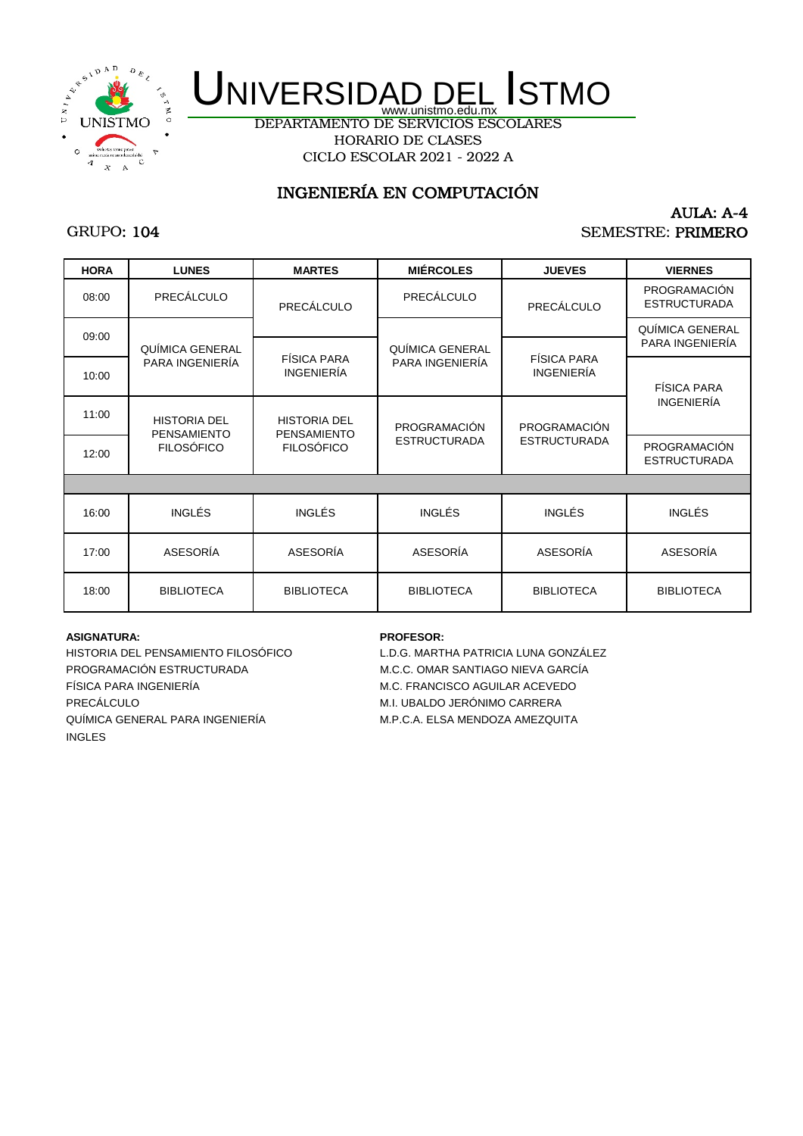

DEPARTAMENTO DE SERVICIOS ESCOLARES HORARIO DE CLASES CICLO ESCOLAR 2021 - 2022 A

## INGENIERÍA EN COMPUTACIÓN

## GRUPO: 104

### AULA: A-4 SEMESTRE: PRIMERO

| <b>HORA</b> | <b>LUNES</b>                              | <b>MARTES</b>                             | <b>MIÉRCOLES</b>    | <b>JUEVES</b>                    | <b>VIERNES</b>                      |
|-------------|-------------------------------------------|-------------------------------------------|---------------------|----------------------------------|-------------------------------------|
| 08:00       | PRECÁLCULO                                | PRECÁLCULO                                | PRECÁLCULO          | PRECÁLCULO                       | PROGRAMACIÓN<br><b>ESTRUCTURADA</b> |
| 09:00       | QUÍMICA GENERAL                           |                                           | QUÍMICA GENERAL     |                                  | QUÍMICA GENERAL<br>PARA INGENIERÍA  |
| 10:00       | PARA INGENIERÍA                           | FÍSICA PARA<br><b>INGENIERÍA</b>          | PARA INGENIERÍA     | FÍSICA PARA<br><b>INGENIERÍA</b> | <b>FÍSICA PARA</b>                  |
| 11:00       | <b>HISTORIA DEL</b><br><b>PENSAMIENTO</b> | <b>HISTORIA DEL</b><br><b>PENSAMIENTO</b> | PROGRAMACIÓN        | <b>PROGRAMACIÓN</b>              | <b>INGENIERÍA</b>                   |
| 12:00       | <b>FILOSÓFICO</b>                         | <b>FILOSÓFICO</b>                         | <b>ESTRUCTURADA</b> | <b>ESTRUCTURADA</b>              | PROGRAMACIÓN<br><b>ESTRUCTURADA</b> |
|             |                                           |                                           |                     |                                  |                                     |
| 16:00       | <b>INGLÉS</b>                             | <b>INGLÉS</b>                             | <b>INGLÉS</b>       | <b>INGLÉS</b>                    | <b>INGLÉS</b>                       |
| 17:00       | ASESORÍA                                  | ASESORÍA                                  | ASESORÍA            | ASESORÍA                         | ASESORÍA                            |
| 18:00       | <b>BIBLIOTECA</b>                         | <b>BIBLIOTECA</b>                         | <b>BIBLIOTECA</b>   | <b>BIBLIOTECA</b>                | <b>BIBLIOTECA</b>                   |

#### **ASIGNATURA: PROFESOR:**

PROGRAMACIÓN ESTRUCTURADA M.C.C. OMAR SANTIAGO NIEVA GARCÍA FÍSICA PARA INGENIERÍA M.C. FRANCISCO AGUILAR ACEVEDO PRECÁLCULO M.I. UBALDO JERÓNIMO CARRERA QUÍMICA GENERAL PARA INGENIERÍA M.P.C.A. ELSA MENDOZA AMEZQUITA INGLES

HISTORIA DEL PENSAMIENTO FILOSÓFICO L.D.G. MARTHA PATRICIA LUNA GONZÁLEZ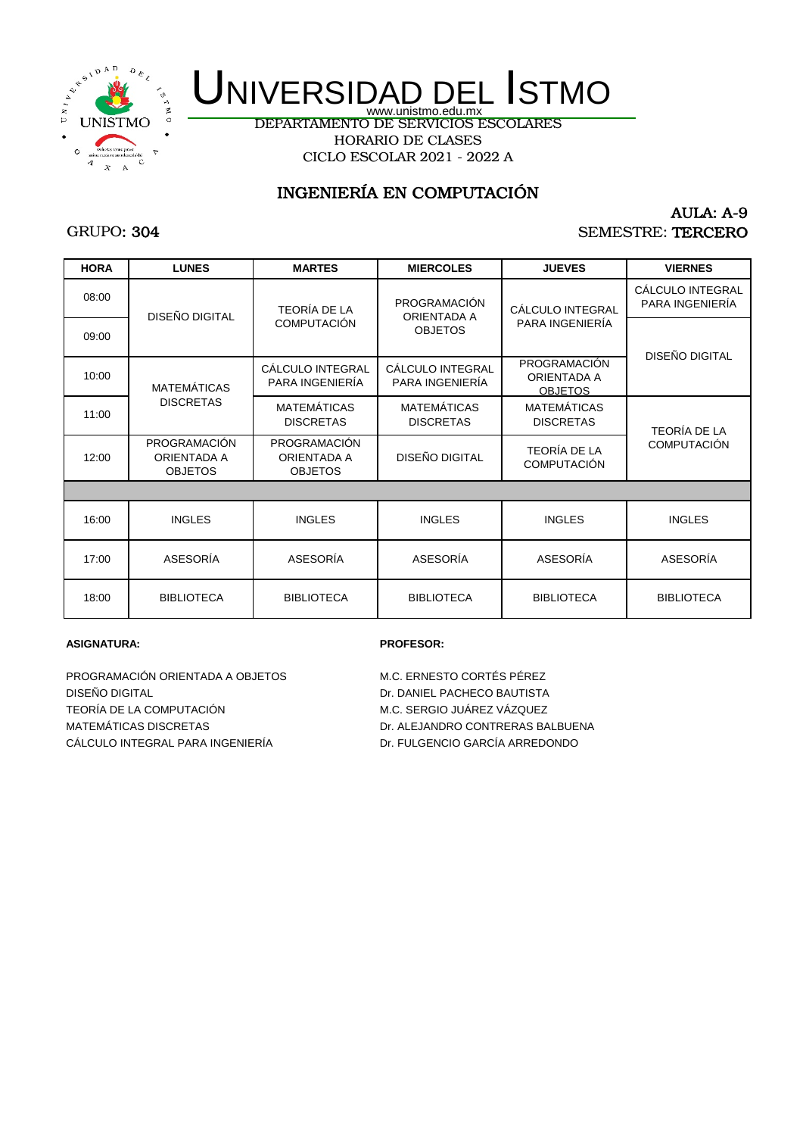

DEPARTAMENTO DE SERVICIOS ESCOLARES HORARIO DE CLASES CICLO ESCOLAR 2021 - 2022 A

## INGENIERÍA EN COMPUTACIÓN

## GRUPO: 304

### AULA: A-9 SEMESTRE: TERCERO

| <b>HORA</b> | <b>LUNES</b>                                                | <b>MARTES</b>                                        | <b>MIERCOLES</b>                       | <b>JUEVES</b>                                 | <b>VIERNES</b>                      |
|-------------|-------------------------------------------------------------|------------------------------------------------------|----------------------------------------|-----------------------------------------------|-------------------------------------|
| 08:00       | DISEÑO DIGITAL                                              | <b>TEORÍA DE LA</b>                                  | PROGRAMACIÓN<br>ORIENTADA A            | CÁLCULO INTEGRAL                              | CÁLCULO INTEGRAL<br>PARA INGENIERÍA |
| 09:00       |                                                             | <b>COMPUTACIÓN</b>                                   | <b>OBJETOS</b>                         | PARA INGENIERÍA                               | DISEÑO DIGITAL                      |
| 10:00       | <b>MATEMÁTICAS</b>                                          | CÁLCULO INTEGRAL<br>PARA INGENIERÍA                  | CÁLCULO INTEGRAL<br>PARA INGENIERÍA    | PROGRAMACIÓN<br>ORIENTADA A<br><b>OBJETOS</b> |                                     |
| 11:00       | <b>DISCRETAS</b>                                            | <b>MATEMÁTICAS</b><br><b>DISCRETAS</b>               | <b>MATEMÁTICAS</b><br><b>DISCRETAS</b> | <b>MATEMÁTICAS</b><br><b>DISCRETAS</b>        | <b>TEORÍA DE LA</b>                 |
| 12:00       | <b>PROGRAMACIÓN</b><br><b>ORIENTADA A</b><br><b>OBJETOS</b> | PROGRAMACIÓN<br><b>ORIENTADA A</b><br><b>OBJETOS</b> | DISEÑO DIGITAL                         | <b>TEORÍA DE LA</b><br><b>COMPUTACIÓN</b>     | <b>COMPUTACIÓN</b>                  |
|             |                                                             |                                                      |                                        |                                               |                                     |
| 16:00       | <b>INGLES</b>                                               | <b>INGLES</b>                                        | <b>INGLES</b>                          | <b>INGLES</b>                                 | <b>INGLES</b>                       |
| 17:00       | ASESORÍA                                                    | ASESORÍA                                             | ASESORÍA                               | ASESORÍA                                      | ASESORÍA                            |
| 18:00       | <b>BIBLIOTECA</b>                                           | <b>BIBLIOTECA</b>                                    | <b>BIBLIOTECA</b>                      | <b>BIBLIOTECA</b>                             | <b>BIBLIOTECA</b>                   |

#### **ASIGNATURA: PROFESOR:**

PROGRAMACIÓN ORIENTADA A OBJETOS M.C. ERNESTO CORTÉS PÉREZ DISEÑO DIGITAL Dr. DANIEL PACHECO BAUTISTA TEORÍA DE LA COMPUTACIÓN M.C. SERGIO JUÁREZ VÁZQUEZ MATEMÁTICAS DISCRETAS DE EN ENTRETAS DE LA ENFORMACIÓN DE ALEJANDRO CONTRERAS BALBUENA CÁLCULO INTEGRAL PARA INGENIERÍA Dr. FULGENCIO GARCÍA ARREDONDO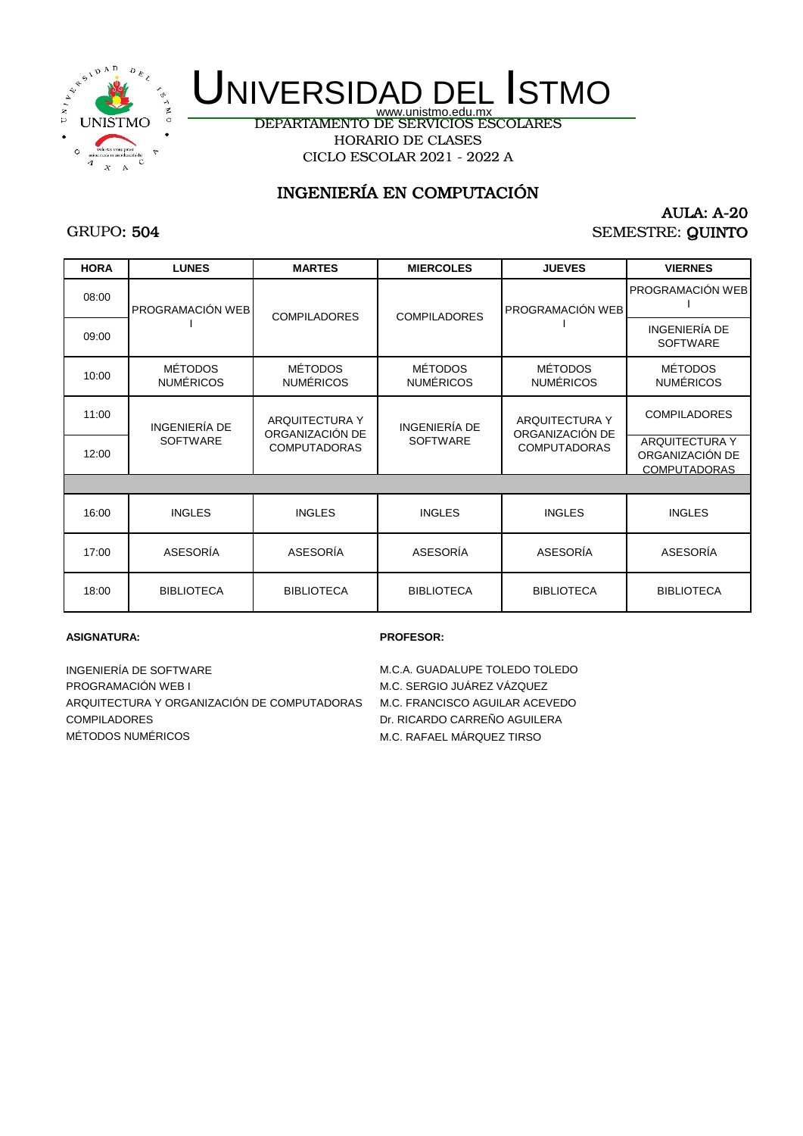

DEPARTAMENTO DE SERVICIOS ESCOLARES HORARIO DE CLASES CICLO ESCOLAR 2021 - 2022 A

## INGENIERÍA EN COMPUTACIÓN

## GRUPO: 504

### AULA: A-20 SEMESTRE: QUINTO

| <b>HORA</b> | <b>LUNES</b>                       | <b>MARTES</b>                      | <b>MIERCOLES</b>                   | <b>JUEVES</b>                                                   | <b>VIERNES</b>                                                  |
|-------------|------------------------------------|------------------------------------|------------------------------------|-----------------------------------------------------------------|-----------------------------------------------------------------|
| 08:00       | PROGRAMACIÓN WEB                   | <b>COMPILADORES</b>                | <b>COMPILADORES</b>                | PROGRAMACIÓN WEB                                                | PROGRAMACIÓN WEB                                                |
| 09:00       |                                    |                                    |                                    |                                                                 | INGENIERÍA DE<br><b>SOFTWARE</b>                                |
| 10:00       | <b>MÉTODOS</b><br><b>NUMÉRICOS</b> | <b>MÉTODOS</b><br><b>NUMÉRICOS</b> | <b>MÉTODOS</b><br><b>NUMÉRICOS</b> | <b>MÉTODOS</b><br><b>NUMÉRICOS</b>                              | <b>MÉTODOS</b><br><b>NUMÉRICOS</b>                              |
| 11:00       | INGENIERÍA DE                      | ARQUITECTURA Y<br>ORGANIZACIÓN DE  | <b>INGENIERÍA DE</b>               | <b>ARQUITECTURA Y</b><br>ORGANIZACIÓN DE<br><b>COMPUTADORAS</b> | <b>COMPILADORES</b>                                             |
| 12:00       | <b>SOFTWARE</b>                    | <b>COMPUTADORAS</b>                | <b>SOFTWARE</b>                    |                                                                 | <b>ARQUITECTURA Y</b><br>ORGANIZACIÓN DE<br><b>COMPUTADORAS</b> |
|             |                                    |                                    |                                    |                                                                 |                                                                 |
| 16:00       | <b>INGLES</b>                      | <b>INGLES</b>                      | <b>INGLES</b>                      | <b>INGLES</b>                                                   | <b>INGLES</b>                                                   |
| 17:00       | ASESORÍA                           | ASESORÍA                           | ASESORÍA                           | ASESORÍA                                                        | ASESORÍA                                                        |
| 18:00       | <b>BIBLIOTECA</b>                  | <b>BIBLIOTECA</b>                  | <b>BIBLIOTECA</b>                  | <b>BIBLIOTECA</b>                                               | <b>BIBLIOTECA</b>                                               |

#### **ASIGNATURA: PROFESOR:**

INGENIERÍA DE SOFTWARE **M.C.A. GUADALUPE TOLEDO TOLEDO** PROGRAMACIÓN WEB I M.C. SERGIO JUÁREZ VÁZQUEZ ARQUITECTURA Y ORGANIZACIÓN DE COMPUTADORAS M.C. FRANCISCO AGUILAR ACEVEDO COMPILADORES Dr. RICARDO CARREÑO AGUILERA MÉTODOS NUMÉRICOS **METODOS NUMÉRICOS** M.C. RAFAEL MÁRQUEZ TIRSO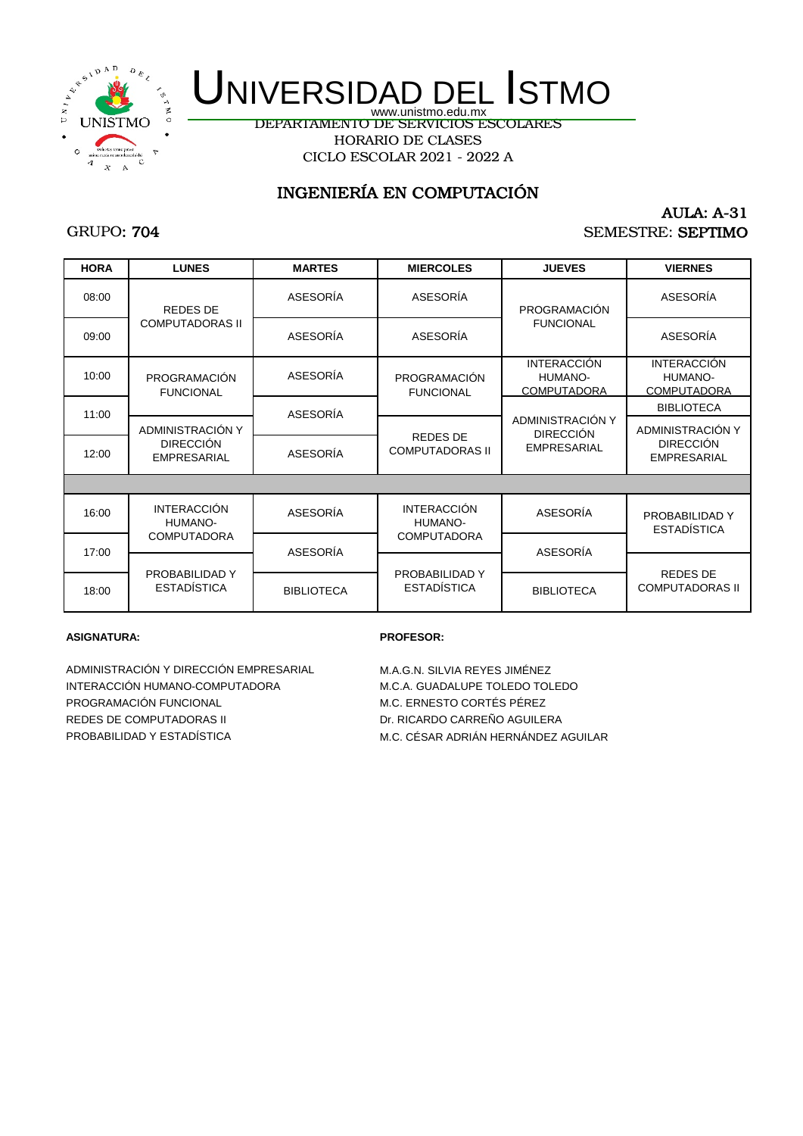

CICLO ESCOLAR 2021 - 2022 A DEPARTAMENTO DE SERVICIOS ESCOLARES HORARIO DE CLASES

## INGENIERÍA EN COMPUTACIÓN

## GRUPO: 704

### AULA: A-31 SEMESTRE: SEPTIMO

| <b>HORA</b> | <b>LUNES</b>                           | <b>MARTES</b>     | <b>MIERCOLES</b>                 | <b>JUEVES</b>                                              | <b>VIERNES</b>                                      |
|-------------|----------------------------------------|-------------------|----------------------------------|------------------------------------------------------------|-----------------------------------------------------|
| 08:00       | <b>REDES DE</b>                        | ASESORÍA          | <b>ASESORÍA</b>                  | PROGRAMACIÓN                                               | <b>ASESORÍA</b>                                     |
| 09:00       | <b>COMPUTADORAS II</b>                 | ASESORÍA          | ASESORÍA                         | <b>FUNCIONAL</b>                                           | ASESORÍA                                            |
| 10:00       | PROGRAMACIÓN<br><b>FUNCIONAL</b>       | ASESORÍA          | PROGRAMACIÓN<br><b>FUNCIONAL</b> | <b>INTERACCIÓN</b><br>HUMANO-<br><b>COMPUTADORA</b>        | <b>INTERACCIÓN</b><br>HUMANO-<br><b>COMPUTADORA</b> |
| 11:00       |                                        | ASESORÍA          |                                  |                                                            | <b>BIBLIOTECA</b>                                   |
|             | ADMINISTRACIÓN Y                       |                   | <b>REDES DE</b>                  | ADMINISTRACIÓN Y<br><b>DIRECCIÓN</b><br><b>EMPRESARIAL</b> | ADMINISTRACIÓN Y                                    |
| 12:00       | <b>DIRECCIÓN</b><br><b>EMPRESARIAL</b> | ASESORÍA          | <b>COMPUTADORAS II</b>           |                                                            | <b>DIRECCIÓN</b><br><b>EMPRESARIAL</b>              |
|             |                                        |                   |                                  |                                                            |                                                     |
| 16:00       | <b>INTERACCIÓN</b><br>HUMANO-          | ASESORÍA          | <b>INTERACCIÓN</b><br>HUMANO-    | ASESORÍA                                                   | PROBABILIDAD Y<br><b>ESTADÍSTICA</b>                |
| 17:00       | <b>COMPUTADORA</b>                     | ASESORÍA          | <b>COMPUTADORA</b>               | ASESORÍA                                                   |                                                     |
|             | PROBABILIDAD Y                         |                   | PROBABILIDAD Y                   |                                                            | <b>REDES DE</b>                                     |
| 18:00       | <b>ESTADÍSTICA</b>                     | <b>BIBLIOTECA</b> | <b>ESTADÍSTICA</b>               | <b>BIBLIOTECA</b>                                          | <b>COMPUTADORAS II</b>                              |

#### **ASIGNATURA: PROFESOR:**

ADMINISTRACIÓN Y DIRECCIÓN EMPRESARIAL M.A.G.N. SILVIA REYES JIMÉNEZ INTERACCIÓN HUMANO-COMPUTADORA M.C.A. GUADALUPE TOLEDO TOLEDO PROGRAMACIÓN FUNCIONAL **M.C. ERNESTO CORTÉS PÉREZ** REDES DE COMPUTADORAS II DE LOS DE LOS DE LOS DE LOS DE LOS DE LOS DE LOS DE LOS DE LOS DE LOS DE LOS DE LOS D PROBABILIDAD Y ESTADÍSTICA M.C. CÉSAR ADRIÁN HERNÁNDEZ AGUILAR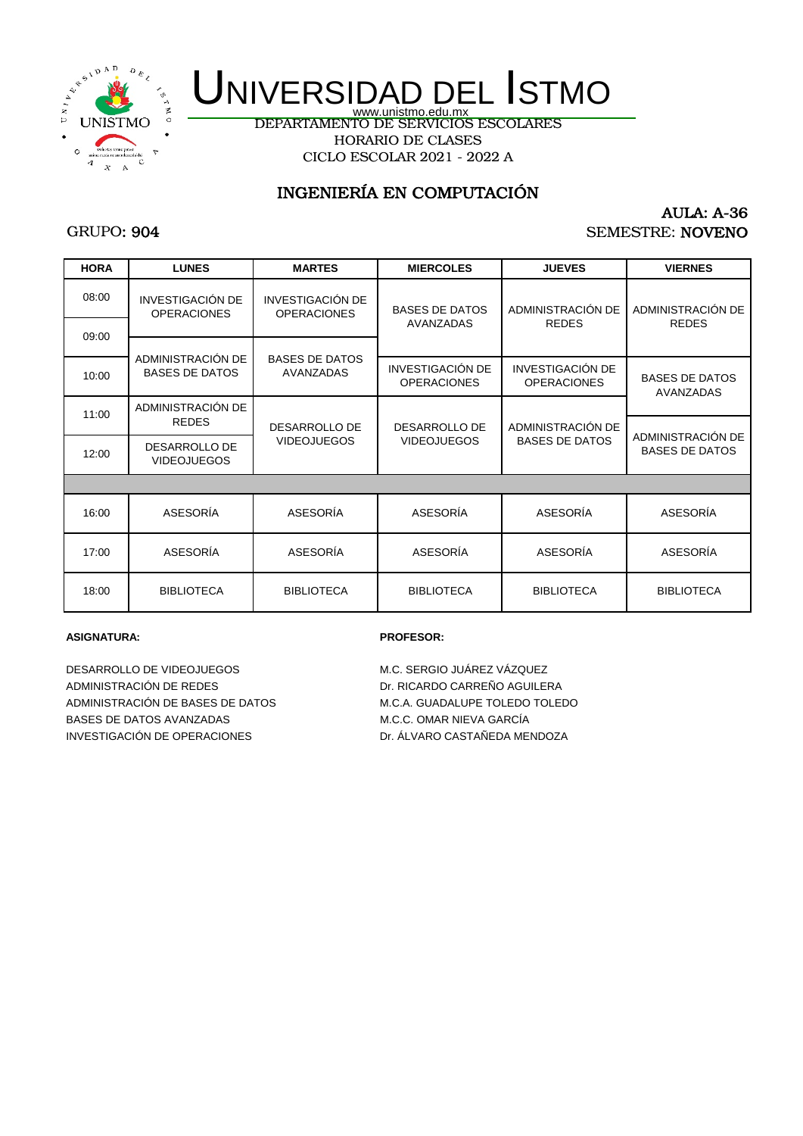

DEPARTAMENTO DE SERVICIOS ESCOLARES HORARIO DE CLASES CICLO ESCOLAR 2021 - 2022 A

## INGENIERÍA EN COMPUTACIÓN

## GRUPO: 904

### AULA: A-36 SEMESTRE: NOVENO

| <b>HORA</b> | <b>LUNES</b>                                        | <b>MARTES</b>                                 | <b>MIERCOLES</b>                              | <b>JUEVES</b>                                 | <b>VIERNES</b>                             |
|-------------|-----------------------------------------------------|-----------------------------------------------|-----------------------------------------------|-----------------------------------------------|--------------------------------------------|
| 08:00       | <b>INVESTIGACIÓN DE</b><br><b>OPERACIONES</b>       | <b>INVESTIGACIÓN DE</b><br><b>OPERACIONES</b> | <b>BASES DE DATOS</b>                         | ADMINISTRACIÓN DE                             | ADMINISTRACIÓN DE                          |
| 09:00       |                                                     |                                               | AVANZADAS                                     | <b>REDES</b>                                  | <b>REDES</b>                               |
| 10:00       | ADMINISTRACIÓN DE<br><b>BASES DE DATOS</b>          | <b>BASES DE DATOS</b><br><b>AVANZADAS</b>     | <b>INVESTIGACIÓN DE</b><br><b>OPERACIONES</b> | <b>INVESTIGACIÓN DE</b><br><b>OPERACIONES</b> | <b>BASES DE DATOS</b><br>AVANZADAS         |
| 11:00       | ADMINISTRACIÓN DE                                   |                                               |                                               | ADMINISTRACIÓN DE<br><b>BASES DE DATOS</b>    |                                            |
| 12:00       | <b>REDES</b><br>DESARROLLO DE<br><b>VIDEOJUEGOS</b> | DESARROLLO DE<br><b>VIDEOJUEGOS</b>           | DESARROLLO DE<br><b>VIDEOJUEGOS</b>           |                                               | ADMINISTRACIÓN DE<br><b>BASES DE DATOS</b> |
|             |                                                     |                                               |                                               |                                               |                                            |
| 16:00       | ASESORIA                                            | ASESORIA                                      | ASESORIA                                      | ASESORIA                                      | ASESORIA                                   |
| 17:00       | ASESORÍA                                            | ASESORÍA                                      | ASESORÍA                                      | ASESORÍA                                      | ASESORÍA                                   |
| 18:00       | <b>BIBLIOTECA</b>                                   | <b>BIBLIOTECA</b>                             | <b>BIBLIOTECA</b>                             | <b>BIBLIOTECA</b>                             | <b>BIBLIOTECA</b>                          |

#### **ASIGNATURA: PROFESOR:**

DESARROLLO DE VIDEOJUEGOS M.C. SERGIO JUÁREZ VÁZQUEZ ADMINISTRACIÓN DE REDES DE DESEMBORACIÓN DE REDES ADMINISTRACIÓN DE BASES DE DATOS M.C.A. GUADALUPE TOLEDO TOLEDO BASES DE DATOS AVANZADAS MODERNIAS M.C.C. OMAR NIEVA GARCÍA INVESTIGACIÓN DE OPERACIONES DR. ÁLVARO CASTAÑEDA MENDOZA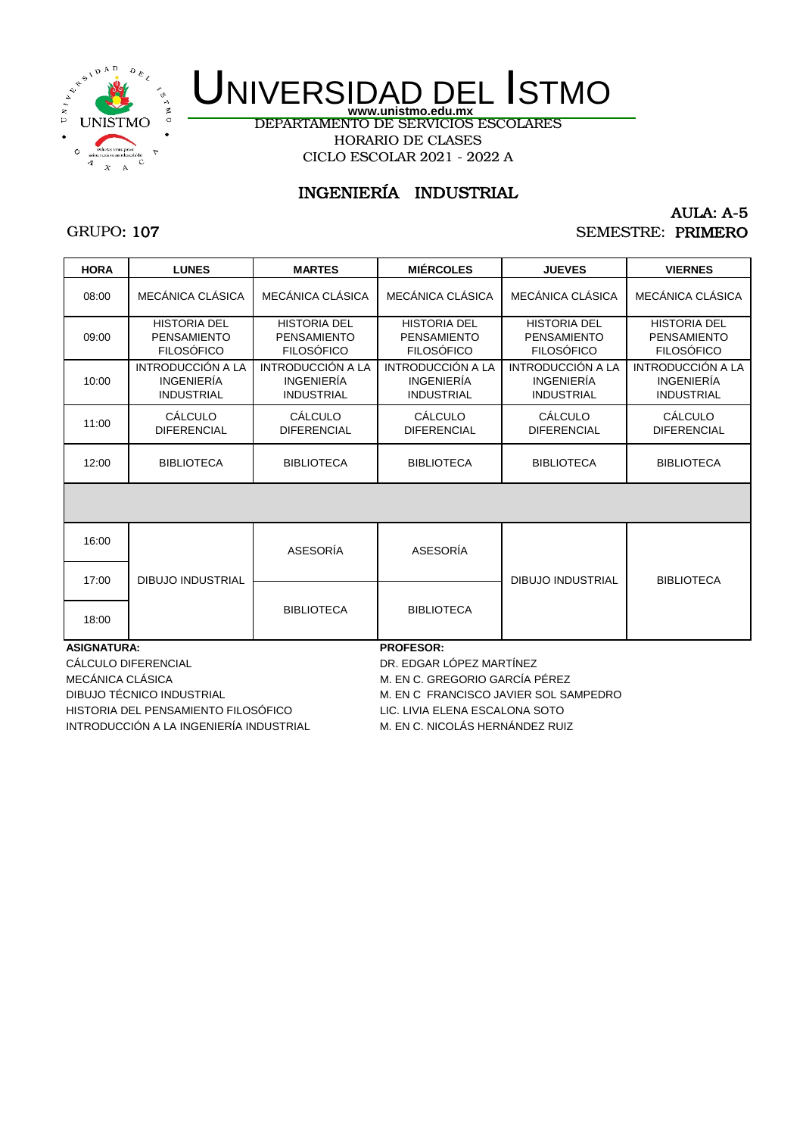

DEPARTAMENTO DE SERVICIOS ESCOLARES HORARIO DE CLASES CICLO ESCOLAR 2021 - 2022 A

## INGENIERÍA INDUSTRIAL

## GRUPO: 107

#### AULA: A-5 SEMESTRE: PRIMERO

| <b>HORA</b>        | <b>LUNES</b>                                                   | <b>MARTES</b>                                                  | <b>MIÉRCOLES</b>                                               | <b>JUEVES</b>                                                  | <b>VIERNES</b>                                                 |
|--------------------|----------------------------------------------------------------|----------------------------------------------------------------|----------------------------------------------------------------|----------------------------------------------------------------|----------------------------------------------------------------|
| 08:00              | MECÁNICA CI ÁSICA                                              | MECÁNICA CLÁSICA                                               | MECÁNICA CLÁSICA                                               | MECÁNICA CI ÁSICA                                              | MECÁNICA CLÁSICA                                               |
| 09:00              | <b>HISTORIA DEL</b><br><b>PENSAMIENTO</b><br><b>FILOSÓFICO</b> | <b>HISTORIA DEL</b><br><b>PENSAMIENTO</b><br><b>FILOSÓFICO</b> | <b>HISTORIA DEL</b><br><b>PENSAMIENTO</b><br><b>FILOSÓFICO</b> | <b>HISTORIA DEL</b><br><b>PENSAMIENTO</b><br><b>FILOSÓFICO</b> | <b>HISTORIA DEL</b><br><b>PENSAMIENTO</b><br><b>FILOSÓFICO</b> |
| 10:00              | INTRODUCCIÓN A LA<br><b>INGENIERÍA</b><br><b>INDUSTRIAL</b>    | INTRODUCCIÓN A LA<br><b>INGENIERÍA</b><br><b>INDUSTRIAL</b>    | INTRODUCCIÓN A LA<br><b>INGENIERÍA</b><br><b>INDUSTRIAL</b>    | INTRODUCCIÓN A LA<br><b>INGENIERÍA</b><br><b>INDUSTRIAL</b>    | INTRODUCCIÓN A LA<br><b>INGENIERÍA</b><br><b>INDUSTRIAL</b>    |
| 11:00              | CÁLCULO<br><b>DIFERENCIAL</b>                                  | CÁLCULO<br><b>DIFERENCIAL</b>                                  | CÁLCULO<br><b>DIFERENCIAL</b>                                  | CÁLCULO<br><b>DIFERENCIAL</b>                                  | CÁLCULO<br><b>DIFERENCIAL</b>                                  |
| 12:00              | <b>BIBLIOTECA</b>                                              | <b>BIBLIOTECA</b>                                              | <b>BIBLIOTECA</b>                                              | <b>BIBLIOTECA</b>                                              | <b>BIBLIOTECA</b>                                              |
|                    |                                                                |                                                                |                                                                |                                                                |                                                                |
| 16:00              |                                                                | ASESORÍA                                                       | ASESORÍA                                                       |                                                                |                                                                |
| 17:00              | <b>DIBUJO INDUSTRIAL</b>                                       |                                                                |                                                                | <b>DIBUJO INDUSTRIAL</b>                                       | <b>BIBLIOTECA</b>                                              |
|                    |                                                                |                                                                |                                                                |                                                                |                                                                |
| 18:00              |                                                                | <b>BIBLIOTECA</b>                                              | <b>BIBLIOTECA</b>                                              |                                                                |                                                                |
| <b>ASIGNATURA:</b> |                                                                |                                                                | <b>PROFESOR:</b>                                               |                                                                |                                                                |

CÁLCULO DIFERENCIAL DR. EDGAR LÓPEZ MARTÍNEZ MECÁNICA CLÁSICA MEXICA MEDICA DE MAIS MECÁNICA CLÁSICA MEXICA MEXICA PÉREZ DIBUJO TÉCNICO INDUSTRIAL M. EN C FRANCISCO JAVIER SOL SAMPEDRO HISTORIA DEL PENSAMIENTO FILOSÓFICO LIC. LIVIA ELENA ESCALONA SOTO INTRODUCCIÓN A LA INGENIERÍA INDUSTRIAL M. EN C. NICOLÁS HERNÁNDEZ RUIZ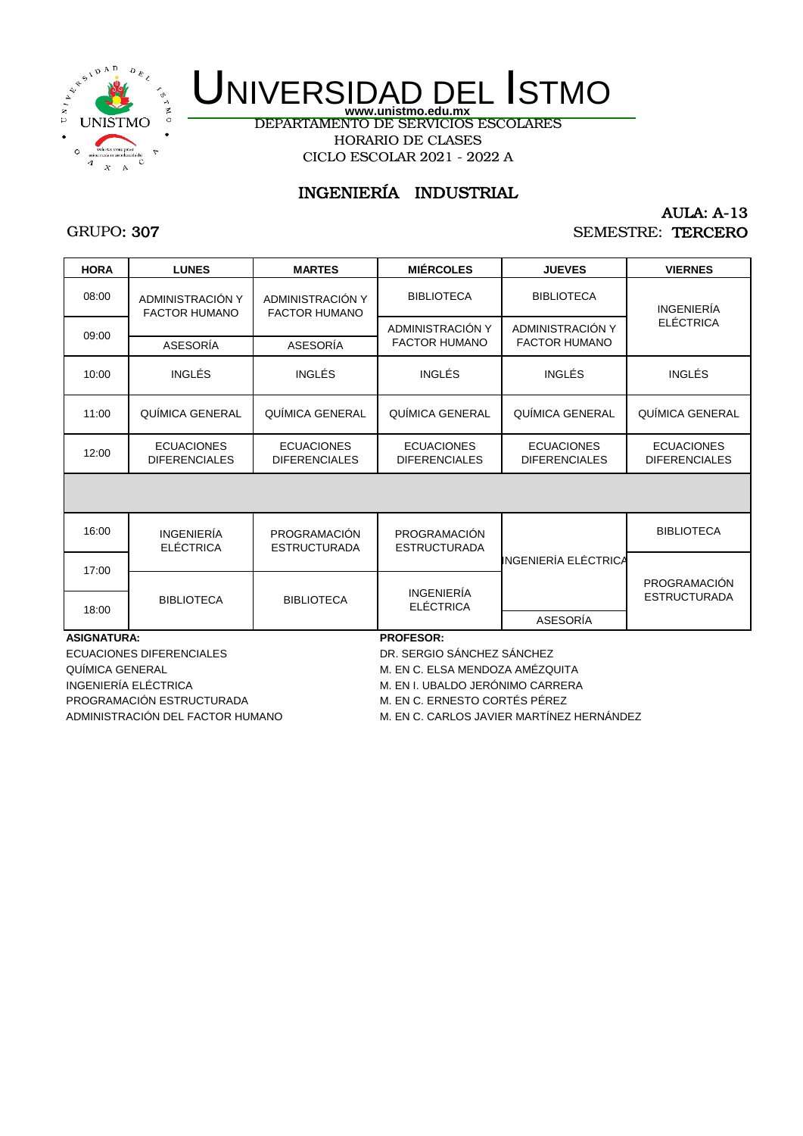

DEPARTAMENTO DE SERVICIOS ESCOLARES HORARIO DE CLASES CICLO ESCOLAR 2021 - 2022 A

## INGENIERÍA INDUSTRIAL

## GRUPO: 307

### AULA: A-13 SEMESTRE: TERCERO

| <b>HORA</b>        | <b>LUNES</b>                              | <b>MARTES</b>                             | <b>MIÉRCOLES</b>                          | <b>JUEVES</b>                             | <b>VIERNES</b>                            |
|--------------------|-------------------------------------------|-------------------------------------------|-------------------------------------------|-------------------------------------------|-------------------------------------------|
| 08:00              | ADMINISTRACIÓN Y<br><b>FACTOR HUMANO</b>  | ADMINISTRACIÓN Y<br><b>FACTOR HUMANO</b>  | <b>BIBLIOTECA</b>                         | <b>BIBLIOTECA</b>                         | <b>INGENIERÍA</b>                         |
| 09:00              |                                           |                                           | ADMINISTRACIÓN Y                          | ADMINISTRACIÓN Y                          | <b>ELÉCTRICA</b>                          |
|                    | ASESORÍA                                  | ASESORÍA                                  | <b>FACTOR HUMANO</b>                      | <b>FACTOR HUMANO</b>                      |                                           |
| 10:00              | <b>INGLÉS</b>                             | <b>INGLÉS</b>                             | <b>INGLÉS</b>                             | <b>INGLÉS</b>                             | <b>INGLÉS</b>                             |
| 11:00              | QUÍMICA GENERAL                           | QUÍMICA GENERAL                           | QUÍMICA GENERAL                           | QUÍMICA GENERAL                           | QUÍMICA GENERAL                           |
| 12:00              | <b>ECUACIONES</b><br><b>DIFERENCIALES</b> | <b>ECUACIONES</b><br><b>DIFERENCIALES</b> | <b>ECUACIONES</b><br><b>DIFERENCIALES</b> | <b>ECUACIONES</b><br><b>DIFERENCIALES</b> | <b>ECUACIONES</b><br><b>DIFERENCIALES</b> |
|                    |                                           |                                           |                                           |                                           |                                           |
| 16:00              | <b>INGENIERÍA</b><br><b>ELÉCTRICA</b>     | PROGRAMACIÓN<br><b>ESTRUCTURADA</b>       | PROGRAMACIÓN<br><b>ESTRUCTURADA</b>       |                                           | <b>BIBLIOTECA</b>                         |
| 17:00              |                                           |                                           |                                           | INGENIERÍA ELÉCTRICA                      |                                           |
|                    |                                           |                                           | <b>INGENIERÍA</b>                         |                                           | PROGRAMACIÓN                              |
| 18:00              | <b>BIBLIOTECA</b>                         | <b>BIBLIOTECA</b>                         | <b>ELÉCTRICA</b>                          |                                           | <b>ESTRUCTURADA</b>                       |
|                    |                                           |                                           |                                           | ASESORÍA                                  |                                           |
| <b>ASIGNATURA:</b> |                                           |                                           | <b>PROFESOR:</b>                          |                                           |                                           |

ECUACIONES DIFERENCIALES DR. SERGIO SÁNCHEZ SÁNCHEZ QUÍMICA GENERAL **M. EN C. ELSA MENDOZA AMÉZQUITA** INGENIERÍA ELÉCTRICA **M. EN I. UBALDO JERÓNIMO CARRERA** PROGRAMACIÓN ESTRUCTURADA M. EN C. ERNESTO CORTÉS PÉREZ

ADMINISTRACIÓN DEL FACTOR HUMANO M. EN C. CARLOS JAVIER MARTÍNEZ HERNÁNDEZ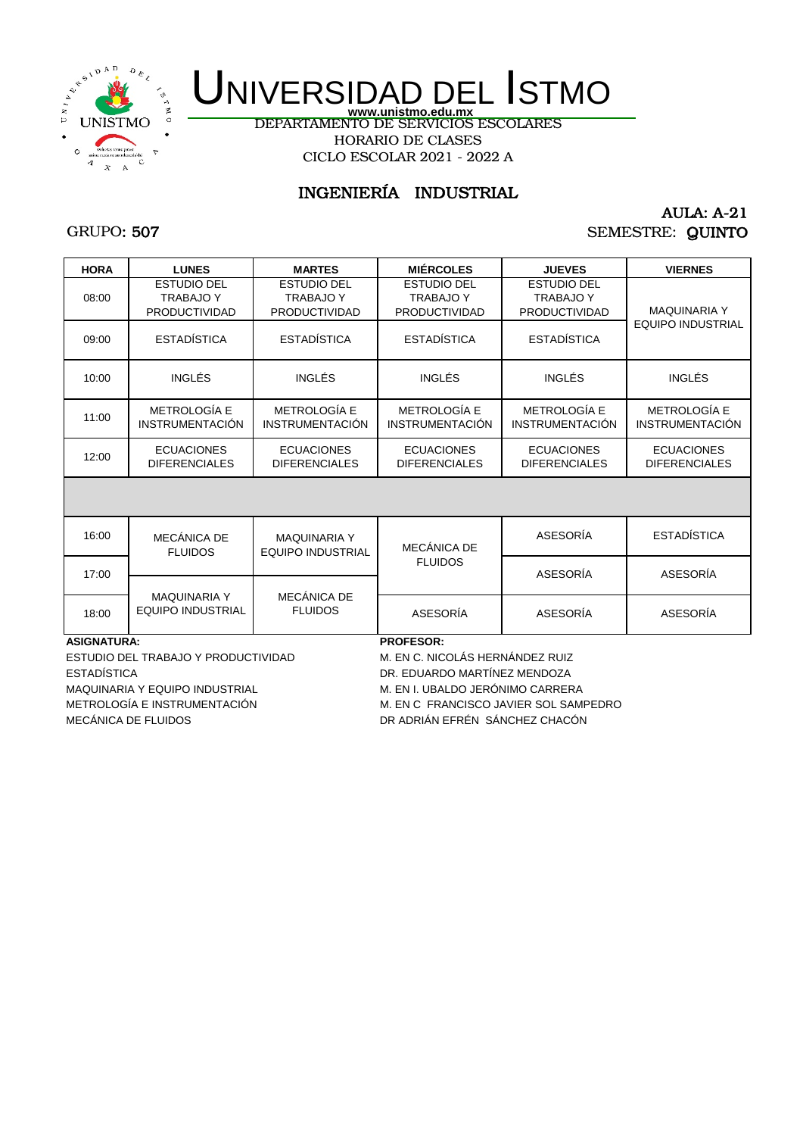

DEPARTAMENTO DE SERVICIOS ESCOLARES HORARIO DE CLASES CICLO ESCOLAR 2021 - 2022 A

## INGENIERÍA INDUSTRIAL

## GRUPO: 507

### AULA: A-21 SEMESTRE: QUINTO

| <b>HORA</b>        | <b>LUNES</b>                                                   | <b>MARTES</b>                                                  | <b>MIÉRCOLES</b>                                               | <b>JUEVES</b>                                                  | <b>VIERNES</b>                            |
|--------------------|----------------------------------------------------------------|----------------------------------------------------------------|----------------------------------------------------------------|----------------------------------------------------------------|-------------------------------------------|
| 08:00              | <b>ESTUDIO DEL</b><br><b>TRABAJO Y</b><br><b>PRODUCTIVIDAD</b> | <b>ESTUDIO DEL</b><br><b>TRABAJO Y</b><br><b>PRODUCTIVIDAD</b> | <b>ESTUDIO DEL</b><br><b>TRABAJO Y</b><br><b>PRODUCTIVIDAD</b> | <b>ESTUDIO DEL</b><br><b>TRABAJO Y</b><br><b>PRODUCTIVIDAD</b> | <b>MAQUINARIA Y</b>                       |
| 09:00              | <b>ESTADÍSTICA</b>                                             | <b>ESTADÍSTICA</b>                                             | <b>ESTADÍSTICA</b>                                             | <b>ESTADÍSTICA</b>                                             | <b>EQUIPO INDUSTRIAL</b>                  |
| 10:00              | <b>INGLÉS</b>                                                  | INGLÉS                                                         | <b>INGLÉS</b>                                                  | <b>INGLÉS</b>                                                  | INGLÉS                                    |
| 11:00              | METROLOGÍA E<br><b>INSTRUMENTACIÓN</b>                         | METROLOGÍA E<br><b>INSTRUMENTACIÓN</b>                         | <b>METROLOGÍA E</b><br><b>INSTRUMENTACIÓN</b>                  | METROLOGÍA E<br><b>INSTRUMENTACIÓN</b>                         | METROLOGÍA E<br><b>INSTRUMENTACIÓN</b>    |
| 12:00              | <b>ECUACIONES</b><br><b>DIFERENCIALES</b>                      | <b>ECUACIONES</b><br><b>DIFERENCIALES</b>                      | <b>ECUACIONES</b><br><b>DIFERENCIALES</b>                      | <b>ECUACIONES</b><br><b>DIFERENCIALES</b>                      | <b>ECUACIONES</b><br><b>DIFERENCIALES</b> |
|                    |                                                                |                                                                |                                                                |                                                                |                                           |
| 16:00              | MECÁNICA DE<br><b>FLUIDOS</b>                                  | <b>MAQUINARIA Y</b><br><b>EQUIPO INDUSTRIAL</b>                | MECÁNICA DE                                                    | ASESORÍA                                                       | <b>ESTADÍSTICA</b>                        |
| 17:00              |                                                                |                                                                | <b>FLUIDOS</b>                                                 | ASESORÍA                                                       | ASESORÍA                                  |
| 18:00              | <b>MAQUINARIA Y</b><br>EQUIPO INDUSTRIAL                       | MECÁNICA DE<br><b>FLUIDOS</b>                                  | ASESORÍA                                                       | ASESORÍA                                                       | ASESORÍA                                  |
| <b>ASIGNATURA:</b> |                                                                |                                                                | <b>PROFESOR:</b>                                               |                                                                |                                           |

ESTUDIO DEL TRABAJO Y PRODUCTIVIDAD M. EN C. NICOLÁS HERNÁNDEZ RUIZ ESTADÍSTICA DR. EDUARDO MARTÍNEZ MENDOZA MAQUINARIA Y EQUIPO INDUSTRIAL M. EN I. UBALDO JERÓNIMO CARRERA MECÁNICA DE FLUIDOS DE ENTRENSIONAL ESTA DE ADRIÁN EFRÉN SÁNCHEZ CHACÓN

METROLOGÍA E INSTRUMENTACIÓN METROLOGÍA E INSTRUMENTACIÓN METROLOGÍA E INSTRUMENTACIÓN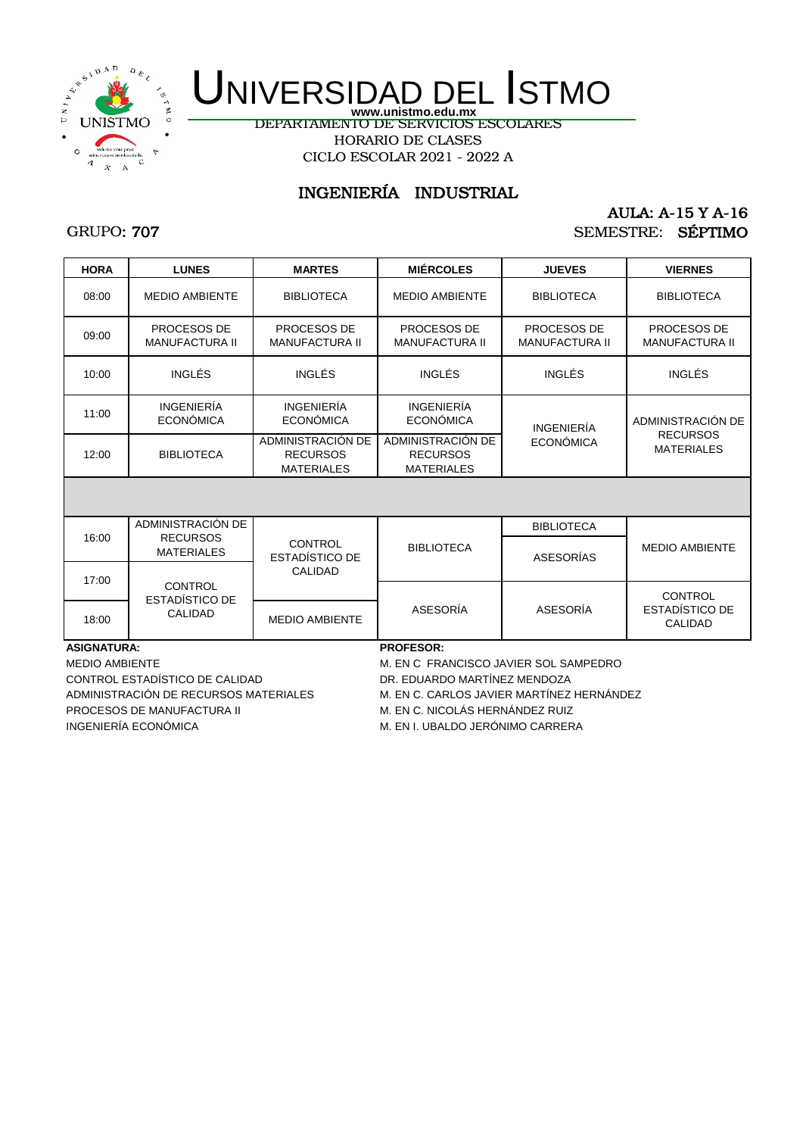

DEPARTAMENTO DE SERVICIOS ESCOLARES

HORARIO DE CLASES CICLO ESCOLAR 2021 - 2022 A

## INGENIERÍA INDUSTRIAL

## GRUPO: 707

### AULA: A-15 Y A-16 SEMESTRE: SÉPTIMO

| <b>HORA</b>        | <b>LUNES</b>                          | <b>MARTES</b>                                             | <b>MIÉRCOLES</b>                                          | <b>JUEVES</b>                               | <b>VIERNES</b>                                     |
|--------------------|---------------------------------------|-----------------------------------------------------------|-----------------------------------------------------------|---------------------------------------------|----------------------------------------------------|
| 08:00              | <b>MEDIO AMBIENTE</b>                 | <b>BIBLIOTECA</b>                                         | <b>MEDIO AMBIENTE</b>                                     | <b>BIBLIOTECA</b>                           | <b>BIBLIOTECA</b>                                  |
| 09:00              | PROCESOS DE<br><b>MANUFACTURA II</b>  | PROCESOS DE<br><b>MANUFACTURA II</b>                      | PROCESOS DE<br><b>MANUFACTURA II</b>                      | <b>PROCESOS DE</b><br><b>MANUFACTURA II</b> | PROCESOS DE<br><b>MANUFACTURA II</b>               |
| 10:00              | <b>INGLÉS</b>                         | <b>INGLÉS</b>                                             | <b>INGLÉS</b>                                             | <b>INGLÉS</b>                               | <b>INGLÉS</b>                                      |
| 11:00              | <b>INGENIERÍA</b><br><b>ECONÓMICA</b> | <b>INGENIERÍA</b><br><b>ECONÓMICA</b>                     | <b>INGENIERÍA</b><br><b>ECONÓMICA</b>                     | <b>INGENIERÍA</b>                           | ADMINISTRACIÓN DE                                  |
| 12:00              | <b>BIBLIOTECA</b>                     | ADMINISTRACIÓN DE<br><b>RECURSOS</b><br><b>MATERIALES</b> | ADMINISTRACIÓN DE<br><b>RECURSOS</b><br><b>MATERIALES</b> | <b>ECONÓMICA</b>                            | <b>RECURSOS</b><br><b>MATERIALES</b>               |
|                    |                                       |                                                           |                                                           |                                             |                                                    |
|                    | ADMINISTRACIÓN DE                     |                                                           |                                                           | <b>BIBLIOTECA</b>                           |                                                    |
| 16:00              | <b>RECURSOS</b><br><b>MATERIALES</b>  | <b>CONTROL</b><br><b>ESTADÍSTICO DE</b>                   | <b>BIBLIOTECA</b>                                         | ASESORÍAS                                   | <b>MEDIO AMBIENTE</b>                              |
| 17:00              | CONTROL                               | <b>CALIDAD</b>                                            |                                                           |                                             |                                                    |
| 18:00              | ESTADÍSTICO DE<br><b>CALIDAD</b>      | <b>MEDIO AMBIENTE</b>                                     | ASESORÍA                                                  | ASESORÍA                                    | <b>CONTROL</b><br>ESTADÍSTICO DE<br><b>CALIDAD</b> |
| <b>ASIGNATURA:</b> |                                       |                                                           | <b>PROFESOR:</b>                                          |                                             |                                                    |

CONTROL ESTADÍSTICO DE CALIDAD DE DE CONTROL ESTADÍSTICO DE CALIDAD DR. EDUARDO MARTÍNEZ MENDOZA ADMINISTRACIÓN DE RECURSOS MATERIALES M. EN C. CARLOS JAVIER MARTÍNEZ HERNÁNDEZ PROCESOS DE MANUFACTURA II M. EN C. NICOLÁS HERNÁNDEZ RUIZ INGENIERÍA ECONÓMICA **M. EN I. UBALDO JERÓNIMO CARRERA** 

MEDIO AMBIENTE **M. EN C FRANCISCO JAVIER SOL SAMPEDRO**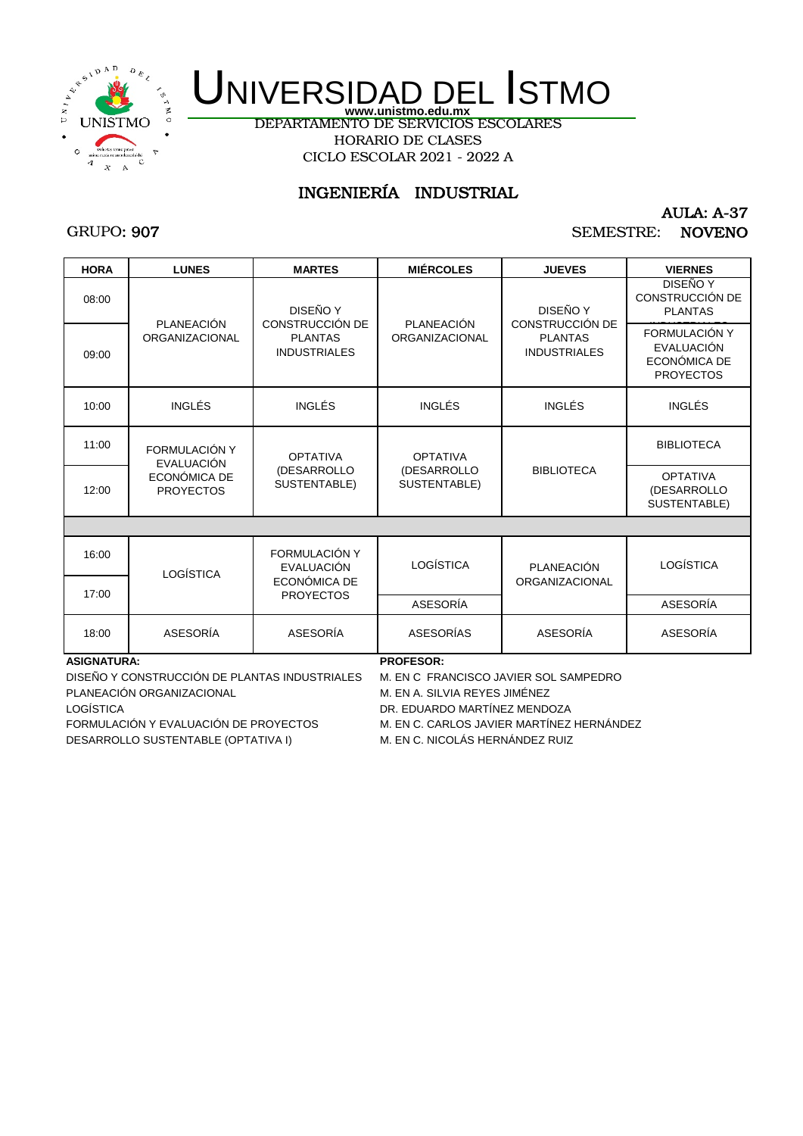

DEPARTAMENTO DE SERVICIOS ESCOLARES HORARIO DE CLASES CICLO ESCOLAR 2021 - 2022 A

## INGENIERÍA INDUSTRIAL

## GRUPO: 907

AULA: A-37 SEMESTRE: NOVENO

| <b>HORA</b>        | <b>LUNES</b>                        | <b>MARTES</b>                                                                                    | <b>MIÉRCOLES</b>                               | <b>JUEVES</b>                         | <b>VIERNES</b>                                                         |
|--------------------|-------------------------------------|--------------------------------------------------------------------------------------------------|------------------------------------------------|---------------------------------------|------------------------------------------------------------------------|
| 08:00              |                                     | DISEÑO Y                                                                                         | PLANEACIÓN                                     | DISEÑO Y<br>CONSTRUCCIÓN DE           | <b>DISEÑO Y</b><br>CONSTRUCCIÓN DE<br><b>PLANTAS</b>                   |
| 09:00              | PLANEACIÓN<br><b>ORGANIZACIONAL</b> | CONSTRUCCIÓN DE<br><b>PLANTAS</b><br><b>INDUSTRIALES</b>                                         | ORGANIZACIONAL                                 | <b>PLANTAS</b><br><b>INDUSTRIALES</b> | FORMULACIÓN Y<br><b>EVALUACIÓN</b><br>ECONÓMICA DE<br><b>PROYECTOS</b> |
| 10:00              | <b>INGLÉS</b>                       | INGLÉS                                                                                           | INGLÉS                                         | <b>INGLÉS</b>                         | <b>INGLÉS</b>                                                          |
| 11:00              | FORMULACIÓN Y                       | <b>OPTATIVA</b><br>EVALUACIÓN<br>(DESARROLLO<br>ECONÓMICA DE<br>SUSTENTABLE)<br><b>PROYECTOS</b> | <b>OPTATIVA</b><br>(DESARROLLO<br>SUSTENTABLE) | <b>BIBLIOTECA</b>                     | <b>BIBLIOTECA</b>                                                      |
| 12:00              |                                     |                                                                                                  |                                                |                                       | <b>OPTATIVA</b><br>(DESARROLLO<br>SUSTENTABLE)                         |
|                    |                                     |                                                                                                  |                                                |                                       |                                                                        |
| 16:00              | LOGÍSTICA                           | FORMULACIÓN Y<br><b>EVALUACIÓN</b>                                                               | LOGÍSTICA                                      | <b>PLANEACIÓN</b>                     | LOGÍSTICA                                                              |
| 17:00              |                                     | ECONÓMICA DE<br><b>PROYECTOS</b>                                                                 |                                                | <b>ORGANIZACIONAL</b>                 |                                                                        |
|                    |                                     |                                                                                                  | <b>ASESORÍA</b>                                |                                       | <b>ASESORÍA</b>                                                        |
| 18:00              | ASESORÍA                            | ASESORÍA                                                                                         | <b>ASESORÍAS</b>                               | ASESORÍA                              | ASESORÍA                                                               |
| <b>ASIGNATURA:</b> |                                     |                                                                                                  | <b>PROFESOR:</b>                               |                                       |                                                                        |

DISEÑO Y CONSTRUCCIÓN DE PLANTAS INDUSTRIALES M. EN C FRANCISCO JAVIER SOL SAMPEDRO PLANEACIÓN ORGANIZACIONAL **M. EN A. SILVIA REYES JIMÉNEZ** 

FORMULACIÓN Y EVALUACIÓN DE PROYECTOS M. EN C. CARLOS JAVIER MARTÍNEZ HERNÁNDEZ DESARROLLO SUSTENTABLE (OPTATIVA I) M. EN C. NICOLÁS HERNÁNDEZ RUIZ

LOGÍSTICA DR. EDUARDO MARTÍNEZ MENDOZA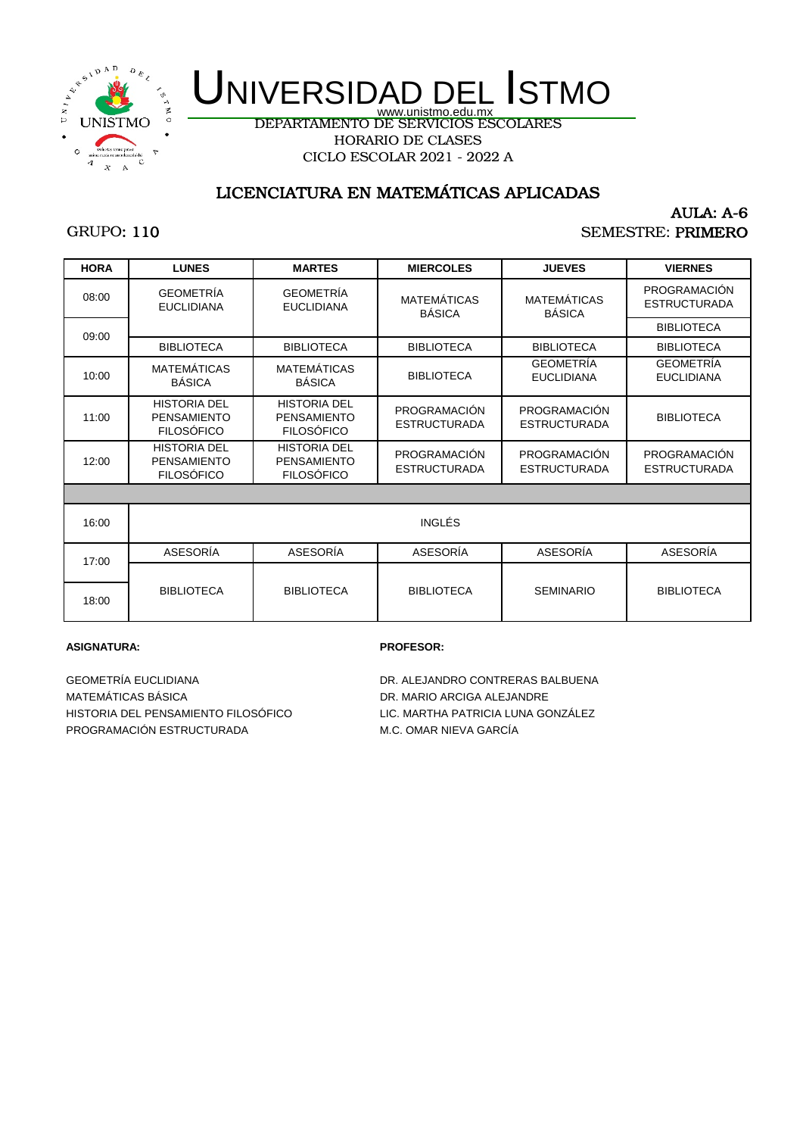

DEPARTAMENTO DE SERVICIOS ESCOLARES HORARIO DE CLASES

CICLO ESCOLAR 2021 - 2022 A

## LICENCIATURA EN MATEMÁTICAS APLICADAS

## GRUPO: 110

#### AULA: A-6 SEMESTRE: PRIMERO

| <b>HORA</b> | <b>LUNES</b>                                                   | <b>MARTES</b>                                                  | <b>MIERCOLES</b>                    | <b>JUEVES</b>                         | <b>VIERNES</b>                        |
|-------------|----------------------------------------------------------------|----------------------------------------------------------------|-------------------------------------|---------------------------------------|---------------------------------------|
| 08:00       | <b>GEOMETRÍA</b><br><b>EUCLIDIANA</b>                          | <b>GEOMETRÍA</b><br><b>EUCLIDIANA</b>                          | <b>MATEMÁTICAS</b><br><b>BÁSICA</b> | <b>MATEMÁTICAS</b><br><b>BÁSICA</b>   | PROGRAMACIÓN<br><b>ESTRUCTURADA</b>   |
| 09:00       |                                                                |                                                                |                                     |                                       | <b>BIBLIOTECA</b>                     |
|             | <b>BIBLIOTECA</b>                                              | <b>BIBLIOTECA</b>                                              | <b>BIBLIOTECA</b>                   | <b>BIBLIOTECA</b>                     | <b>BIBLIOTECA</b>                     |
| 10:00       | MATEMÁTICAS<br><b>BÁSICA</b>                                   | <b>MATEMÁTICAS</b><br><b>BÁSICA</b>                            | <b>BIBLIOTECA</b>                   | <b>GEOMETRÍA</b><br><b>EUCLIDIANA</b> | <b>GEOMETRÍA</b><br><b>EUCLIDIANA</b> |
| 11:00       | <b>HISTORIA DEL</b><br><b>PENSAMIENTO</b><br><b>FILOSÓFICO</b> | <b>HISTORIA DEL</b><br><b>PENSAMIENTO</b><br><b>FILOSÓFICO</b> | PROGRAMACIÓN<br><b>ESTRUCTURADA</b> | PROGRAMACIÓN<br><b>ESTRUCTURADA</b>   | <b>BIBLIOTECA</b>                     |
| 12:00       | <b>HISTORIA DEL</b><br><b>PENSAMIENTO</b><br><b>FILOSÓFICO</b> | <b>HISTORIA DEL</b><br><b>PENSAMIENTO</b><br><b>FILOSÓFICO</b> | PROGRAMACIÓN<br><b>ESTRUCTURADA</b> | PROGRAMACIÓN<br><b>ESTRUCTURADA</b>   | PROGRAMACIÓN<br><b>ESTRUCTURADA</b>   |
|             |                                                                |                                                                |                                     |                                       |                                       |
| 16:00       |                                                                |                                                                | <b>INGLÉS</b>                       |                                       |                                       |
| 17:00       | ASESORÍA                                                       | ASESORÍA                                                       | ASESORÍA                            | ASESORÍA                              | ASESORÍA                              |
| 18:00       | <b>BIBLIOTECA</b>                                              | <b>BIBLIOTECA</b>                                              | <b>BIBLIOTECA</b>                   | <b>SEMINARIO</b>                      | <b>BIBLIOTECA</b>                     |

#### **ASIGNATURA: PROFESOR:**

MATEMÁTICAS BÁSICA DR. MARIO ARCIGA ALEJANDRE HISTORIA DEL PENSAMIENTO FILOSÓFICO LIC. MARTHA PATRICIA LUNA GONZÁLEZ PROGRAMACIÓN ESTRUCTURADA M.C. OMAR NIEVA GARCÍA

GEOMETRÍA EUCLIDIANA **DR. ALEJANDRO CONTRERAS BALBUENA**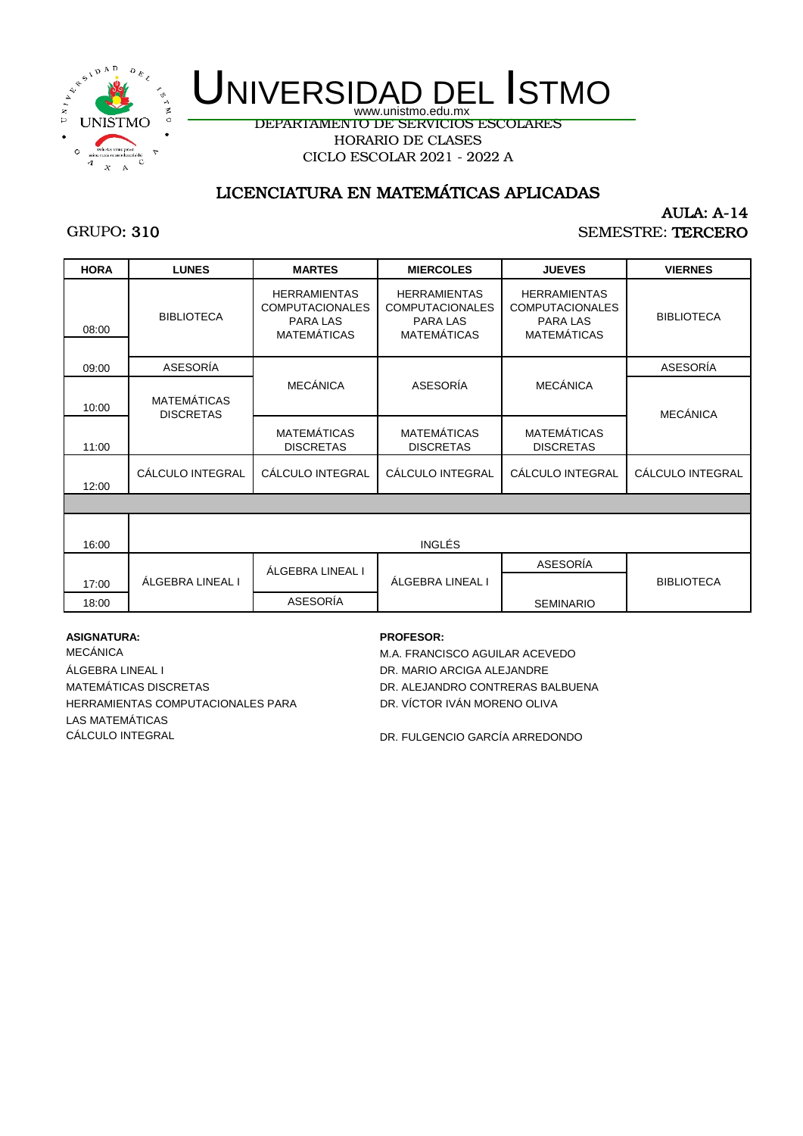

DEPARTAMENTO DE SERVICIOS ESCOLARES HORARIO DE CLASES

CICLO ESCOLAR 2021 - 2022 A

## LICENCIATURA EN MATEMÁTICAS APLICADAS

## GRUPO: 310

### AULA: A-14 SEMESTRE: TERCERO

| <b>HORA</b> | <b>LUNES</b>                           | <b>MARTES</b>                                                                   | <b>MIERCOLES</b>                                                                | <b>JUEVES</b>                                                                          | <b>VIERNES</b>    |  |  |
|-------------|----------------------------------------|---------------------------------------------------------------------------------|---------------------------------------------------------------------------------|----------------------------------------------------------------------------------------|-------------------|--|--|
| 08:00       | <b>BIBLIOTECA</b>                      | <b>HERRAMIENTAS</b><br><b>COMPUTACIONALES</b><br>PARA LAS<br><b>MATEMÁTICAS</b> | <b>HERRAMIENTAS</b><br><b>COMPUTACIONALES</b><br>PARA LAS<br><b>MATEMÁTICAS</b> | <b>HERRAMIENTAS</b><br><b>COMPUTACIONALES</b><br><b>PARA LAS</b><br><b>MATEMÁTICAS</b> | <b>BIBLIOTECA</b> |  |  |
| 09:00       | ASESORÍA                               |                                                                                 |                                                                                 |                                                                                        | ASESORÍA          |  |  |
| 10:00       | <b>MATEMÁTICAS</b><br><b>DISCRETAS</b> | <b>MECÁNICA</b>                                                                 | ASESORÍA                                                                        | <b>MECÁNICA</b>                                                                        | <b>MECÁNICA</b>   |  |  |
| 11:00       |                                        | <b>MATEMÁTICAS</b><br><b>DISCRETAS</b>                                          | <b>MATEMÁTICAS</b><br><b>DISCRETAS</b>                                          | <b>MATEMÁTICAS</b><br><b>DISCRETAS</b>                                                 |                   |  |  |
| 12:00       | CÁLCULO INTEGRAL                       | CÁLCULO INTEGRAL                                                                | CÁLCULO INTEGRAL                                                                | CÁLCULO INTEGRAL                                                                       | CÁLCULO INTEGRAL  |  |  |
|             |                                        |                                                                                 |                                                                                 |                                                                                        |                   |  |  |
| 16:00       | <b>INGLÉS</b>                          |                                                                                 |                                                                                 |                                                                                        |                   |  |  |
| 17:00       | ÁLGEBRA LINEAL I                       | ÁLGEBRA LINEAL I                                                                | ÁLGEBRA LINEAL I                                                                | ASESORÍA                                                                               | <b>BIBLIOTECA</b> |  |  |
| 18:00       |                                        | ASESORÍA                                                                        |                                                                                 | <b>SEMINARIO</b>                                                                       |                   |  |  |

**ASIGNATURA: PROFESOR:**

ÁLGEBRA LINEAL I DR. MARIO ARCIGA ALEJANDRE MATEMÁTICAS DISCRETAS DE EN ENTREGADO DE ALEJANDRO CONTRERAS BALBUENA HERRAMIENTAS COMPUTACIONALES PARA DR. VÍCTOR IVÁN MORENO OLIVA CÁLCULO INTEGRAL **DR. FULGENCIO GARCÍA ARREDONDO** LAS MATEMÁTICAS

MECÁNICA MECÁNICA MECÁNICA MECÁNICA MECÁNICA MECÁNICA MECÁNICA MECÁNICA MECÁNICA MECHANICA MECHANICA MECHANICA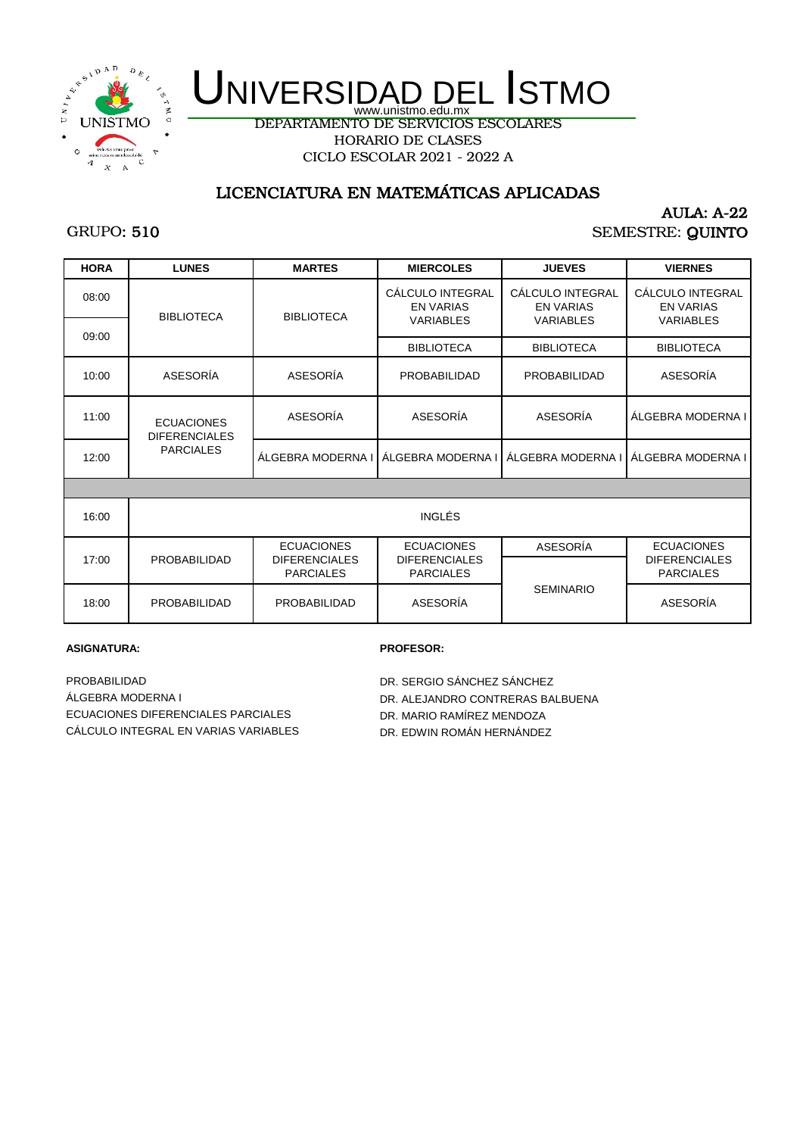

DEPARTAMENTO DE SERVICIOS ESCOLARES HORARIO DE CLASES CICLO ESCOLAR 2021 - 2022 A

## LICENCIATURA EN MATEMÁTICAS APLICADAS

## GRUPO: 510

### AULA: A-22 SEMESTRE: QUINTO

| <b>HORA</b> | <b>LUNES</b>                              | <b>MARTES</b>                            | <b>MIERCOLES</b>                                         | <b>JUEVES</b>                                            | <b>VIERNES</b>                                           |
|-------------|-------------------------------------------|------------------------------------------|----------------------------------------------------------|----------------------------------------------------------|----------------------------------------------------------|
| 08:00       | <b>BIBLIOTECA</b>                         | <b>BIBLIOTECA</b>                        | CÁLCULO INTEGRAL<br><b>EN VARIAS</b><br><b>VARIABLES</b> | CÁLCULO INTEGRAL<br><b>EN VARIAS</b><br><b>VARIABLES</b> | CÁLCULO INTEGRAL<br><b>EN VARIAS</b><br><b>VARIABLES</b> |
| 09:00       |                                           |                                          | <b>BIBLIOTECA</b>                                        | <b>BIBLIOTECA</b>                                        | <b>BIBLIOTECA</b>                                        |
| 10:00       | ASESORÍA                                  | ASESORÍA                                 | PROBABILIDAD                                             | <b>PROBABILIDAD</b>                                      | ASESORÍA                                                 |
| 11:00       | <b>ECUACIONES</b><br><b>DIFERENCIALES</b> | ASESORÍA                                 | ASESORÍA                                                 | ASESORÍA                                                 | ALGEBRA MODERNA I                                        |
| 12:00       | <b>PARCIALES</b>                          | ÁLGEBRA MODERNA I                        | ALGEBRA MODERNA I                                        | ALGEBRA MODERNA I                                        | ÁLGEBRA MODERNA I                                        |
|             |                                           |                                          |                                                          |                                                          |                                                          |
| 16:00       |                                           |                                          | INGLÉS                                                   |                                                          |                                                          |
|             |                                           | <b>ECUACIONES</b>                        | <b>ECUACIONES</b>                                        | ASESORÍA                                                 | <b>ECUACIONES</b>                                        |
| 17:00       | PROBABILIDAD                              | <b>DIFERENCIALES</b><br><b>PARCIALES</b> | <b>DIFERENCIALES</b><br><b>PARCIALES</b>                 |                                                          | <b>DIFERENCIALES</b><br><b>PARCIALES</b>                 |
| 18:00       | PROBABILIDAD                              | PROBABILIDAD                             | ASESORÍA                                                 | <b>SEMINARIO</b>                                         | ASESORÍA                                                 |

#### **ASIGNATURA: PROFESOR:**

PROBABILIDAD DR. SERGIO SÁNCHEZ SÁNCHEZ ÁLGEBRA MODERNA I DR. ALEJANDRO CONTRERAS BALBUENA ECUACIONES DIFERENCIALES PARCIALES DAN DR. MARIO RAMÍREZ MENDOZA CÁLCULO INTEGRAL EN VARIAS VARIABLES DR. EDWIN ROMÁN HERNÁNDEZ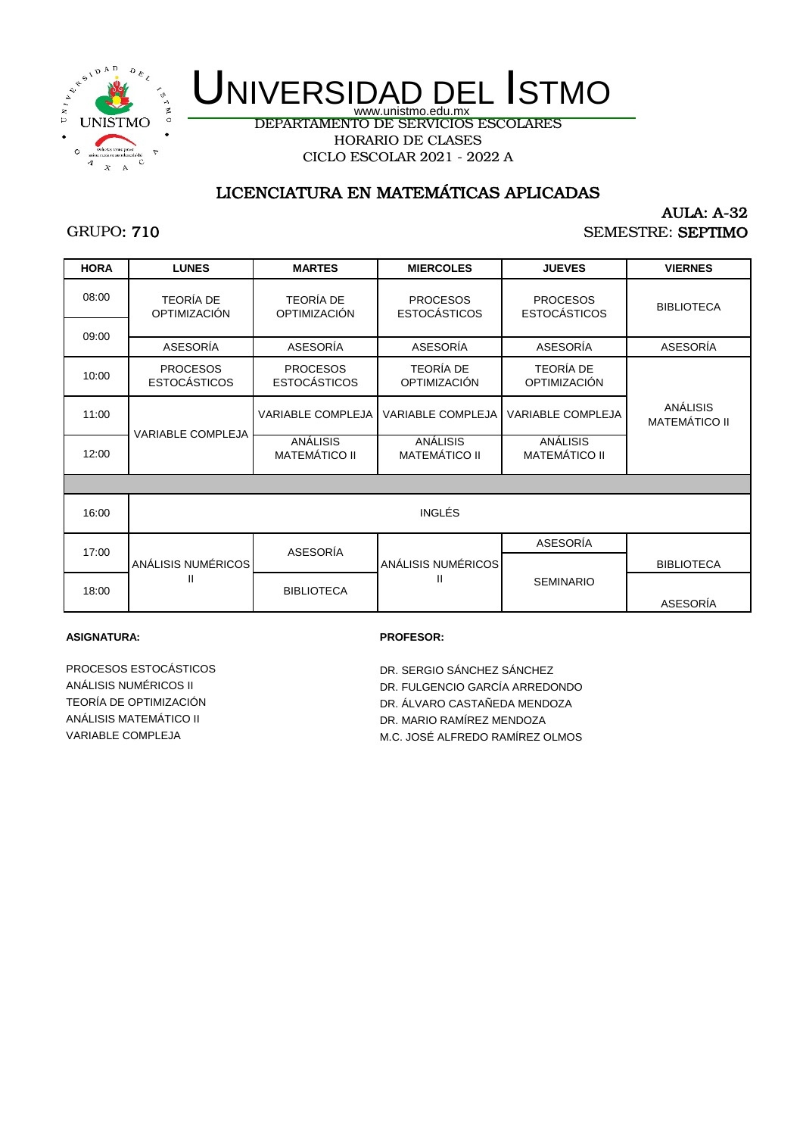

DEPARTAMENTO DE SERVICIOS ESCOLARES HORARIO DE CLASES CICLO ESCOLAR 2021 - 2022 A

## LICENCIATURA EN MATEMÁTICAS APLICADAS

## GRUPO: 710

#### AULA: A-32 SEMESTRE: SEPTIMO

| <b>HORA</b> | <b>LUNES</b>                            | <b>MARTES</b>                           | <b>MIERCOLES</b>                        | <b>JUEVES</b>                           | <b>VIERNES</b>                   |
|-------------|-----------------------------------------|-----------------------------------------|-----------------------------------------|-----------------------------------------|----------------------------------|
|             |                                         |                                         |                                         |                                         |                                  |
| 08:00       | <b>TEORÍA DE</b><br><b>OPTIMIZACIÓN</b> | <b>TEORÍA DE</b><br><b>OPTIMIZACIÓN</b> | <b>PROCESOS</b><br><b>ESTOCÁSTICOS</b>  | <b>PROCESOS</b><br><b>ESTOCÁSTICOS</b>  | <b>BIBLIOTECA</b>                |
| 09:00       |                                         |                                         |                                         |                                         |                                  |
|             | ASESORÍA                                | ASESORÍA                                | ASESORÍA                                | ASESORÍA                                | ASESORÍA                         |
| 10:00       | <b>PROCESOS</b><br><b>ESTOCÁSTICOS</b>  | <b>PROCESOS</b><br><b>ESTOCÁSTICOS</b>  | <b>TEORÍA DE</b><br><b>OPTIMIZACIÓN</b> | <b>TEORÍA DE</b><br><b>OPTIMIZACIÓN</b> |                                  |
| 11:00       |                                         | <b>VARIABLE COMPLEJA</b>                | VARIABLE COMPLEJA                       | <b>VARIABLE COMPLEJA</b>                | ANÁLISIS<br><b>MATEMÁTICO II</b> |
| 12:00       | <b>VARIABLE COMPLEJA</b>                | ANÁLISIS<br><b>MATEMÁTICO II</b>        | ANÁLISIS<br><b>MATEMÁTICO II</b>        | ANÁLISIS<br><b>MATEMÁTICO II</b>        |                                  |
|             |                                         |                                         |                                         |                                         |                                  |
| 16:00       |                                         |                                         | INGLÉS                                  |                                         |                                  |
|             |                                         | ASESORÍA                                |                                         | ASESORÍA                                |                                  |
| 17:00       | ANÁLISIS NUMÉRICOS                      |                                         | ANÁLISIS NUMÉRICOS                      |                                         | <b>BIBLIOTECA</b>                |
| 18:00       | Ш                                       | <b>BIBLIOTECA</b>                       |                                         | <b>SEMINARIO</b>                        | <b>ASESORÍA</b>                  |

#### **ASIGNATURA: PROFESOR:**

PROCESOS ESTOCÁSTICOS DR. SERGIO SÁNCHEZ SÁNCHEZ VARIABLE COMPLEJA **M.C. JOSÉ ALFREDO RAMÍREZ OLMOS** 

ANÁLISIS NUMÉRICOS II DE LOS DE LOS DR. FULGENCIO GARCÍA ARREDONDO TEORÍA DE OPTIMIZACIÓN DR. ÁLVARO CASTAÑEDA MENDOZA DR. ÁLVARO CASTAÑEDA MENDOZA ANÁLISIS MATEMÁTICO II DR. MARIO RAMÍREZ MENDOZA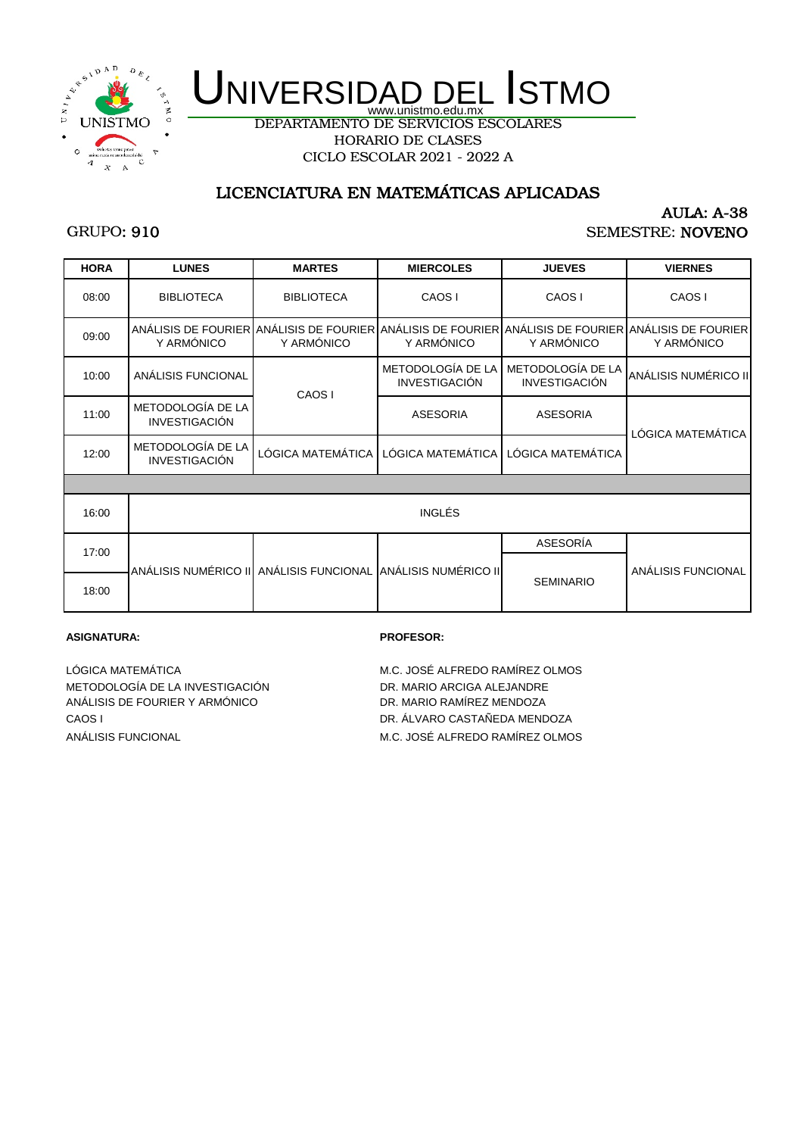

DEPARTAMENTO DE SERVICIOS ESCOLARES HORARIO DE CLASES CICLO ESCOLAR 2021 - 2022 A

## LICENCIATURA EN MATEMÁTICAS APLICADAS

## GRUPO: 910

#### AULA: A-38 SEMESTRE: NOVENO

| <b>HORA</b> | <b>LUNES</b>                              | <b>MARTES</b>                                                                                                     | <b>MIERCOLES</b>                   | <b>JUEVES</b>                             | <b>VIERNES</b>       |  |
|-------------|-------------------------------------------|-------------------------------------------------------------------------------------------------------------------|------------------------------------|-------------------------------------------|----------------------|--|
| 08:00       | <b>BIBLIOTECA</b>                         | <b>BIBLIOTECA</b>                                                                                                 | CAOS I                             | CAOS I                                    | CAOS I               |  |
| 09:00       | Y ARMÓNICO                                | ANÁLISIS DE FOURIER ANÁLISIS DE FOURIER ANÁLISIS DE FOURIER ANÁLISIS DE FOURIER ANÁLISIS DE FOURIER<br>Y ARMÓNICO | Y ARMÓNICO                         | Y ARMÓNICO                                | Y ARMÓNICO           |  |
| 10:00       | ANÁLISIS FUNCIONAL                        | CAOS I                                                                                                            | METODOLOGÍA DE LA<br>INVESTIGACIÓN | METODOLOGÍA DE LA<br><b>INVESTIGACIÓN</b> | ANÁLISIS NUMÉRICO II |  |
| 11:00       | METODOLOGÍA DE LA<br><b>INVESTIGACIÓN</b> |                                                                                                                   | <b>ASESORIA</b>                    | <b>ASESORIA</b>                           | LÓGICA MATEMÁTICA    |  |
| 12:00       | METODOLOGÍA DE LA<br><b>INVESTIGACIÓN</b> | LÓGICA MATEMÁTICA                                                                                                 | LÓGICA MATEMÁTICA                  | LÓGICA MATEMÁTICA                         |                      |  |
|             |                                           |                                                                                                                   |                                    |                                           |                      |  |
| 16:00       | <b>INGLÉS</b>                             |                                                                                                                   |                                    |                                           |                      |  |
| 17:00       |                                           |                                                                                                                   |                                    | ASESORÍA                                  |                      |  |
|             |                                           | ANÁLISIS NUMÉRICO III ANÁLISIS FUNCIONAL IANÁLISIS NUMÉRICO III                                                   |                                    | <b>SEMINARIO</b>                          | ANÁLISIS FUNCIONAL   |  |
| 18:00       |                                           |                                                                                                                   |                                    |                                           |                      |  |

#### **ASIGNATURA: PROFESOR:**

LÓGICA MATEMÁTICA M.C. JOSÉ ALFREDO RAMÍREZ OLMOS METODOLOGÍA DE LA INVESTIGACIÓN DR. MARIO ARCIGA ALEJANDRE<br>ANÁLISIS DE FOURIER Y ARMÓNICO DR. MARIO RAMÍREZ MENDOZA ANÁLISIS DE FOURIER Y ARMÓNICO CAOS I DR. ÁLVARO CASTAÑEDA MENDOZA

ANÁLISIS FUNCIONAL **M.C. JOSÉ ALFREDO RAMÍREZ OLMOS**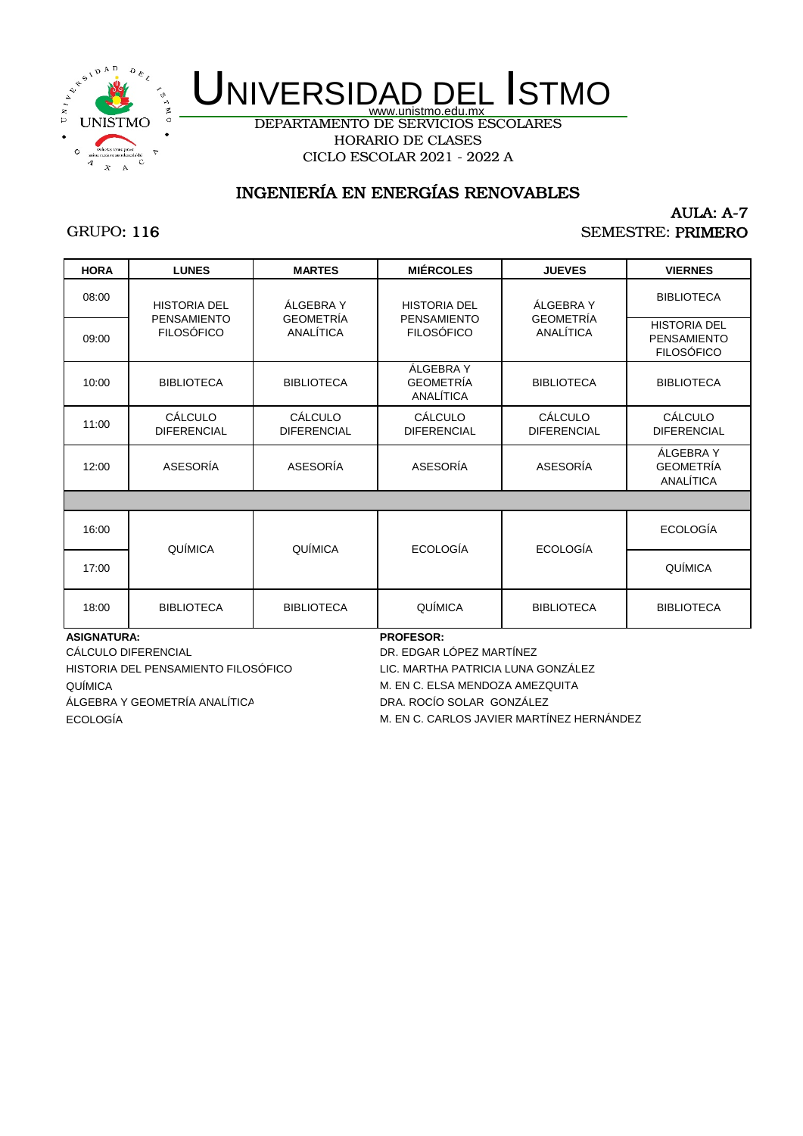

DEPARTAMENTO DE SERVICIOS ESCOLARES HORARIO DE CLASES CICLO ESCOLAR 2021 - 2022 A

## INGENIERÍA EN ENERGÍAS RENOVABLES

## GRUPO: 116

### AULA: A-7 SEMESTRE: PRIMERO

| <b>HORA</b>        | <b>LUNES</b>                            | <b>MARTES</b>                        | <b>MIÉRCOLES</b>                           | <b>JUEVES</b>                 | <b>VIERNES</b>                                                 |
|--------------------|-----------------------------------------|--------------------------------------|--------------------------------------------|-------------------------------|----------------------------------------------------------------|
| 08:00              | <b>HISTORIA DEL</b>                     | ÁLGEBRA Y                            | <b>HISTORIA DEL</b>                        | ÁLGEBRA Y                     | <b>BIBLIOTECA</b>                                              |
| 09:00              | <b>PENSAMIENTO</b><br><b>FILOSÓFICO</b> | <b>GEOMETRÍA</b><br>ANALÍTICA        | <b>PENSAMIENTO</b><br><b>FILOSÓFICO</b>    | <b>GEOMETRÍA</b><br>ANALÍTICA | <b>HISTORIA DEL</b><br><b>PENSAMIENTO</b><br><b>FILOSÓFICO</b> |
| 10:00              | <b>BIBLIOTECA</b>                       | <b>BIBLIOTECA</b>                    | ÁLGEBRA Y<br><b>GEOMETRÍA</b><br>ANALÍTICA | <b>BIBLIOTECA</b>             | <b>BIBLIOTECA</b>                                              |
| 11:00              | CÁLCULO<br><b>DIFERENCIAL</b>           | <b>CÁLCULO</b><br><b>DIFERENCIAL</b> | CÁLCULO<br><b>DIFERENCIAL</b>              | CÁLCULO<br><b>DIFERENCIAL</b> | <b>CÁLCULO</b><br><b>DIFERENCIAL</b>                           |
| 12:00              | ASESORÍA                                | ASESORÍA                             | ASESORÍA                                   | ASESORÍA                      | ÁLGEBRA Y<br><b>GEOMETRÍA</b><br>ANALÍTICA                     |
|                    |                                         |                                      |                                            |                               |                                                                |
| 16:00              | QUÍMICA                                 | QUÍMICA                              | <b>ECOLOGÍA</b>                            | <b>ECOLOGÍA</b>               | <b>ECOLOGÍA</b>                                                |
| 17:00              |                                         |                                      |                                            |                               | QUÍMICA                                                        |
| 18:00              | <b>BIBLIOTECA</b>                       | <b>BIBLIOTECA</b>                    | QUÍMICA                                    | <b>BIBLIOTECA</b>             | <b>BIBLIOTECA</b>                                              |
| <b>ASIGNATURA:</b> |                                         |                                      | <b>PROFESOR:</b>                           |                               |                                                                |

QUÍMICA ECOLOGÍA CÁLCULO DIFERENCIAL DR. EDGAR LÓPEZ MARTÍNEZ HISTORIA DEL PENSAMIENTO FILOSÓFICO LIC. MARTHA PATRICIA LUNA GONZÁLEZ ÁLGEBRA Y GEOMETRÍA ANALÍTICA DRA. ROCÍO SOLAR GONZÁLEZ

M. EN C. ELSA MENDOZA AMEZQUITA

M. EN C. CARLOS JAVIER MARTÍNEZ HERNÁNDEZ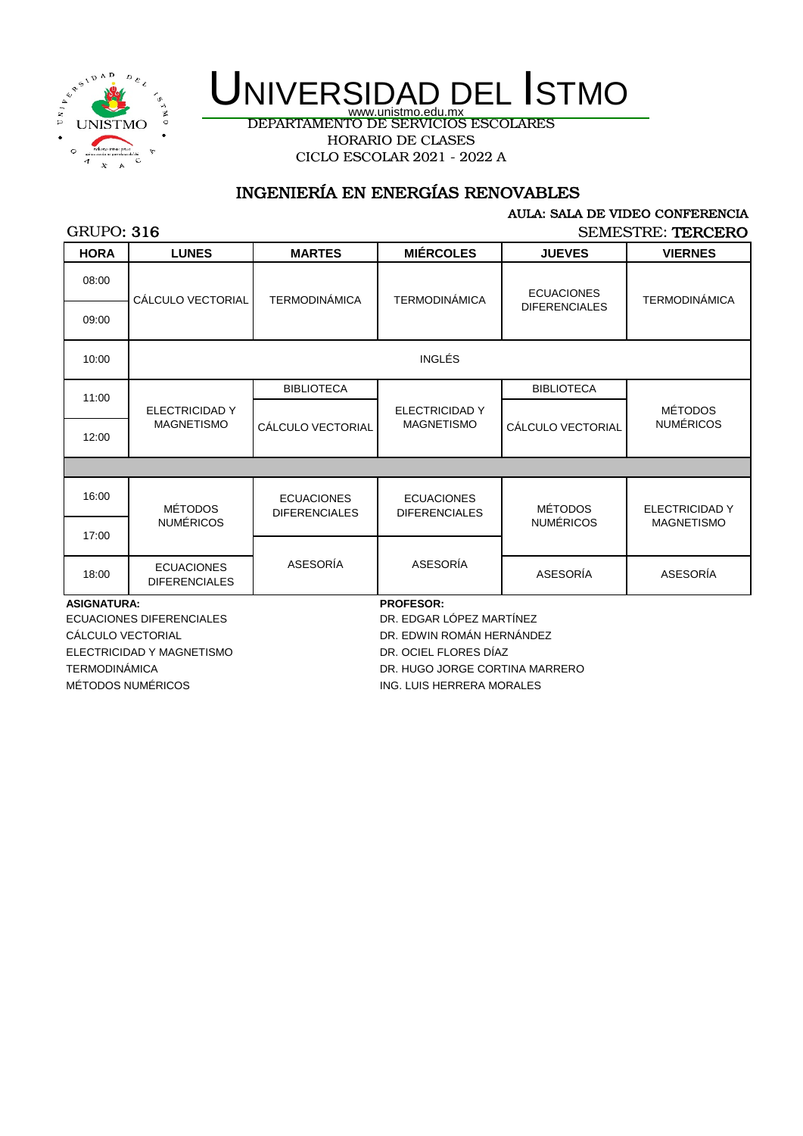

DEPARTAMENTO DE SERVICIOS ESCOLARES HORARIO DE CLASES CICLO ESCOLAR 2021 - 2022 A

## INGENIERÍA EN ENERGÍAS RENOVABLES

#### AULA: SALA DE VIDEO CONFERENCIA

### GRUPO: 316

SEMESTRE: TERCERO

| <b>HORA</b>                     | <b>LUNES</b>                              | <b>MARTES</b>                             | <b>MIÉRCOLES</b>                          | <b>JUEVES</b>        | <b>VIERNES</b>        |  |
|---------------------------------|-------------------------------------------|-------------------------------------------|-------------------------------------------|----------------------|-----------------------|--|
| 08:00                           | CÁLCULO VECTORIAL                         | <b>TERMODINÁMICA</b>                      | <b>TERMODINÁMICA</b>                      | <b>ECUACIONES</b>    | <b>TERMODINÁMICA</b>  |  |
| 09:00                           |                                           |                                           |                                           | <b>DIFERENCIALES</b> |                       |  |
| 10:00                           |                                           |                                           | INGLÉS                                    |                      |                       |  |
| 11:00                           |                                           | <b>BIBLIOTECA</b>                         |                                           | <b>BIBLIOTECA</b>    |                       |  |
|                                 | ELECTRICIDAD Y                            |                                           | <b>ELECTRICIDAD Y</b>                     |                      | <b>MÉTODOS</b>        |  |
| 12:00                           | <b>MAGNETISMO</b>                         | CÁLCULO VECTORIAL                         | <b>MAGNETISMO</b>                         | CÁLCULO VECTORIAL    | <b>NUMÉRICOS</b>      |  |
|                                 |                                           |                                           |                                           |                      |                       |  |
| 16:00                           | <b>MÉTODOS</b>                            | <b>ECUACIONES</b><br><b>DIFERENCIALES</b> | <b>ECUACIONES</b><br><b>DIFERENCIALES</b> | <b>MÉTODOS</b>       | <b>ELECTRICIDAD Y</b> |  |
| 17:00                           | <b>NUMÉRICOS</b>                          |                                           |                                           | <b>NUMÉRICOS</b>     | <b>MAGNETISMO</b>     |  |
|                                 |                                           |                                           |                                           |                      |                       |  |
| 18:00                           | <b>ECUACIONES</b><br><b>DIFERENCIALES</b> | ASESORÍA                                  | ASESORÍA                                  | ASESORÍA             | <b>ASESORÍA</b>       |  |
| <b>ASIGNATURA:</b>              |                                           |                                           | <b>PROFESOR:</b>                          |                      |                       |  |
| <b>ECUACIONES DIFERENCIALES</b> |                                           |                                           | DR. EDGAR LÓPEZ MARTÍNEZ                  |                      |                       |  |
| CÁLCULO VECTORIAL               |                                           |                                           | DR. EDWIN ROMÁN HERNÁNDEZ                 |                      |                       |  |
|                                 | ELECTRICIDAD Y MAGNETISMO                 |                                           | DR. OCIEL FLORES DÍAZ                     |                      |                       |  |

TERMODINÁMICA DR. HUGO JORGE CORTINA MARRERO

MÉTODOS NUMÉRICOS **ING.** LUIS HERRERA MORALES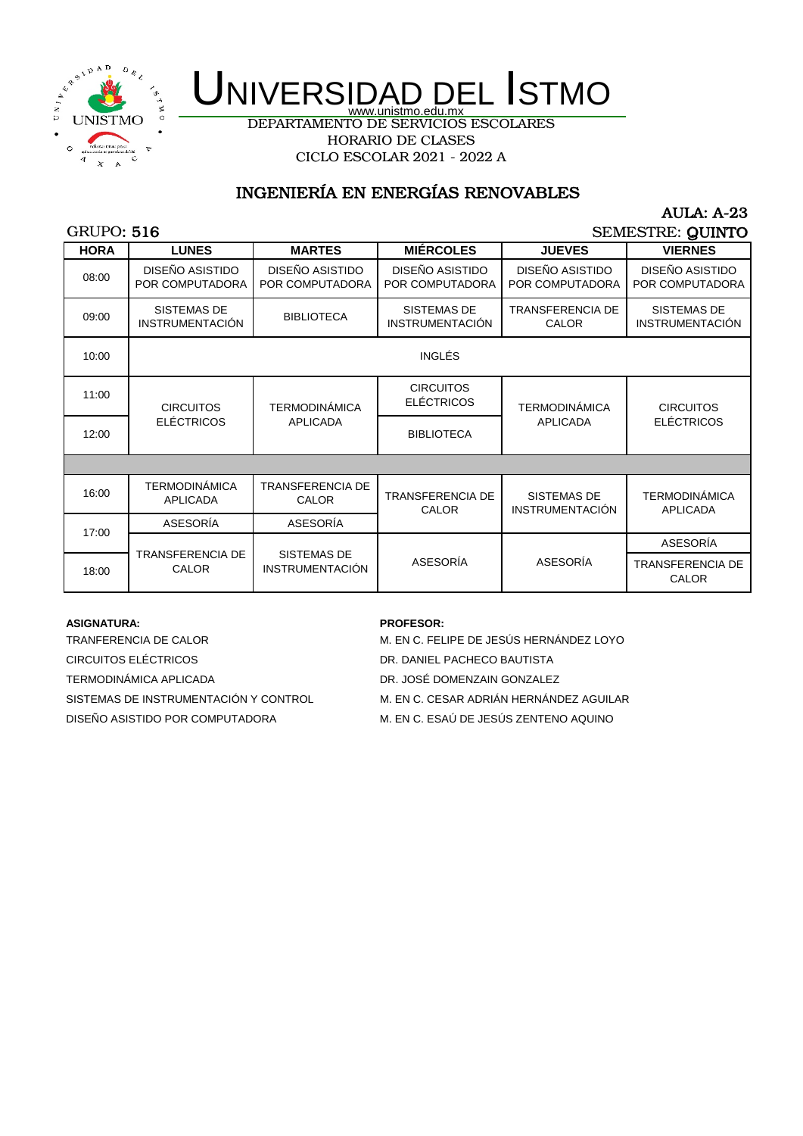

DEPARTAMENTO DE SERVICIOS ESCOLARES HORARIO DE CLASES CICLO ESCOLAR 2021 - 2022 A

## INGENIERÍA EN ENERGÍAS RENOVABLES

#### GRUPO: 516

AULA: A-23 SEMESTRE: QUINTO

| <b>HORA</b> | <b>LUNES</b>                                 | <b>MARTES</b>                                | <b>MIÉRCOLES</b>                             | <b>JUEVES</b>                                | <b>VIERNES</b>                               |
|-------------|----------------------------------------------|----------------------------------------------|----------------------------------------------|----------------------------------------------|----------------------------------------------|
| 08:00       | DISEÑO ASISTIDO<br>POR COMPUTADORA           | DISEÑO ASISTIDO<br>POR COMPUTADORA           | DISEÑO ASISTIDO<br>POR COMPUTADORA           | DISEÑO ASISTIDO<br>POR COMPUTADORA           | DISEÑO ASISTIDO<br>POR COMPUTADORA           |
| 09:00       | <b>SISTEMAS DE</b><br><b>INSTRUMENTACIÓN</b> | <b>BIBLIOTECA</b>                            | <b>SISTEMAS DE</b><br><b>INSTRUMENTACIÓN</b> | <b>TRANSFERENCIA DE</b><br><b>CALOR</b>      | <b>SISTEMAS DE</b><br><b>INSTRUMENTACIÓN</b> |
| 10:00       |                                              |                                              | <b>INGLÉS</b>                                |                                              |                                              |
| 11:00       | <b>CIRCUITOS</b>                             | <b>TERMODINÁMICA</b>                         | <b>CIRCUITOS</b><br><b>ELÉCTRICOS</b>        | <b>TERMODINÁMICA</b><br><b>APLICADA</b>      | <b>CIRCUITOS</b><br><b>ELÉCTRICOS</b>        |
| 12:00       | <b>ELÉCTRICOS</b>                            | <b>APLICADA</b>                              | <b>BIBLIOTECA</b>                            |                                              |                                              |
|             |                                              |                                              |                                              |                                              |                                              |
| 16:00       | <b>TERMODINÁMICA</b><br><b>APLICADA</b>      | <b>TRANSFERENCIA DE</b><br><b>CALOR</b>      | <b>TRANSFERENCIA DE</b><br><b>CALOR</b>      | <b>SISTEMAS DE</b><br><b>INSTRUMENTACIÓN</b> | <b>TERMODINÁMICA</b><br><b>APLICADA</b>      |
| 17:00       | ASESORÍA                                     | ASESORÍA                                     |                                              |                                              |                                              |
|             |                                              |                                              |                                              |                                              | ASESORÍA                                     |
| 18:00       | TRANSFERENCIA DE<br><b>CALOR</b>             | <b>SISTEMAS DE</b><br><b>INSTRUMENTACIÓN</b> | ASESORÍA                                     | ASESORÍA                                     | <b>TRANSFERENCIA DE</b><br><b>CALOR</b>      |

#### **ASIGNATURA: PROFESOR:**

TRANFERENCIA DE CALOR MARIA DE SALOR M. EN C. FELIPE DE JESÚS HERNÁNDEZ LOYO CIRCUITOS ELÉCTRICOS DR. DANIEL PACHECO BAUTISTA TERMODINÁMICA APLICADA DR. JOSÉ DOMENZAIN GONZALEZ DISEÑO ASISTIDO POR COMPUTADORA M. EN C. ESAÚ DE JESÚS ZENTENO AQUINO

SISTEMAS DE INSTRUMENTACIÓN Y CONTROL M. EN C. CESAR ADRIÁN HERNÁNDEZ AGUILAR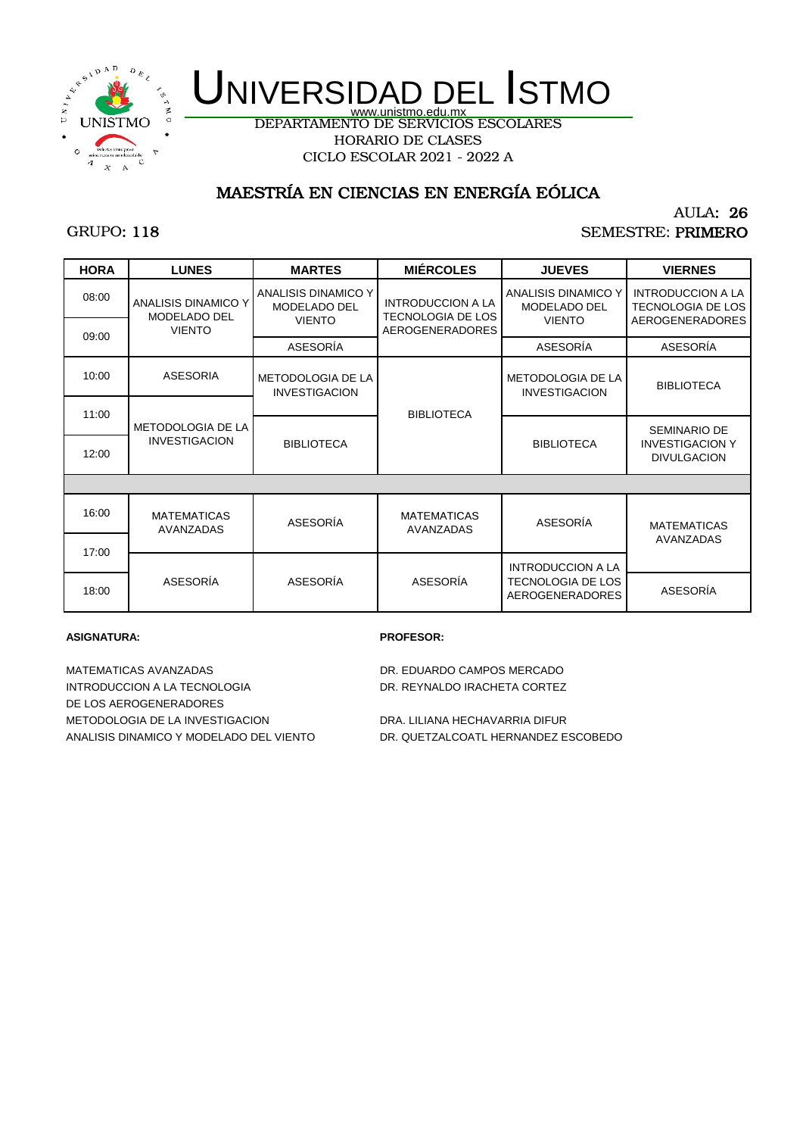

DEPARTAMENTO DE SERVICIOS ESCOLARES HORARIO DE CLASES CICLO ESCOLAR 2021 - 2022 A

## MAESTRÍA EN CIENCIAS EN ENERGÍA EÓLICA

## GRUPO: 118

#### AULA: 26 SEMESTRE: PRIMERO

| <b>HORA</b> | <b>LUNES</b>                        | <b>MARTES</b>                                               | <b>MIÉRCOLES</b>                                                        | <b>JUEVES</b>                                        | <b>VIERNES</b>                                                                 |
|-------------|-------------------------------------|-------------------------------------------------------------|-------------------------------------------------------------------------|------------------------------------------------------|--------------------------------------------------------------------------------|
| 08:00       | ANALISIS DINAMICO Y<br>MODELADO DEL | ANALISIS DINAMICO Y<br><b>MODELADO DEL</b><br><b>VIENTO</b> | <b>INTRODUCCION A LA</b><br>TECNOLOGIA DE LOS<br><b>AEROGENERADORES</b> | ANALISIS DINAMICO Y<br>MODELADO DEL<br><b>VIENTO</b> | <b>INTRODUCCION A LA</b><br><b>TECNOLOGIA DE LOS</b><br><b>AEROGENERADORES</b> |
| 09:00       | <b>VIENTO</b>                       | ASESORÍA                                                    |                                                                         | ASESORÍA                                             | ASESORÍA                                                                       |
| 10:00       | <b>ASESORIA</b>                     | METODOLOGIA DE LA<br><b>INVESTIGACION</b>                   |                                                                         | METODOLOGIA DE LA<br><b>INVESTIGACION</b>            | <b>BIBLIOTECA</b>                                                              |
| 11:00       | <b>METODOLOGIA DE LA</b>            | <b>BIBLIOTECA</b>                                           |                                                                         | <b>BIBLIOTECA</b>                                    | <b>SEMINARIO DE</b>                                                            |
| 12:00       | <b>INVESTIGACION</b>                | <b>BIBLIOTECA</b>                                           |                                                                         |                                                      | <b>INVESTIGACION Y</b><br><b>DIVULGACION</b>                                   |
|             |                                     |                                                             |                                                                         |                                                      |                                                                                |
| 16:00       | <b>MATEMATICAS</b><br>AVANZADAS     | ASESORÍA                                                    | <b>MATEMATICAS</b><br>AVANZADAS                                         | ASESORÍA                                             | <b>MATEMATICAS</b>                                                             |
| 17:00       |                                     |                                                             |                                                                         |                                                      | AVANZADAS                                                                      |
|             |                                     |                                                             |                                                                         | <b>INTRODUCCION A LA</b>                             |                                                                                |
| 18:00       | ASESORÍA                            | ASESORÍA                                                    | ASESORÍA                                                                | TECNOLOGIA DE LOS<br><b>AEROGENERADORES</b>          | ASESORÍA                                                                       |

#### **ASIGNATURA: PROFESOR:**

MATEMATICAS AVANZADAS DR. EDUARDO CAMPOS MERCADO INTRODUCCION A LA TECNOLOGIA DR. REYNALDO IRACHETA CORTEZ DE LOS AEROGENERADORES METODOLOGIA DE LA INVESTIGACION DRA. LILIANA HECHAVARRIA DIFUR ANALISIS DINAMICO Y MODELADO DEL VIENTO DR. QUETZALCOATL HERNANDEZ ESCOBEDO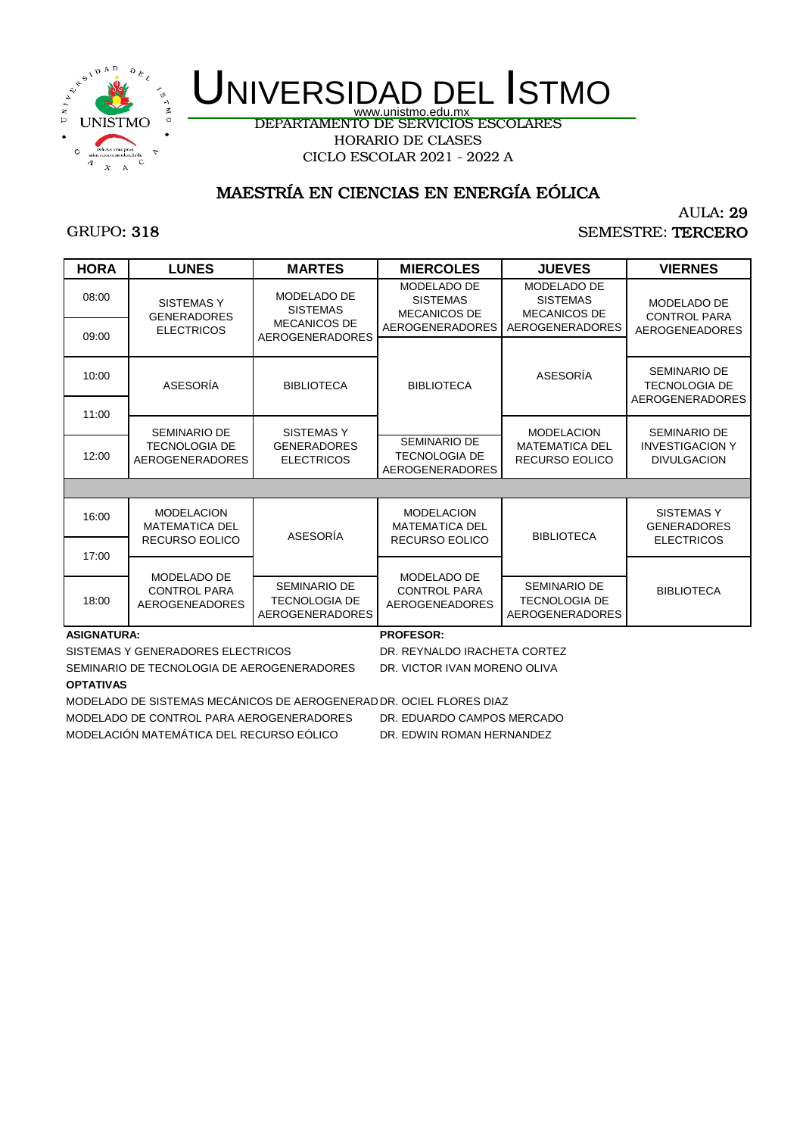

DEPARTAMENTO DE SERVICIOS ESCOLARES HORARIO DE CLASES CICLO ESCOLAR 2021 - 2022 A

## MAESTRÍA EN CIENCIAS EN ENERGÍA EÓLICA

## GRUPO: 318

### AULA: 29 SEMESTRE: TERCERO

| <b>HORA</b> | <b>LUNES</b>                                                        | <b>MARTES</b>                                                         | <b>MIERCOLES</b>                                                      | <b>JUEVES</b>                                                         | <b>VIERNES</b>                                                        |
|-------------|---------------------------------------------------------------------|-----------------------------------------------------------------------|-----------------------------------------------------------------------|-----------------------------------------------------------------------|-----------------------------------------------------------------------|
| 08:00       | <b>SISTEMAS Y</b><br><b>GENERADORES</b>                             | MODELADO DE<br><b>SISTEMAS</b>                                        | MODELADO DE<br><b>SISTEMAS</b><br><b>MECANICOS DE</b>                 | <b>MODELADO DE</b><br><b>SISTEMAS</b><br><b>MECANICOS DE</b>          | MODELADO DE<br><b>CONTROL PARA</b>                                    |
| 09:00       | <b>ELECTRICOS</b>                                                   | <b>MECANICOS DE</b><br><b>AEROGENERADORES</b>                         | AEROGENERADORES                                                       | AEROGENERADORES                                                       | <b>AEROGENEADORES</b>                                                 |
| 10:00       | ASESORÍA                                                            | <b>BIBLIOTECA</b>                                                     | <b>BIBLIOTECA</b>                                                     | ASESORÍA                                                              | <b>SEMINARIO DE</b><br><b>TECNOLOGIA DE</b><br><b>AEROGENERADORES</b> |
| 11:00       | <b>SEMINARIO DE</b>                                                 | <b>SISTEMASY</b>                                                      |                                                                       | <b>MODELACION</b>                                                     | <b>SEMINARIO DE</b>                                                   |
| 12:00       | <b>TECNOLOGIA DE</b><br><b>AEROGENERADORES</b>                      | <b>GENERADORES</b><br><b>ELECTRICOS</b>                               | <b>SEMINARIO DE</b><br><b>TECNOLOGIA DE</b><br><b>AEROGENERADORES</b> | <b>MATEMATICA DEL</b><br><b>RECURSO EOLICO</b>                        | <b>INVESTIGACION Y</b><br><b>DIVULGACION</b>                          |
|             |                                                                     |                                                                       |                                                                       |                                                                       |                                                                       |
| 16:00       | <b>MODELACION</b><br><b>MATEMATICA DEL</b><br><b>RECURSO EOLICO</b> | ASESORÍA                                                              | <b>MODELACION</b><br><b>MATEMATICA DEL</b><br><b>RECURSO EOLICO</b>   | <b>BIBLIOTECA</b>                                                     | SISTEMAS Y<br><b>GENERADORES</b><br><b>ELECTRICOS</b>                 |
| 17:00       |                                                                     |                                                                       |                                                                       |                                                                       |                                                                       |
|             | MODELADO DE                                                         |                                                                       | MODELADO DE                                                           |                                                                       |                                                                       |
| 18:00       | <b>CONTROL PARA</b><br><b>AEROGENEADORES</b>                        | <b>SEMINARIO DE</b><br><b>TECNOLOGIA DE</b><br><b>AEROGENERADORES</b> | <b>CONTROL PARA</b><br>AEROGENEADORES                                 | <b>SEMINARIO DE</b><br><b>TECNOLOGIA DE</b><br><b>AEROGENERADORES</b> | <b>BIBLIOTECA</b>                                                     |

#### **ASIGNATURA: PROFESOR:**

SISTEMAS Y GENERADORES ELECTRICOS DR. REYNALDO IRACHETA CORTEZ

SEMINARIO DE TECNOLOGIA DE AEROGENERADORES DR. VICTOR IVAN MORENO OLIVA **OPTATIVAS**

MODELADO DE SISTEMAS MECÁNICOS DE AEROGENERADDR. OCIEL FLORES DIAZ

MODELADO DE CONTROL PARA AEROGENERADORES DR. EDUARDO CAMPOS MERCADO

MODELACIÓN MATEMÁTICA DEL RECURSO EÓLICO DR. EDWIN ROMAN HERNANDEZ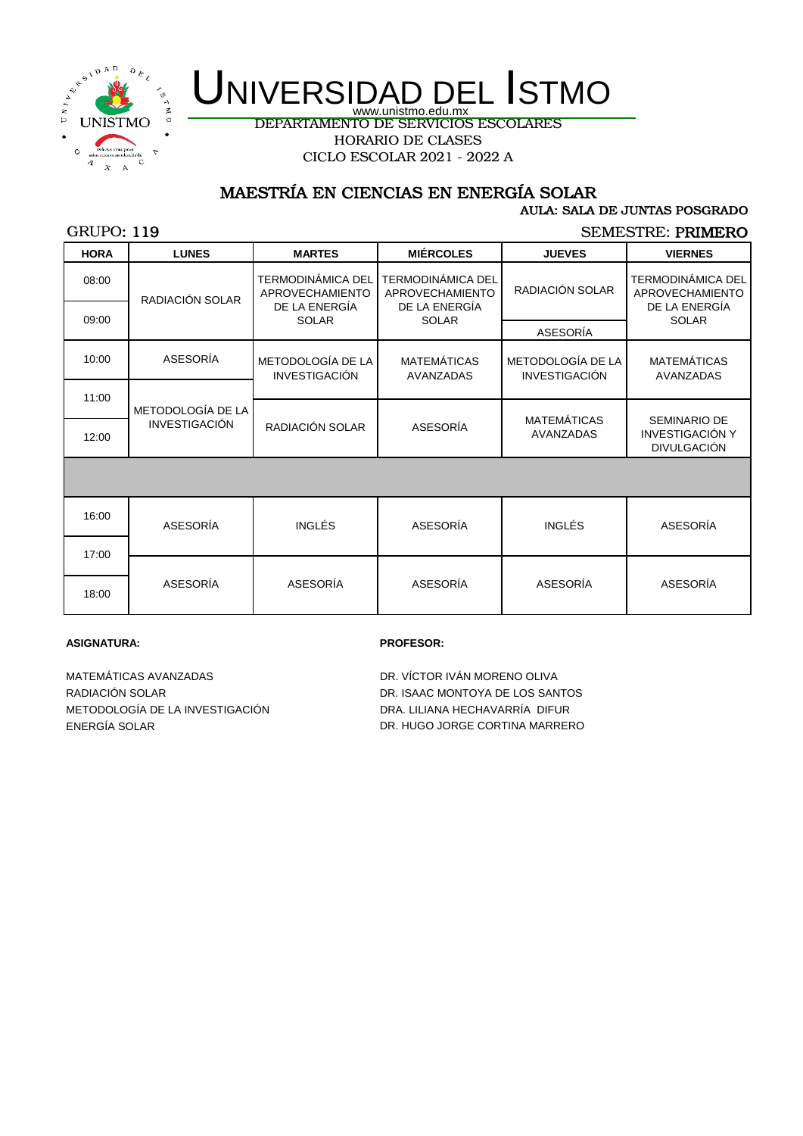

DEPARTAMENTO DE SERVICIOS ESCOLARES HORARIO DE CLASES CICLO ESCOLAR 2021 - 2022 A

## MAESTRÍA EN CIENCIAS EN ENERGÍA SOLAR

#### AULA: SALA DE JUNTAS POSGRADO

### GRUPO: 119

SEMESTRE: PRIMERO

| <b>HORA</b> | <b>LUNES</b>                              | <b>MARTES</b>                                                         | <b>MIÉRCOLES</b>                                                      | <b>JUEVES</b>                             | <b>VIERNES</b>                                                               |
|-------------|-------------------------------------------|-----------------------------------------------------------------------|-----------------------------------------------------------------------|-------------------------------------------|------------------------------------------------------------------------------|
| 08:00       | RADIACIÓN SOLAR                           | TERMODINÁMICA DEL<br>APROVECHAMIENTO<br>DE LA ENERGÍA<br><b>SOLAR</b> | TERMODINÁMICA DEL<br>APROVECHAMIENTO<br>DE LA ENERGÍA<br><b>SOLAR</b> | RADIACIÓN SOLAR                           | <b>TERMODINÁMICA DEL</b><br>APROVECHAMIENTO<br>DE LA ENERGÍA<br><b>SOLAR</b> |
| 09:00       |                                           |                                                                       |                                                                       | ASESORÍA                                  |                                                                              |
| 10:00       | ASESORÍA                                  | METODOLOGÍA DE LA<br><b>INVESTIGACIÓN</b>                             | <b>MATEMÁTICAS</b><br><b>AVANZADAS</b>                                | METODOLOGÍA DE LA<br><b>INVESTIGACIÓN</b> | <b>MATEMÁTICAS</b><br><b>AVANZADAS</b>                                       |
| 11:00       | METODOLOGÍA DE LA<br><b>INVESTIGACIÓN</b> |                                                                       |                                                                       |                                           |                                                                              |
| 12:00       |                                           | RADIACIÓN SOLAR                                                       | ASESORÍA                                                              | <b>MATEMÁTICAS</b><br><b>AVANZADAS</b>    | <b>SEMINARIO DE</b><br><b>INVESTIGACIÓN Y</b><br><b>DIVULGACIÓN</b>          |
|             |                                           |                                                                       |                                                                       |                                           |                                                                              |
| 16:00       | ASESORÍA                                  | <b>INGLÉS</b>                                                         | ASESORÍA                                                              | <b>INGLÉS</b>                             | ASESORÍA                                                                     |
| 17:00       |                                           |                                                                       |                                                                       |                                           |                                                                              |
| 18:00       | ASESORÍA                                  | ASESORÍA                                                              | ASESORÍA                                                              | ASESORÍA                                  | ASESORÍA                                                                     |

#### **ASIGNATURA: PROFESOR:**

MATEMÁTICAS AVANZADAS **Extração da Seria de São Portugada de DR**. VÍCTOR IVÁN MORENO OLIVA RADIACIÓN SOLAR DR. ISAAC MONTOYA DE LOS SANTOS METODOLOGÍA DE LA INVESTIGACIÓN DRA. LILIANA HECHAVARRÍA DIFUR

ENERGÍA SOLAR DR. HUGO JORGE CORTINA MARRERO